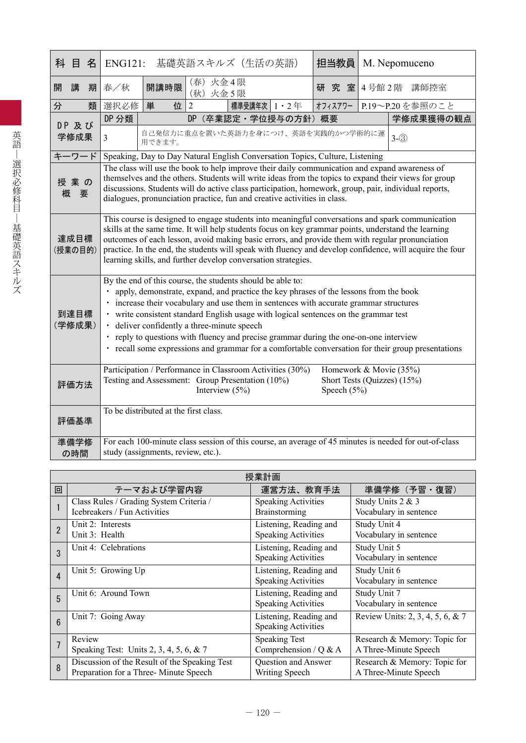| 科 目<br>名        | <b>ENG121:</b>                                                                                                                                                                                                                                                                                                                                                                                                                                                                                                                                                                      |                                                                                                                                                                                                                                                                                                                                                                                           | 基礎英語スキルズ (生活の英語) |             |                  | 担当教員    |  | M. Nepomuceno                                                                                         |
|-----------------|-------------------------------------------------------------------------------------------------------------------------------------------------------------------------------------------------------------------------------------------------------------------------------------------------------------------------------------------------------------------------------------------------------------------------------------------------------------------------------------------------------------------------------------------------------------------------------------|-------------------------------------------------------------------------------------------------------------------------------------------------------------------------------------------------------------------------------------------------------------------------------------------------------------------------------------------------------------------------------------------|------------------|-------------|------------------|---------|--|-------------------------------------------------------------------------------------------------------|
| 開<br>講<br>期     | (春) 火金4限<br>開講時限<br>春/秋<br>研究室<br>(秋) 火金 5限                                                                                                                                                                                                                                                                                                                                                                                                                                                                                                                                         |                                                                                                                                                                                                                                                                                                                                                                                           |                  |             | 4号館2階 講師控室       |         |  |                                                                                                       |
| 類<br>分          | 選択必修                                                                                                                                                                                                                                                                                                                                                                                                                                                                                                                                                                                | 単<br>位                                                                                                                                                                                                                                                                                                                                                                                    | $\overline{2}$   | 標準受講年次 1・2年 |                  | オフィスアワー |  | P.19~P.20を参照のこと                                                                                       |
| DP及び            | DP 分類                                                                                                                                                                                                                                                                                                                                                                                                                                                                                                                                                                               |                                                                                                                                                                                                                                                                                                                                                                                           | <b>DP</b>        |             | (卒業認定·学位授与の方針)概要 |         |  | 学修成果獲得の観点                                                                                             |
| 学修成果            | $\overline{3}$                                                                                                                                                                                                                                                                                                                                                                                                                                                                                                                                                                      | 自己発信力に重点を置いた英語力を身につけ、英語を実践的かつ学術的に運<br>$3-(3)$<br>用できます。                                                                                                                                                                                                                                                                                                                                   |                  |             |                  |         |  |                                                                                                       |
| キーワード           |                                                                                                                                                                                                                                                                                                                                                                                                                                                                                                                                                                                     | Speaking, Day to Day Natural English Conversation Topics, Culture, Listening                                                                                                                                                                                                                                                                                                              |                  |             |                  |         |  |                                                                                                       |
| 授業の<br>概<br>要   |                                                                                                                                                                                                                                                                                                                                                                                                                                                                                                                                                                                     | The class will use the book to help improve their daily communication and expand awareness of<br>themselves and the others. Students will write ideas from the topics to expand their views for group<br>discussions. Students will do active class participation, homework, group, pair, individual reports,<br>dialogues, pronunciation practice, fun and creative activities in class. |                  |             |                  |         |  |                                                                                                       |
| 達成目標<br>(授業の目的) | This course is designed to engage students into meaningful conversations and spark communication<br>skills at the same time. It will help students focus on key grammar points, understand the learning<br>outcomes of each lesson, avoid making basic errors, and provide them with regular pronunciation<br>practice. In the end, the students will speak with fluency and develop confidence, will acquire the four<br>learning skills, and further develop conversation strategies.                                                                                             |                                                                                                                                                                                                                                                                                                                                                                                           |                  |             |                  |         |  |                                                                                                       |
| 到達目標<br>(学修成果)  | By the end of this course, the students should be able to:<br>apply, demonstrate, expand, and practice the key phrases of the lessons from the book<br>· increase their vocabulary and use them in sentences with accurate grammar structures<br>• write consistent standard English usage with logical sentences on the grammar test<br>· deliver confidently a three-minute speech<br>• reply to questions with fluency and precise grammar during the one-on-one interview<br>• recall some expressions and grammar for a comfortable conversation for their group presentations |                                                                                                                                                                                                                                                                                                                                                                                           |                  |             |                  |         |  |                                                                                                       |
| 評価方法            | Participation / Performance in Classroom Activities (30%)<br>Homework & Movie (35%)<br>Testing and Assessment: Group Presentation (10%)<br>Short Tests (Quizzes) (15%)<br>Interview $(5%)$<br>Speech $(5%)$                                                                                                                                                                                                                                                                                                                                                                         |                                                                                                                                                                                                                                                                                                                                                                                           |                  |             |                  |         |  |                                                                                                       |
| 評価基準            |                                                                                                                                                                                                                                                                                                                                                                                                                                                                                                                                                                                     | To be distributed at the first class.                                                                                                                                                                                                                                                                                                                                                     |                  |             |                  |         |  |                                                                                                       |
| 準備学修<br>の時間     |                                                                                                                                                                                                                                                                                                                                                                                                                                                                                                                                                                                     | study (assignments, review, etc.).                                                                                                                                                                                                                                                                                                                                                        |                  |             |                  |         |  | For each 100-minute class session of this course, an average of 45 minutes is needed for out-of-class |

|                 |                                                                                        | 授業計画                                                 |                                                       |
|-----------------|----------------------------------------------------------------------------------------|------------------------------------------------------|-------------------------------------------------------|
| 回               | テーマおよび学習内容                                                                             | 運営方法、教育手法                                            | 準備学修 (予習·復習)                                          |
|                 | Class Rules / Grading System Criteria /<br>Icebreakers / Fun Activities                | <b>Speaking Activities</b><br>Brainstorming          | Study Units 2 & 3<br>Vocabulary in sentence           |
| $\overline{2}$  | Unit 2: Interests<br>Unit 3: Health                                                    | Listening, Reading and<br><b>Speaking Activities</b> | Study Unit 4<br>Vocabulary in sentence                |
| 3               | Unit 4: Celebrations                                                                   | Listening, Reading and<br><b>Speaking Activities</b> | Study Unit 5<br>Vocabulary in sentence                |
| $\overline{4}$  | Unit 5: Growing Up                                                                     | Listening, Reading and<br><b>Speaking Activities</b> | Study Unit 6<br>Vocabulary in sentence                |
| 5               | Unit 6: Around Town                                                                    | Listening, Reading and<br><b>Speaking Activities</b> | Study Unit 7<br>Vocabulary in sentence                |
| $6\phantom{1}6$ | Unit 7: Going Away                                                                     | Listening, Reading and<br><b>Speaking Activities</b> | Review Units: 2, 3, 4, 5, 6, & 7                      |
| $\overline{7}$  | Review<br>Speaking Test: Units 2, 3, 4, 5, 6, & 7                                      | <b>Speaking Test</b><br>Comprehension / $Q & A$      | Research & Memory: Topic for<br>A Three-Minute Speech |
| 8               | Discussion of the Result of the Speaking Test<br>Preparation for a Three-Minute Speech | Question and Answer<br>Writing Speech                | Research & Memory: Topic for<br>A Three-Minute Speech |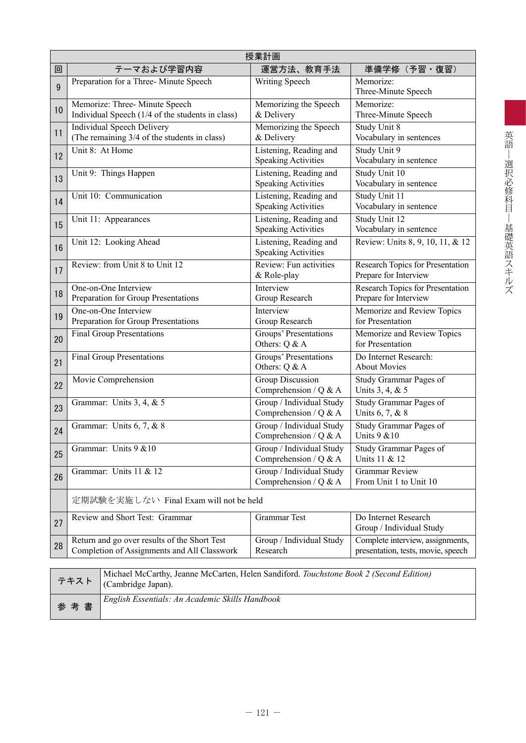|    |                                                                                             | 授業計画                                                 |                                                                        |
|----|---------------------------------------------------------------------------------------------|------------------------------------------------------|------------------------------------------------------------------------|
| 回  | テーマおよび学習内容                                                                                  | 運営方法、教育手法                                            | 準備学修(予習・復習)                                                            |
| 9  | Preparation for a Three-Minute Speech                                                       | Writing Speech                                       | Memorize:<br>Three-Minute Speech                                       |
| 10 | Memorize: Three-Minute Speech<br>Individual Speech (1/4 of the students in class)           | Memorizing the Speech<br>& Delivery                  | Memorize:<br>Three-Minute Speech                                       |
| 11 | <b>Individual Speech Delivery</b><br>(The remaining 3/4 of the students in class)           | Memorizing the Speech<br>& Delivery                  | Study Unit 8<br>Vocabulary in sentences                                |
| 12 | Unit 8: At Home                                                                             | Listening, Reading and<br><b>Speaking Activities</b> | Study Unit 9<br>Vocabulary in sentence                                 |
| 13 | Unit 9: Things Happen                                                                       | Listening, Reading and<br><b>Speaking Activities</b> | Study Unit 10<br>Vocabulary in sentence                                |
| 14 | Unit 10: Communication                                                                      | Listening, Reading and<br><b>Speaking Activities</b> | Study Unit 11<br>Vocabulary in sentence                                |
| 15 | Unit 11: Appearances                                                                        | Listening, Reading and<br><b>Speaking Activities</b> | Study Unit 12<br>Vocabulary in sentence                                |
| 16 | Unit 12: Looking Ahead                                                                      | Listening, Reading and<br><b>Speaking Activities</b> | Review: Units 8, 9, 10, 11, & 12                                       |
| 17 | Review: from Unit 8 to Unit 12                                                              | Review: Fun activities<br>& Role-play                | Research Topics for Presentation<br>Prepare for Interview              |
| 18 | One-on-One Interview<br>Preparation for Group Presentations                                 | Interview<br>Group Research                          | Research Topics for Presentation<br>Prepare for Interview              |
| 19 | One-on-One Interview<br>Preparation for Group Presentations                                 | Interview<br>Group Research                          | Memorize and Review Topics<br>for Presentation                         |
| 20 | <b>Final Group Presentations</b>                                                            | Groups' Presentations<br>Others: Q & A               | Memorize and Review Topics<br>for Presentation                         |
| 21 | <b>Final Group Presentations</b>                                                            | Groups' Presentations<br>Others: Q & A               | Do Internet Research:<br><b>About Movies</b>                           |
| 22 | Movie Comprehension                                                                         | Group Discussion<br>Comprehension / Q & A            | Study Grammar Pages of<br>Units 3, 4, & 5                              |
| 23 | Grammar: Units 3, 4, & 5                                                                    | Group / Individual Study<br>Comprehension / Q & A    | Study Grammar Pages of<br>Units 6, 7, & 8                              |
| 24 | Grammar: Units 6, 7, & 8                                                                    | Group / Individual Study<br>Comprehension / $Q & A$  | Study Grammar Pages of<br>Units 9 & 10                                 |
| 25 | Grammar: Units 9 & 10                                                                       | Group / Individual Study<br>Comprehension / $Q & A$  | Study Grammar Pages of<br>Units 11 & 12                                |
| 26 | Grammar: Units 11 & 12                                                                      | Group / Individual Study<br>Comprehension / $Q & A$  | <b>Grammar Review</b><br>From Unit 1 to Unit 10                        |
|    | 定期試験を実施しない Final Exam will not be held                                                      |                                                      |                                                                        |
| 27 | Review and Short Test: Grammar                                                              | Grammar Test                                         | Do Internet Research<br>Group / Individual Study                       |
| 28 | Return and go over results of the Short Test<br>Completion of Assignments and All Classwork | Group / Individual Study<br>Research                 | Complete interview, assignments,<br>presentation, tests, movie, speech |
|    | Michael McCarthy, Jeanne McCarten, Helen Sandiford. Touchstone Book 2 (Second Edition)      |                                                      |                                                                        |

|     | Michael McCarthy, Jeanne McCarten, Helen Sandiford. Touchstone Book 2 (Second Edition)<br>テキスト (Cambridge Japan). |
|-----|-------------------------------------------------------------------------------------------------------------------|
| 参考書 | English Essentials: An Academic Skills Handbook                                                                   |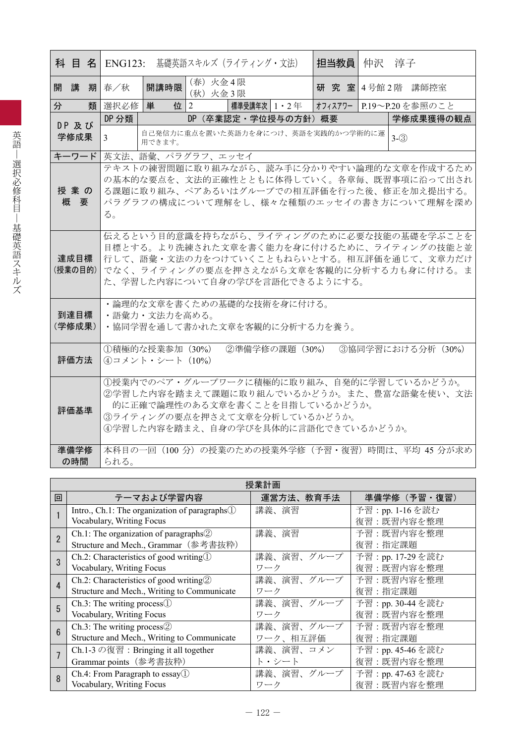|                 | 担当教員<br><b>科 目 名 ENG123:</b> 基礎英語スキルズ(ライティング・文法)<br>仲沢<br>淳子                                                                                                                                                      |
|-----------------|-------------------------------------------------------------------------------------------------------------------------------------------------------------------------------------------------------------------|
| 開講              | (春) 火金4限<br>開講時限<br>期春/秋<br>研 究 室 4号館 2階 講師控室<br>(秋) 火金3限                                                                                                                                                         |
| 分<br>類          | 選択必修<br>単<br>位 $2$<br>標準受講年次   1 ・ 2 年<br>オフィスアワー P.19~P.20を参照のこと                                                                                                                                                 |
| DP 及び           | DP 分類<br>DP (卒業認定·学位授与の方針) 概要<br>学修成果獲得の観点                                                                                                                                                                        |
| 学修成果            | 自己発信力に重点を置いた英語力を身につけ、英語を実践的かつ学術的に運<br>$3-(3)$<br>$\mathfrak{Z}$<br>用できます。                                                                                                                                         |
| キーワード           | 英文法、語彙、パラグラフ、エッセイ                                                                                                                                                                                                 |
| 授業の<br>概要       | テキストの練習問題に取り組みながら、読み手に分かりやすい論理的な文章を作成するため<br>の基本的な要点を、文法的正確性とともに体得していく。各章毎、既習事項に沿って出され<br>る課題に取り組み、ペアあるいはグループでの相互評価を行った後、修正を加え提出する。<br>パラグラフの構成について理解をし、様々な種類のエッセイの書き方について理解を深め<br>る。                             |
| 達成目標<br>(授業の目的) | 伝えるという目的意識を持ちながら、ライティングのために必要な技能の基礎を学ぶことを<br>目標とする。より洗練された文章を書く能力を身に付けるために、ライティングの技能と並<br>行して、語彙・文法の力をつけていくこともねらいとする。相互評価を通じて、文章力だけ<br>でなく、ライティングの要点を押さえながら文章を客観的に分析する力も身に付ける。ま<br>た、学習した内容について自身の学びを言語化できるようにする。 |
| 到達目標<br>(学修成果)  | ・論理的な文章を書くための基礎的な技術を身に付ける。<br>・語彙力・文法力を高める。<br>・協同学習を通して書かれた文章を客観的に分析する力を養う。                                                                                                                                      |
| 評価方法            | ②準備学修の課題 (30%)<br>③協同学習における分析 (30%)<br>①積極的な授業参加 (30%)<br>④コメント・シート (10%)                                                                                                                                         |
| 評価基準            | 1授業内でのペア·グループワークに積極的に取り組み、自発的に学習しているかどうか。<br>②学習した内容を踏まえて課題に取り組んでいるかどうか。また、豊富な語彙を使い、文法<br>的に正確で論理性のある文章を書くことを目指しているかどうか。<br>③ライティングの要点を押さえて文章を分析しているかどうか。<br>④学習した内容を踏まえ、自身の学びを具体的に言語化できているかどうか。                  |
| 準備学修<br>の時間     | 本科目の一回 (100 分) の授業のための授業外学修 (予習・復習) 時間は、平均 45 分が求め<br>られる。                                                                                                                                                        |

|                |                                                                                            | 授業計画       |                             |
|----------------|--------------------------------------------------------------------------------------------|------------|-----------------------------|
| 回              | テーマおよび学習内容                                                                                 | 運営方法、教育手法  | 準備学修 (予習・復習)                |
|                | Intro., Ch.1: The organization of paragraphs $\mathbb{D}$<br>Vocabulary, Writing Focus     | 講義、演習      | 予習:pp.1-16を読む<br>復習:既習内容を整理 |
| $\overline{2}$ | Ch.1: The organization of paragraphs $\circled{2}$<br>Structure and Mech., Grammar (参考書抜粋) | 講義、演習      | 予習:既習内容を整理<br>復習:指定課題       |
| $\mathbf{3}$   | Ch.2: Characteristics of good writing $\mathbb{D}$                                         | 講義、演習、グループ | 予習: pp. 17-29を読む            |
|                | Vocabulary, Writing Focus                                                                  | ワーク        | 復習:既習内容を整理                  |
| 4              | Ch.2: Characteristics of good writing $\circled{2}$                                        | 講義、演習、グループ | 予習:既習内容を整理                  |
|                | Structure and Mech., Writing to Communicate                                                | ワーク        | 復習:指定課題                     |
| 5              | $Ch.3$ : The writing process $\mathbb{D}$                                                  | 講義、演習、グループ | 予習: pp. 30-44 を読む           |
|                | Vocabulary, Writing Focus                                                                  | ワーク        | 復習:既習内容を整理                  |
| 6              | Ch.3: The writing process $@$                                                              | 講義、演習、グループ | 予習:既習内容を整理                  |
|                | Structure and Mech., Writing to Communicate                                                | ワーク、相互評価   | 復習:指定課題                     |
|                | Ch.1-3 の復習: Bringing it all together                                                       | 講義、演習、コメン  | 予習: pp. 45-46を読む            |
|                | Grammar points (参考書抜粋)                                                                     | ト・シート      | 復習:既習内容を整理                  |
| 8              | Ch.4: From Paragraph to $essay$                                                            | 講義、演習、グループ | 予習: pp. 47-63 を読む           |
|                | Vocabulary, Writing Focus                                                                  | ワーク        | 復習:既習内容を整理                  |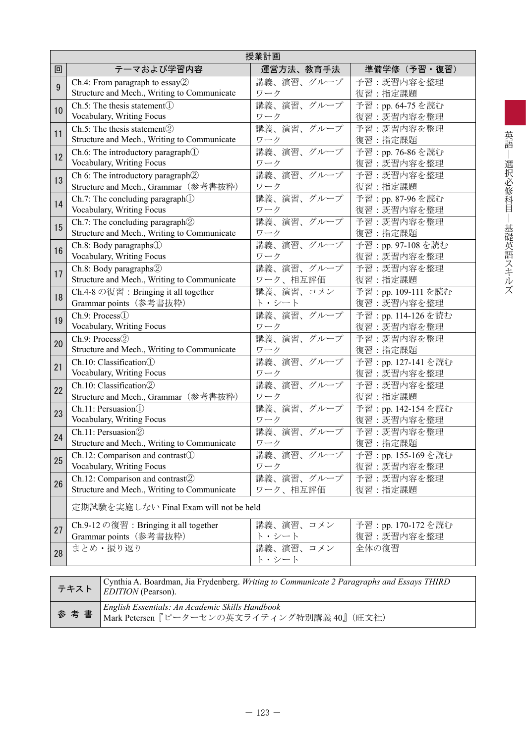|    | 授業計画                                                                                             |                    |                     |  |  |
|----|--------------------------------------------------------------------------------------------------|--------------------|---------------------|--|--|
| 回  | テーマおよび学習内容                                                                                       | 運営方法、教育手法          | 準備学修(予習・復習)         |  |  |
| 9  | Ch.4: From paragraph to essay $\mathcal{D}$                                                      | 講義、演習、グループ         | 予習:既習内容を整理          |  |  |
|    | Structure and Mech., Writing to Communicate                                                      | ワーク                | 復習:指定課題             |  |  |
| 10 | $Ch.5$ : The thesis statement $(I)$                                                              | 講義、演習、グループ         | 予習: pp. 64-75 を読む   |  |  |
|    | Vocabulary, Writing Focus                                                                        | ワーク                | 復習:既習内容を整理          |  |  |
| 11 | Ch.5: The thesis statement <sup>(2)</sup>                                                        | 講義、演習、グループ         | 予習:既習内容を整理          |  |  |
|    | Structure and Mech., Writing to Communicate                                                      | ワーク                | 復習:指定課題             |  |  |
| 12 | Ch.6: The introductory paragraph <sup>(1)</sup>                                                  | 講義、演習、グループ         | 予習: pp. 76-86を読む    |  |  |
|    | Vocabulary, Writing Focus                                                                        | ワーク                | 復習:既習内容を整理          |  |  |
| 13 | Ch 6: The introductory paragraph2                                                                | 講義、演習、グループ         | 予習:既習内容を整理          |  |  |
|    | Structure and Mech., Grammar (参考書抜粋)                                                             | ワーク                | 復習:指定課題             |  |  |
| 14 | Ch.7: The concluding paragraph <sup>(1)</sup>                                                    | 講義、演習、グループ         | 予習: pp. 87-96 を読む   |  |  |
|    | Vocabulary, Writing Focus                                                                        | ワーク                | 復習:既習内容を整理          |  |  |
| 15 | Ch.7: The concluding paragraph $@$                                                               | 講義、演習、グループ         | 予習:既習内容を整理          |  |  |
|    | Structure and Mech., Writing to Communicate                                                      | ワーク                | 復習:指定課題             |  |  |
| 16 | Ch.8: Body paragraphs <sup>1</sup>                                                               | 講義、演習、グループ         | 予習: pp. 97-108 を読む  |  |  |
|    | Vocabulary, Writing Focus                                                                        | ワーク                | 復習:既習内容を整理          |  |  |
| 17 | Ch.8: Body paragraphs <sup>2</sup>                                                               | 講義、演習、グループ         | 予習:既習内容を整理          |  |  |
|    | Structure and Mech., Writing to Communicate                                                      | ワーク、相互評価           | 復習:指定課題             |  |  |
| 18 | Ch.4-8 の復習: Bringing it all together                                                             | 講義、演習、コメン          | 予習: pp. 109-111 を読む |  |  |
|    | Grammar points (参考書抜粋)                                                                           | ト・シート              | 復習:既習内容を整理          |  |  |
| 19 | Ch.9: Process <sup>(1)</sup>                                                                     | 講義、演習、グループ         | 予習: pp. 114-126を読む  |  |  |
|    | Vocabulary, Writing Focus                                                                        | ワーク                | 復習:既習内容を整理          |  |  |
| 20 | Ch.9: Process2                                                                                   | 講義、演習、グループ         | 予習:既習内容を整理          |  |  |
|    | Structure and Mech., Writing to Communicate                                                      | ワーク                | 復習:指定課題             |  |  |
| 21 | Ch.10: Classification(1)                                                                         | 講義、演習、グループ         | 予習: pp. 127-141 を読む |  |  |
|    | Vocabulary, Writing Focus                                                                        | ワーク                | 復習:既習内容を整理          |  |  |
| 22 | Ch.10: Classification(2)                                                                         | 講義、演習、グループ         | 予習:既習内容を整理          |  |  |
|    | Structure and Mech., Grammar (参考書抜粋)                                                             | ワーク                | 復習:指定課題             |  |  |
| 23 | Ch.11: Persuasion(1)                                                                             | 講義、演習、グループ         | 予習: pp. 142-154を読む  |  |  |
|    | Vocabulary, Writing Focus                                                                        | ワーク                | 復習:既習内容を整理          |  |  |
| 24 | Ch.11: Persuasion2                                                                               | 講義、演習、グループ         | 予習:既習内容を整理          |  |  |
|    | Structure and Mech., Writing to Communicate                                                      | ワーク                | 復習:指定課題             |  |  |
| 25 | $Ch.12$ : Comparison and contrast $\odot$                                                        | 講義、演習、グループ         | 予習: pp. 155-169 を読む |  |  |
|    | Vocabulary, Writing Focus                                                                        | ワーク                | 復習:既習内容を整理          |  |  |
| 26 | Ch.12: Comparison and contrast2                                                                  | 講義、演習、グループ         | 予習:既習内容を整理          |  |  |
|    | Structure and Mech., Writing to Communicate                                                      | ワーク、相互評価           | 復習:指定課題             |  |  |
|    | 定期試験を実施しない Final Exam will not be held                                                           |                    |                     |  |  |
| 27 | Ch.9-12 の復習: Bringing it all together                                                            | 講義、演習、コメン          | 予習: pp. 170-172 を読む |  |  |
|    | Grammar points (参考書抜粋)                                                                           | ト・シート              | 復習:既習内容を整理          |  |  |
| 28 | まとめ・振り返り                                                                                         | 講義、演習、コメン<br>ト・シート | 全体の復習               |  |  |
|    | Cynthia A. Boardman, Jia Erydenberg, <i>Writing to Communicate 2 Paragraphs and Essays THIRD</i> |                    |                     |  |  |

| Cynthia A. Boardman, Jia Frydenberg. Writing to Communicate 2 Paragraphs and Essays THIRD<br>テキスト <i>EDITION</i> (Pearson). |
|-----------------------------------------------------------------------------------------------------------------------------|
| - Finglish Essentials: An Academic Skills Handbook<br>参考書 Mark Petersen『ピーターセンの英文ライティング特別講義 40』(旺文社)                        |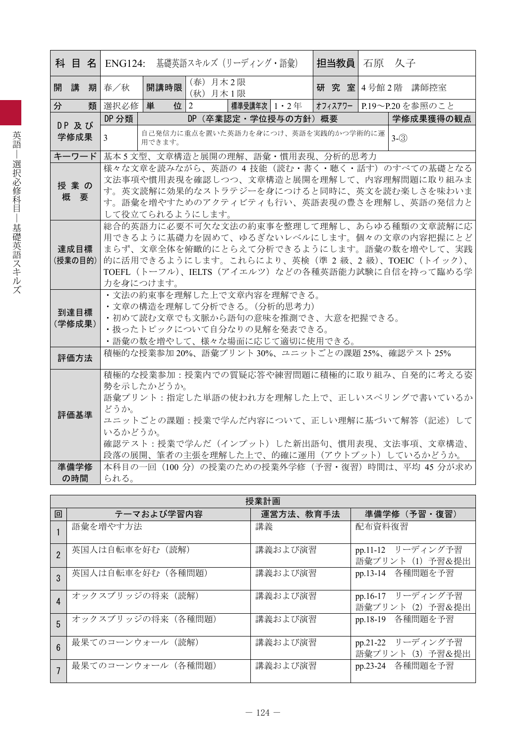|   | 科 目 名           |   |                                                                                                                                                                                                                                                                                                                   |          | ENG124: 基礎英語スキルズ (リーディング・語彙)       |              |  |  |  | 担当教員   石原 久子 |         |                                                                                                                                                                                      |
|---|-----------------|---|-------------------------------------------------------------------------------------------------------------------------------------------------------------------------------------------------------------------------------------------------------------------------------------------------------------------|----------|------------------------------------|--------------|--|--|--|--------------|---------|--------------------------------------------------------------------------------------------------------------------------------------------------------------------------------------|
| 開 | 講               |   | 期春/秋                                                                                                                                                                                                                                                                                                              | 開講時限     | (春) 月木2限<br>(秋) 月木1限               |              |  |  |  |              |         | 研 究 室 4号館 2階 講師控室                                                                                                                                                                    |
| 分 |                 | 類 | 選択必修                                                                                                                                                                                                                                                                                                              | 位 2<br>単 |                                    | 標準受講年次 1・2 年 |  |  |  |              |         | オフィスアワー   P.19~P.20を参照のこと                                                                                                                                                            |
|   | DP 及び           |   | DP 分類                                                                                                                                                                                                                                                                                                             |          | DP(卒業認定・学位授与の方針)概要                 |              |  |  |  |              |         | 学修成果獲得の観点                                                                                                                                                                            |
|   | 学修成果            |   | 3                                                                                                                                                                                                                                                                                                                 | 用できます。   | 自己発信力に重点を置いた英語力を身につけ、英語を実践的かつ学術的に運 |              |  |  |  |              | $3-(3)$ |                                                                                                                                                                                      |
|   | キーワード           |   |                                                                                                                                                                                                                                                                                                                   |          | 基本5文型、文章構造と展開の理解、語彙・慣用表現、分析的思考力    |              |  |  |  |              |         |                                                                                                                                                                                      |
|   | 授業の<br>概 要      |   |                                                                                                                                                                                                                                                                                                                   |          | して役立てられるようにします。                    |              |  |  |  |              |         | 様々な文章を読みながら、英語の 4 技能 (読む・書く・聴く・話す) のすべての基礎となる<br>文法事項や慣用表現を確認しつつ、文章構造と展開を理解して、内容理解問題に取り組みま<br>す。英文読解に効果的なストラテジーを身につけると同時に、英文を読む楽しさを味わいま<br>す。語彙を増やすためのアクティビティも行い、英語表現の豊さを理解し、英語の発信力と |
|   | 達成目標<br>(授業の目的) |   | 総合的英語力に必要不可欠な文法の約束事を整理して理解し、あらゆる種類の文章読解に応<br>用できるように基礎力を固めて、ゆるぎないレベルにします。個々の文章の内容把握にとど<br>まらず、文章全体を俯瞰的にとらえて分析できるようにします。語彙の数を増やして、実践<br>的に活用できるようにします。これらにより、英検(準 2 級、2 級)、TOEIC(トイック)、<br>TOEFL (トーフル)、IELTS (アイエルツ) などの各種英語能力試験に自信を持って臨める学<br>力を身につけます。                                                          |          |                                    |              |  |  |  |              |         |                                                                                                                                                                                      |
|   | 到達目標<br>(学修成果)  |   | ・文法の約束事を理解した上で文章内容を理解できる。<br>・文章の構造を理解して分析できる。(分析的思考力)<br>・初めて読む文章でも文脈から語句の意味を推測でき、大意を把握できる。<br>・扱ったトピックについて自分なりの見解を発表できる。<br>•語彙の数を増やして、様々な場面に応じて適切に使用できる。                                                                                                                                                       |          |                                    |              |  |  |  |              |         |                                                                                                                                                                                      |
|   | 評価方法            |   |                                                                                                                                                                                                                                                                                                                   |          |                                    |              |  |  |  |              |         |                                                                                                                                                                                      |
|   | 評価基準            |   | 積極的な授業参加 20%、語彙プリント 30%、ユニットごとの課題 25%、確認テスト 25%<br>積極的な授業参加:授業内での質疑応答や練習問題に積極的に取り組み、自発的に考える姿<br>勢を示したかどうか。<br>語彙プリント:指定した単語の使われ方を理解した上で、正しいスペリングで書いているか<br>どうか。<br>ユニットごとの課題:授業で学んだ内容について、正しい理解に基づいて解答(記述)して<br>いるかどうか。<br>確認テスト:授業で学んだ(インプット)した新出語句、慣用表現、文法事項、文章構造、<br>段落の展開、筆者の主張を理解した上で、的確に運用(アウトプット)しているかどうか。 |          |                                    |              |  |  |  |              |         |                                                                                                                                                                                      |
|   | 準備学修            |   |                                                                                                                                                                                                                                                                                                                   |          |                                    |              |  |  |  |              |         | 本科目の一回 (100分) の授業のための授業外学修 (予習・復習) 時間は、平均 45 分が求め                                                                                                                                    |
|   | の時間             |   | られる。                                                                                                                                                                                                                                                                                                              |          |                                    |              |  |  |  |              |         |                                                                                                                                                                                      |

|                        |                    | 授業計画      |                                       |
|------------------------|--------------------|-----------|---------------------------------------|
| 回                      | テーマおよび学習内容         | 運営方法、教育手法 | 準備学修 (予習·復習)                          |
|                        | 語彙を増やす方法           | 講義        | 配布資料復習                                |
| $\overline{2}$         | 英国人は自転車を好む (読解)    | 講義および演習   | pp.11-12 リーディング予習<br>語彙プリント (1) 予習&提出 |
| 3                      | 英国人は自転車を好む(各種問題)   | 講義および演習   | pp.13-14 各種問題を予習                      |
| $\boldsymbol{\Lambda}$ | オックスブリッジの将来 (読解)   | 講義および演習   | pp.16-17 リーディング予習<br>語彙プリント (2) 予習&提出 |
| 5                      | オックスブリッジの将来 (各種問題) | 講義および演習   | pp.18-19 各種問題を予習                      |
| $6\overline{6}$        | 最果てのコーンウォール (読解)   | 講義および演習   | pp.21-22 リーディング予習<br>語彙プリント (3) 予習&提出 |
|                        | 最果てのコーンウォール (各種問題) | 講義および演習   | pp.23-24 各種問題を予習                      |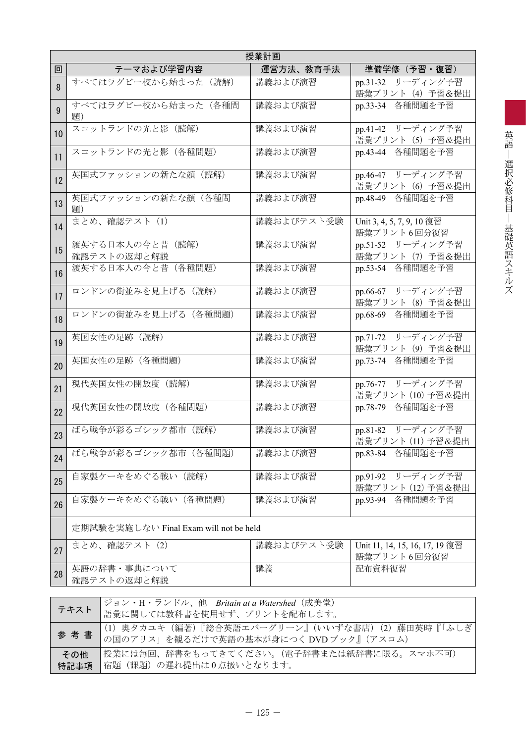|    | 授業計画                                   |            |                                               |  |  |  |  |
|----|----------------------------------------|------------|-----------------------------------------------|--|--|--|--|
| 回  | テーマおよび学習内容                             | 運営方法、教育手法  | 準備学修 (予習・復習)                                  |  |  |  |  |
| 8  | すべてはラグビー校から始まった (読解)                   | 講義および演習    | pp.31-32 リーディング予習<br>語彙プリント (4) 予習&提出         |  |  |  |  |
| 9  | すべてはラグビー校から始まった(各種問<br>題)              | 講義および演習    | pp.33-34 各種問題を予習                              |  |  |  |  |
| 10 | スコットランドの光と影 (読解)                       | 講義および演習    | pp.41-42 リーディング予習<br>語彙プリント (5) 予習&提出         |  |  |  |  |
| 11 | スコットランドの光と影 (各種問題)                     | 講義および演習    | pp.43-44 各種問題を予習                              |  |  |  |  |
| 12 | 英国式ファッションの新たな顔 (読解)                    | 講義および演習    | pp.46-47 リーディング予習<br>語彙プリント (6) 予習&提出         |  |  |  |  |
| 13 | 英国式ファッションの新たな顔(各種問<br>題)               | 講義および演習    | pp.48-49 各種問題を予習                              |  |  |  |  |
| 14 | まとめ、確認テスト (1)                          | 講義およびテスト受験 | Unit 3, 4, 5, 7, 9, 10 復習<br>語彙プリント6回分復習      |  |  |  |  |
| 15 | 渡英する日本人の今と昔 (読解)<br>確認テストの返却と解説        | 講義および演習    | pp.51-52 リーディング予習<br>語彙プリント (7) 予習&提出         |  |  |  |  |
| 16 | 渡英する日本人の今と昔 (各種問題)                     | 講義および演習    | pp.53-54 各種問題を予習                              |  |  |  |  |
| 17 | ロンドンの街並みを見上げる (読解)                     | 講義および演習    | pp.66-67 リーディング予習<br>語彙プリント (8) 予習&提出         |  |  |  |  |
| 18 | ロンドンの街並みを見上げる (各種問題)                   | 講義および演習    | pp.68-69 各種問題を予習                              |  |  |  |  |
| 19 | 英国女性の足跡 (読解)                           | 講義および演習    | pp.71-72 リーディング予習<br>語彙プリント (9) 予習&提出         |  |  |  |  |
| 20 | 英国女性の足跡 (各種問題)                         | 講義および演習    | pp.73-74 各種問題を予習                              |  |  |  |  |
| 21 | 現代英国女性の開放度(読解)                         | 講義および演習    | pp.76-77 リーディング予習<br>語彙プリント (10) 予習&提出        |  |  |  |  |
| 22 | 現代英国女性の開放度 (各種問題)                      | 講義および演習    | pp.78-79 各種問題を予習                              |  |  |  |  |
| 23 | ばら戦争が彩るゴシック都市 (読解)                     | 講義および演習    | pp.81-82 リーディング予習<br>語彙プリント (11) 予習&提出        |  |  |  |  |
| 24 | ばら戦争が彩るゴシック都市 (各種問題)                   | 講義および演習    | pp.83-84 各種問題を予習                              |  |  |  |  |
| 25 | 自家製ケーキをめぐる戦い (読解)                      | 講義および演習    | pp.91-92 リーディング予習<br>語彙プリント (12) 予習&提出        |  |  |  |  |
| 26 | 自家製ケーキをめぐる戦い (各種問題)                    | 講義および演習    | pp.93-94 各種問題を予習                              |  |  |  |  |
|    | 定期試験を実施しない Final Exam will not be held |            |                                               |  |  |  |  |
| 27 | まとめ、確認テスト (2)                          | 講義およびテスト受験 | Unit 11, 14, 15, 16, 17, 19 復習<br>語彙プリント6回分復習 |  |  |  |  |
| 28 | 英語の辞書・事典について<br>確認テストの返却と解説            | 講義         | 配布資料復習                                        |  |  |  |  |

|             | ジョン・H・ランドル、他 Britain at a Watershed (成美堂)<br><b>/テキスト</b>   語彙に関しては教科書を使用せず、プリントを配布します。 |
|-------------|-----------------------------------------------------------------------------------------|
|             | (1) 奥タカユキ(編著)『総合英語エバーグリーン』(いいずな書店)(2)藤田英時『「ふしぎ                                          |
| その他<br>特記事項 | 授業には毎回、辞書をもってきてください。(電子辞書または紙辞書に限る。スマホ不可)<br>宿題(課題)の遅れ提出は0点扱いとなります。                     |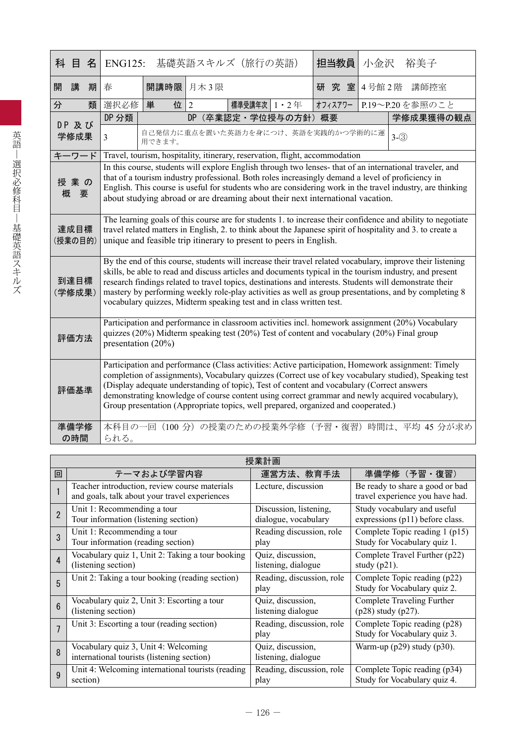| 科 目<br>名        | <b>ENG125:</b>                                                                                                                                                                                                                                                                                                                                                                                                                                                                                                    |                                                                                                                                                                                                                                                                                                                                                                                                                                                                                                   |           | 基礎英語スキルズ(旅行の英語) |                   | 担当教員    | 小金沢            | 裕美子                                                |  |
|-----------------|-------------------------------------------------------------------------------------------------------------------------------------------------------------------------------------------------------------------------------------------------------------------------------------------------------------------------------------------------------------------------------------------------------------------------------------------------------------------------------------------------------------------|---------------------------------------------------------------------------------------------------------------------------------------------------------------------------------------------------------------------------------------------------------------------------------------------------------------------------------------------------------------------------------------------------------------------------------------------------------------------------------------------------|-----------|-----------------|-------------------|---------|----------------|----------------------------------------------------|--|
| 講<br>開<br>期     | 春                                                                                                                                                                                                                                                                                                                                                                                                                                                                                                                 | 開講時限 月木3限                                                                                                                                                                                                                                                                                                                                                                                                                                                                                         |           |                 |                   |         | 研究室 4号館2階 講師控室 |                                                    |  |
| 分<br>類          | 選択必修                                                                                                                                                                                                                                                                                                                                                                                                                                                                                                              | 単<br>位                                                                                                                                                                                                                                                                                                                                                                                                                                                                                            | 2         | 標準受講年次   1 · 2年 |                   | オフィスアワー |                | P.19~P.20を参照のこと                                    |  |
| DP 及び           | DP 分類                                                                                                                                                                                                                                                                                                                                                                                                                                                                                                             |                                                                                                                                                                                                                                                                                                                                                                                                                                                                                                   | <b>DP</b> |                 | (卒業認定·学位授与の方針) 概要 |         |                | 学修成果獲得の観点                                          |  |
| 学修成果            | $\overline{3}$                                                                                                                                                                                                                                                                                                                                                                                                                                                                                                    | 自己発信力に重点を置いた英語力を身につけ、英語を実践的かつ学術的に運<br>用できます。                                                                                                                                                                                                                                                                                                                                                                                                                                                      |           |                 |                   |         |                | $3-(3)$                                            |  |
| キーワード           |                                                                                                                                                                                                                                                                                                                                                                                                                                                                                                                   | Travel, tourism, hospitality, itinerary, reservation, flight, accommodation                                                                                                                                                                                                                                                                                                                                                                                                                       |           |                 |                   |         |                |                                                    |  |
| 授業の<br>要<br>概   | In this course, students will explore English through two lenses- that of an international traveler, and<br>that of a tourism industry professional. Both roles increasingly demand a level of proficiency in<br>English. This course is useful for students who are considering work in the travel industry, are thinking<br>about studying abroad or are dreaming about their next international vacation.                                                                                                      |                                                                                                                                                                                                                                                                                                                                                                                                                                                                                                   |           |                 |                   |         |                |                                                    |  |
| 達成目標<br>(授業の目的) | The learning goals of this course are for students 1. to increase their confidence and ability to negotiate<br>travel related matters in English, 2. to think about the Japanese spirit of hospitality and 3. to create a<br>unique and feasible trip itinerary to present to peers in English.                                                                                                                                                                                                                   |                                                                                                                                                                                                                                                                                                                                                                                                                                                                                                   |           |                 |                   |         |                |                                                    |  |
| 到達目標<br>(学修成果)  | By the end of this course, students will increase their travel related vocabulary, improve their listening<br>skills, be able to read and discuss articles and documents typical in the tourism industry, and present<br>research findings related to travel topics, destinations and interests. Students will demonstrate their<br>mastery by performing weekly role-play activities as well as group presentations, and by completing 8<br>vocabulary quizzes, Midterm speaking test and in class written test. |                                                                                                                                                                                                                                                                                                                                                                                                                                                                                                   |           |                 |                   |         |                |                                                    |  |
| 評価方法            | Participation and performance in classroom activities incl. homework assignment (20%) Vocabulary<br>quizzes (20%) Midterm speaking test (20%) Test of content and vocabulary (20%) Final group<br>presentation (20%)                                                                                                                                                                                                                                                                                              |                                                                                                                                                                                                                                                                                                                                                                                                                                                                                                   |           |                 |                   |         |                |                                                    |  |
| 評価基準            |                                                                                                                                                                                                                                                                                                                                                                                                                                                                                                                   | Participation and performance (Class activities: Active participation, Homework assignment: Timely<br>completion of assignments), Vocabulary quizzes (Correct use of key vocabulary studied), Speaking test<br>(Display adequate understanding of topic), Test of content and vocabulary (Correct answers<br>demonstrating knowledge of course content using correct grammar and newly acquired vocabulary),<br>Group presentation (Appropriate topics, well prepared, organized and cooperated.) |           |                 |                   |         |                |                                                    |  |
| 準備学修<br>の時間     | られる。                                                                                                                                                                                                                                                                                                                                                                                                                                                                                                              |                                                                                                                                                                                                                                                                                                                                                                                                                                                                                                   |           |                 |                   |         |                | 本科目の一回 (100 分) の授業のための授業外学修 (予習・復習) 時間は、平均 45 分が求め |  |

|                | 授業計画                                                                                           |                                                |                                                                    |  |  |  |
|----------------|------------------------------------------------------------------------------------------------|------------------------------------------------|--------------------------------------------------------------------|--|--|--|
| 回              | テーマおよび学習内容                                                                                     | 運営方法、教育手法                                      | 準備学修(予習・復習)                                                        |  |  |  |
|                | Teacher introduction, review course materials<br>and goals, talk about your travel experiences | Lecture, discussion                            | Be ready to share a good or bad<br>travel experience you have had. |  |  |  |
| $\overline{2}$ | Unit 1: Recommending a tour<br>Tour information (listening section)                            | Discussion, listening,<br>dialogue, vocabulary | Study vocabulary and useful<br>expressions (p11) before class.     |  |  |  |
| 3              | Unit 1: Recommending a tour<br>Tour information (reading section)                              | Reading discussion, role<br>play               | Complete Topic reading 1 (p15)<br>Study for Vocabulary quiz 1.     |  |  |  |
| 4              | Vocabulary quiz 1, Unit 2: Taking a tour booking<br>(listening section)                        | Quiz, discussion,<br>listening, dialogue       | Complete Travel Further (p22)<br>study $(p21)$ .                   |  |  |  |
| 5              | Unit 2: Taking a tour booking (reading section)                                                | Reading, discussion, role<br>play              | Complete Topic reading (p22)<br>Study for Vocabulary quiz 2.       |  |  |  |
| 6              | Vocabulary quiz 2, Unit 3: Escorting a tour<br>(listening section)                             | Quiz, discussion,<br>listening dialogue        | Complete Traveling Further<br>$(p28)$ study $(p27)$ .              |  |  |  |
|                | Unit 3: Escorting a tour (reading section)                                                     | Reading, discussion, role<br>play              | Complete Topic reading (p28)<br>Study for Vocabulary quiz 3.       |  |  |  |
| 8              | Vocabulary quiz 3, Unit 4: Welcoming<br>international tourists (listening section)             | Quiz, discussion,<br>listening, dialogue       | Warm-up $(p29)$ study $(p30)$ .                                    |  |  |  |
| 9              | Unit 4: Welcoming international tourists (reading<br>section)                                  | Reading, discussion, role<br>play              | Complete Topic reading (p34)<br>Study for Vocabulary quiz 4.       |  |  |  |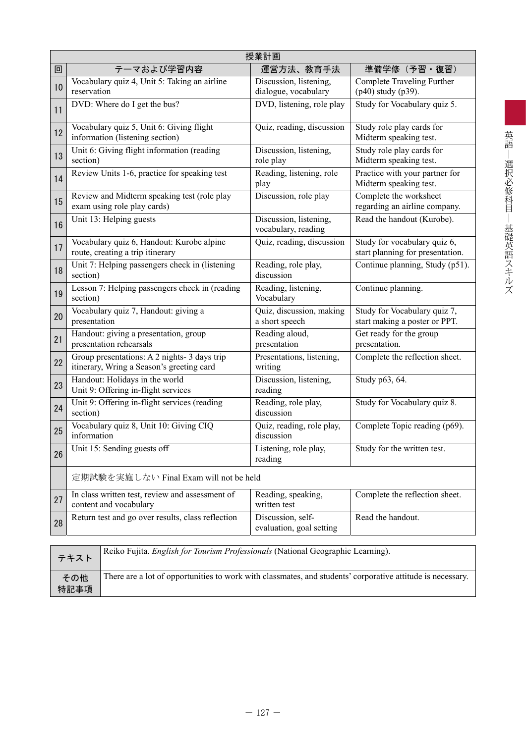|    | 授業計画                                                                                     |                                                |                                                                  |  |  |  |  |
|----|------------------------------------------------------------------------------------------|------------------------------------------------|------------------------------------------------------------------|--|--|--|--|
| 回  | テーマおよび学習内容                                                                               | 運営方法、教育手法                                      | 準備学修(予習・復習)                                                      |  |  |  |  |
| 10 | Vocabulary quiz 4, Unit 5: Taking an airline<br>reservation                              | Discussion, listening,<br>dialogue, vocabulary | Complete Traveling Further<br>(p40) study (p39).                 |  |  |  |  |
| 11 | DVD: Where do I get the bus?                                                             | DVD, listening, role play                      | Study for Vocabulary quiz 5.                                     |  |  |  |  |
| 12 | Vocabulary quiz 5, Unit 6: Giving flight<br>information (listening section)              | Quiz, reading, discussion                      | Study role play cards for<br>Midterm speaking test.              |  |  |  |  |
| 13 | Unit 6: Giving flight information (reading<br>section)                                   | Discussion, listening,<br>role play            | Study role play cards for<br>Midterm speaking test.              |  |  |  |  |
| 14 | Review Units 1-6, practice for speaking test                                             | Reading, listening, role<br>play               | Practice with your partner for<br>Midterm speaking test.         |  |  |  |  |
| 15 | Review and Midterm speaking test (role play<br>exam using role play cards)               | Discussion, role play                          | Complete the worksheet<br>regarding an airline company.          |  |  |  |  |
| 16 | Unit 13: Helping guests                                                                  | Discussion, listening,<br>vocabulary, reading  | Read the handout (Kurobe).                                       |  |  |  |  |
| 17 | Vocabulary quiz 6, Handout: Kurobe alpine<br>route, creating a trip itinerary            | Quiz, reading, discussion                      | Study for vocabulary quiz 6,<br>start planning for presentation. |  |  |  |  |
| 18 | Unit 7: Helping passengers check in (listening<br>section)                               | Reading, role play,<br>discussion              | Continue planning, Study (p51).                                  |  |  |  |  |
| 19 | Lesson 7: Helping passengers check in (reading<br>section)                               | Reading, listening,<br>Vocabulary              | Continue planning.                                               |  |  |  |  |
| 20 | Vocabulary quiz 7, Handout: giving a<br>presentation                                     | Quiz, discussion, making<br>a short speech     | Study for Vocabulary quiz 7,<br>start making a poster or PPT.    |  |  |  |  |
| 21 | Handout: giving a presentation, group<br>presentation rehearsals                         | Reading aloud,<br>presentation                 | Get ready for the group<br>presentation.                         |  |  |  |  |
| 22 | Group presentations: A 2 nights-3 days trip<br>itinerary, Wring a Season's greeting card | Presentations, listening,<br>writing           | Complete the reflection sheet.                                   |  |  |  |  |
| 23 | Handout: Holidays in the world<br>Unit 9: Offering in-flight services                    | Discussion, listening,<br>reading              | Study p63, 64.                                                   |  |  |  |  |
| 24 | Unit 9: Offering in-flight services (reading<br>section)                                 | Reading, role play,<br>discussion              | Study for Vocabulary quiz 8.                                     |  |  |  |  |
| 25 | Vocabulary quiz 8, Unit 10: Giving CIQ<br>information                                    | Quiz, reading, role play,<br>discussion        | Complete Topic reading (p69).                                    |  |  |  |  |
| 26 | Unit 15: Sending guests off                                                              | Listening, role play,<br>reading               | Study for the written test.                                      |  |  |  |  |
|    | 定期試験を実施しない Final Exam will not be held                                                   |                                                |                                                                  |  |  |  |  |
| 27 | In class written test, review and assessment of<br>content and vocabulary                | Reading, speaking,<br>written test             | Complete the reflection sheet.                                   |  |  |  |  |
| 28 | Return test and go over results, class reflection                                        | Discussion, self-<br>evaluation, goal setting  | Read the handout.                                                |  |  |  |  |
|    |                                                                                          |                                                |                                                                  |  |  |  |  |

| テキスト        | Reiko Fujita. <i>English for Tourism Professionals</i> (National Geographic Learning).                     |
|-------------|------------------------------------------------------------------------------------------------------------|
| その他<br>特記事項 | There are a lot of opportunities to work with classmates, and students' corporative attitude is necessary. |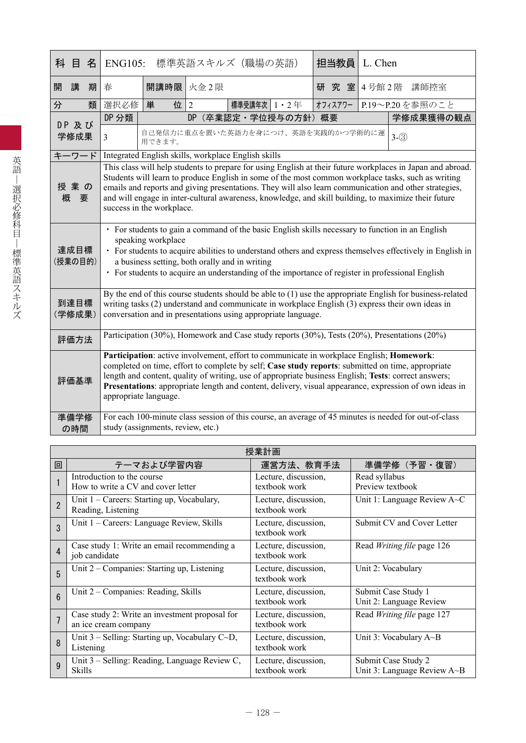| 目<br>科<br>名     |                                                                                                                                                                                                                                                                                                                                                                                                                                                                | 標準英語スキルズ(職場の英語)<br>担当教員<br><b>ENG105:</b><br>L. Chen                                                                                                                                                                                                                                                                                                                                                                                     |                                               |                      |  |  |         |  |  |                                                                                                       |
|-----------------|----------------------------------------------------------------------------------------------------------------------------------------------------------------------------------------------------------------------------------------------------------------------------------------------------------------------------------------------------------------------------------------------------------------------------------------------------------------|------------------------------------------------------------------------------------------------------------------------------------------------------------------------------------------------------------------------------------------------------------------------------------------------------------------------------------------------------------------------------------------------------------------------------------------|-----------------------------------------------|----------------------|--|--|---------|--|--|-------------------------------------------------------------------------------------------------------|
| 講<br>開<br>期     | 春                                                                                                                                                                                                                                                                                                                                                                                                                                                              | 開講時限 火金2限                                                                                                                                                                                                                                                                                                                                                                                                                                |                                               |                      |  |  |         |  |  | 研 究 室 4号館 2階 講師控室                                                                                     |
| 分<br>類          | 選択必修                                                                                                                                                                                                                                                                                                                                                                                                                                                           | 単<br>位                                                                                                                                                                                                                                                                                                                                                                                                                                   | 2                                             | 標準受講年次   1 · 2 年     |  |  | オフィスアワー |  |  | P.19~P.20を参照のこと                                                                                       |
|                 | DP 分類                                                                                                                                                                                                                                                                                                                                                                                                                                                          |                                                                                                                                                                                                                                                                                                                                                                                                                                          |                                               | DP (卒業認定·学位授与の方針) 概要 |  |  |         |  |  | 学修成果獲得の観点                                                                                             |
| DP 及び<br>学修成果   | 3                                                                                                                                                                                                                                                                                                                                                                                                                                                              | 用できます。                                                                                                                                                                                                                                                                                                                                                                                                                                   | 自己発信力に重点を置いた英語力を身につけ、英語を実践的かつ学術的に運<br>$3-(3)$ |                      |  |  |         |  |  |                                                                                                       |
| キーワード           |                                                                                                                                                                                                                                                                                                                                                                                                                                                                | Integrated English skills, workplace English skills                                                                                                                                                                                                                                                                                                                                                                                      |                                               |                      |  |  |         |  |  |                                                                                                       |
| 授業の<br>概<br>要   | This class will help students to prepare for using English at their future workplaces in Japan and abroad.<br>Students will learn to produce English in some of the most common workplace tasks, such as writing<br>emails and reports and giving presentations. They will also learn communication and other strategies,<br>and will engage in inter-cultural awareness, knowledge, and skill building, to maximize their future<br>success in the workplace. |                                                                                                                                                                                                                                                                                                                                                                                                                                          |                                               |                      |  |  |         |  |  |                                                                                                       |
| 達成目標<br>(授業の目的) | · For students to gain a command of the basic English skills necessary to function in an English<br>speaking workplace<br>• For students to acquire abilities to understand others and express themselves effectively in English in<br>a business setting, both orally and in writing<br>• For students to acquire an understanding of the importance of register in professional English                                                                      |                                                                                                                                                                                                                                                                                                                                                                                                                                          |                                               |                      |  |  |         |  |  |                                                                                                       |
| 到達目標<br>(学修成果)  | By the end of this course students should be able to (1) use the appropriate English for business-related<br>writing tasks (2) understand and communicate in workplace English (3) express their own ideas in<br>conversation and in presentations using appropriate language.                                                                                                                                                                                 |                                                                                                                                                                                                                                                                                                                                                                                                                                          |                                               |                      |  |  |         |  |  |                                                                                                       |
| 評価方法            |                                                                                                                                                                                                                                                                                                                                                                                                                                                                | Participation (30%), Homework and Case study reports (30%), Tests (20%), Presentations (20%)                                                                                                                                                                                                                                                                                                                                             |                                               |                      |  |  |         |  |  |                                                                                                       |
| 評価基準            |                                                                                                                                                                                                                                                                                                                                                                                                                                                                | Participation: active involvement, effort to communicate in workplace English; Homework:<br>completed on time, effort to complete by self; Case study reports: submitted on time, appropriate<br>length and content, quality of writing, use of appropriate business English; Tests: correct answers;<br>Presentations: appropriate length and content, delivery, visual appearance, expression of own ideas in<br>appropriate language. |                                               |                      |  |  |         |  |  |                                                                                                       |
| 準備学修<br>の時間     |                                                                                                                                                                                                                                                                                                                                                                                                                                                                | study (assignments, review, etc.)                                                                                                                                                                                                                                                                                                                                                                                                        |                                               |                      |  |  |         |  |  | For each 100-minute class session of this course, an average of 45 minutes is needed for out-of-class |

|                | 授業計画                                                                   |                                       |                                                    |  |  |  |
|----------------|------------------------------------------------------------------------|---------------------------------------|----------------------------------------------------|--|--|--|
| 回              | テーマおよび学習内容                                                             | 運営方法、教育手法                             | 準備学修(予習・復習)                                        |  |  |  |
|                | Introduction to the course<br>How to write a CV and cover letter       | Lecture, discussion,<br>textbook work | Read syllabus<br>Preview textbook                  |  |  |  |
| $\overline{2}$ | Unit 1 – Careers: Starting up, Vocabulary,<br>Reading, Listening       | Lecture, discussion,<br>textbook work | Unit 1: Language Review A~C                        |  |  |  |
| 3              | Unit 1 - Careers: Language Review, Skills                              | Lecture, discussion,<br>textbook work | Submit CV and Cover Letter                         |  |  |  |
| $\overline{4}$ | Case study 1: Write an email recommending a<br>job candidate           | Lecture, discussion,<br>textbook work | Read Writing file page 126                         |  |  |  |
| 5              | Unit 2 - Companies: Starting up, Listening                             | Lecture, discussion,<br>textbook work | Unit 2: Vocabulary                                 |  |  |  |
| $6\phantom{1}$ | Unit 2 – Companies: Reading, Skills                                    | Lecture, discussion,<br>textbook work | Submit Case Study 1<br>Unit 2: Language Review     |  |  |  |
| 7              | Case study 2: Write an investment proposal for<br>an ice cream company | Lecture, discussion,<br>textbook work | Read Writing file page 127                         |  |  |  |
| 8              | Unit $3$ – Selling: Starting up, Vocabulary C $\sim$ D,<br>Listening   | Lecture, discussion,<br>textbook work | Unit 3: Vocabulary $A \sim B$                      |  |  |  |
| 9              | Unit 3 – Selling: Reading, Language Review C,<br><b>Skills</b>         | Lecture, discussion,<br>textbook work | Submit Case Study 2<br>Unit 3: Language Review A~B |  |  |  |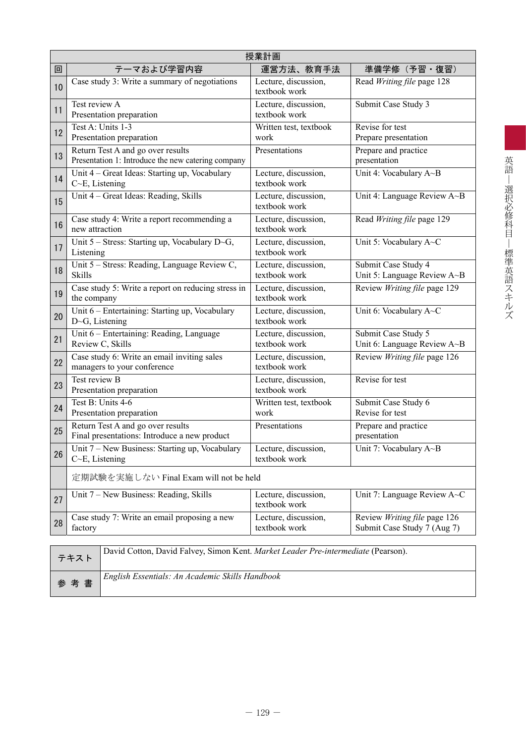|    | 授業計画                                                                                    |                                       |                                                             |  |  |  |  |
|----|-----------------------------------------------------------------------------------------|---------------------------------------|-------------------------------------------------------------|--|--|--|--|
| 回  | テーマおよび学習内容                                                                              | 運営方法、教育手法                             | 準備学修 (予習・復習)                                                |  |  |  |  |
| 10 | Case study 3: Write a summary of negotiations                                           | Lecture, discussion,<br>textbook work | Read Writing file page 128                                  |  |  |  |  |
| 11 | Test review A<br>Presentation preparation                                               | Lecture, discussion,<br>textbook work | Submit Case Study 3                                         |  |  |  |  |
| 12 | Test A: Units 1-3<br>Presentation preparation                                           | Written test, textbook<br>work        | Revise for test<br>Prepare presentation                     |  |  |  |  |
| 13 | Return Test A and go over results<br>Presentation 1: Introduce the new catering company | Presentations                         | Prepare and practice<br>presentation                        |  |  |  |  |
| 14 | Unit 4 - Great Ideas: Starting up, Vocabulary<br>$C\neg E$ , Listening                  | Lecture, discussion,<br>textbook work | Unit 4: Vocabulary A~B                                      |  |  |  |  |
| 15 | Unit 4 - Great Ideas: Reading, Skills                                                   | Lecture, discussion,<br>textbook work | Unit 4: Language Review A~B                                 |  |  |  |  |
| 16 | Case study 4: Write a report recommending a<br>new attraction                           | Lecture, discussion,<br>textbook work | Read Writing file page 129                                  |  |  |  |  |
| 17 | Unit $5 -$ Stress: Starting up, Vocabulary D~G,<br>Listening                            | Lecture, discussion,<br>textbook work | Unit 5: Vocabulary A~C                                      |  |  |  |  |
| 18 | Unit 5 - Stress: Reading, Language Review C,<br>Skills                                  | Lecture, discussion,<br>textbook work | Submit Case Study 4<br>Unit 5: Language Review A~B          |  |  |  |  |
| 19 | Case study 5: Write a report on reducing stress in<br>the company                       | Lecture, discussion,<br>textbook work | Review Writing file page 129                                |  |  |  |  |
| 20 | Unit 6 - Entertaining: Starting up, Vocabulary<br>$D \sim G$ , Listening                | Lecture, discussion,<br>textbook work | Unit 6: Vocabulary A~C                                      |  |  |  |  |
| 21 | Unit 6 - Entertaining: Reading, Language<br>Review C, Skills                            | Lecture, discussion,<br>textbook work | Submit Case Study 5<br>Unit 6: Language Review A~B          |  |  |  |  |
| 22 | Case study 6: Write an email inviting sales<br>managers to your conference              | Lecture, discussion,<br>textbook work | Review Writing file page 126                                |  |  |  |  |
| 23 | Test review B<br>Presentation preparation                                               | Lecture, discussion,<br>textbook work | Revise for test                                             |  |  |  |  |
| 24 | Test B: Units 4-6<br>Presentation preparation                                           | Written test, textbook<br>work        | Submit Case Study 6<br>Revise for test                      |  |  |  |  |
| 25 | Return Test A and go over results<br>Final presentations: Introduce a new product       | Presentations                         | Prepare and practice<br>presentation                        |  |  |  |  |
| 26 | Unit 7 - New Business: Starting up, Vocabulary<br>C <sub>&gt;</sub> E, Listening        | Lecture, discussion,<br>textbook work | Unit 7: Vocabulary A~B                                      |  |  |  |  |
|    | 定期試験を実施しない Final Exam will not be held                                                  |                                       |                                                             |  |  |  |  |
| 27 | Unit 7 – New Business: Reading, Skills                                                  | Lecture, discussion,<br>textbook work | Unit 7: Language Review A~C                                 |  |  |  |  |
| 28 | Case study 7: Write an email proposing a new<br>factory                                 | Lecture, discussion,<br>textbook work | Review Writing file page 126<br>Submit Case Study 7 (Aug 7) |  |  |  |  |
|    |                                                                                         |                                       |                                                             |  |  |  |  |

| テキスト | David Cotton, David Falvey, Simon Kent. Market Leader Pre-intermediate (Pearson). |
|------|-----------------------------------------------------------------------------------|
| 参考書  | English Essentials: An Academic Skills Handbook                                   |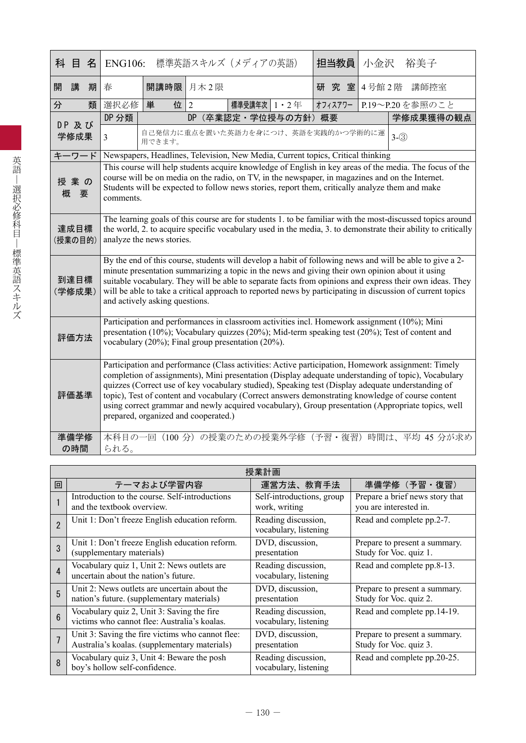| 科<br>目<br>名     | <b>ENG106:</b>                                                                                                                                                                                                                                                                                                                                                                                                                                                          |                                                                                                                                                                                                                                                                                                                                                                                                                                                                                                                                                                   |                | 標準英語スキルズ (メディアの英語) |                  | 担当教員    | 小金沢   |         | 裕美子                                                |
|-----------------|-------------------------------------------------------------------------------------------------------------------------------------------------------------------------------------------------------------------------------------------------------------------------------------------------------------------------------------------------------------------------------------------------------------------------------------------------------------------------|-------------------------------------------------------------------------------------------------------------------------------------------------------------------------------------------------------------------------------------------------------------------------------------------------------------------------------------------------------------------------------------------------------------------------------------------------------------------------------------------------------------------------------------------------------------------|----------------|--------------------|------------------|---------|-------|---------|----------------------------------------------------|
| 開<br>講<br>期     | 春                                                                                                                                                                                                                                                                                                                                                                                                                                                                       | 開講時限                                                                                                                                                                                                                                                                                                                                                                                                                                                                                                                                                              | 月木2限           |                    |                  | 研究室     | 4号館2階 |         | 講師控室                                               |
| 類<br>分          | 選択必修                                                                                                                                                                                                                                                                                                                                                                                                                                                                    | 単<br>位                                                                                                                                                                                                                                                                                                                                                                                                                                                                                                                                                            | $\overline{2}$ | 標準受講年次 1・2年        |                  | オフィスアワー |       |         | P.19~P.20を参照のこと                                    |
| DP 及び           | DP 分類                                                                                                                                                                                                                                                                                                                                                                                                                                                                   |                                                                                                                                                                                                                                                                                                                                                                                                                                                                                                                                                                   | <b>DP</b>      |                    | (卒業認定·学位授与の方針)概要 |         |       |         | 学修成果獲得の観点                                          |
| 学修成果            | $\overline{3}$                                                                                                                                                                                                                                                                                                                                                                                                                                                          | 自己発信力に重点を置いた英語力を身につけ、英語を実践的かつ学術的に運<br>用できます。                                                                                                                                                                                                                                                                                                                                                                                                                                                                                                                      |                |                    |                  |         |       | $3-(3)$ |                                                    |
| キーワード           |                                                                                                                                                                                                                                                                                                                                                                                                                                                                         | Newspapers, Headlines, Television, New Media, Current topics, Critical thinking                                                                                                                                                                                                                                                                                                                                                                                                                                                                                   |                |                    |                  |         |       |         |                                                    |
| 授業の<br>概<br>要   | This course will help students acquire knowledge of English in key areas of the media. The focus of the<br>course will be on media on the radio, on TV, in the newspaper, in magazines and on the Internet.<br>Students will be expected to follow news stories, report them, critically analyze them and make<br>comments.                                                                                                                                             |                                                                                                                                                                                                                                                                                                                                                                                                                                                                                                                                                                   |                |                    |                  |         |       |         |                                                    |
| 達成目標<br>(授業の目的) | The learning goals of this course are for students 1. to be familiar with the most-discussed topics around<br>the world, 2. to acquire specific vocabulary used in the media, 3. to demonstrate their ability to critically<br>analyze the news stories.                                                                                                                                                                                                                |                                                                                                                                                                                                                                                                                                                                                                                                                                                                                                                                                                   |                |                    |                  |         |       |         |                                                    |
| 到達目標<br>(学修成果)  | By the end of this course, students will develop a habit of following news and will be able to give a 2-<br>minute presentation summarizing a topic in the news and giving their own opinion about it using<br>suitable vocabulary. They will be able to separate facts from opinions and express their own ideas. They<br>will be able to take a critical approach to reported news by participating in discussion of current topics<br>and actively asking questions. |                                                                                                                                                                                                                                                                                                                                                                                                                                                                                                                                                                   |                |                    |                  |         |       |         |                                                    |
| 評価方法            | Participation and performances in classroom activities incl. Homework assignment (10%); Mini<br>presentation $(10\%)$ ; Vocabulary quizzes $(20\%)$ ; Mid-term speaking test $(20\%)$ ; Test of content and<br>vocabulary $(20\%)$ ; Final group presentation $(20\%)$ .                                                                                                                                                                                                |                                                                                                                                                                                                                                                                                                                                                                                                                                                                                                                                                                   |                |                    |                  |         |       |         |                                                    |
| 評価基準            |                                                                                                                                                                                                                                                                                                                                                                                                                                                                         | Participation and performance (Class activities: Active participation, Homework assignment: Timely<br>completion of assignments), Mini presentation (Display adequate understanding of topic), Vocabulary<br>quizzes (Correct use of key vocabulary studied), Speaking test (Display adequate understanding of<br>topic), Test of content and vocabulary (Correct answers demonstrating knowledge of course content<br>using correct grammar and newly acquired vocabulary), Group presentation (Appropriate topics, well<br>prepared, organized and cooperated.) |                |                    |                  |         |       |         |                                                    |
| 準備学修<br>の時間     | られる。                                                                                                                                                                                                                                                                                                                                                                                                                                                                    |                                                                                                                                                                                                                                                                                                                                                                                                                                                                                                                                                                   |                |                    |                  |         |       |         | 本科目の一回 (100 分) の授業のための授業外学修 (予習・復習) 時間は、平均 45 分が求め |

|                 | 授業計画                                                                                              |                                              |                                                           |  |  |  |  |
|-----------------|---------------------------------------------------------------------------------------------------|----------------------------------------------|-----------------------------------------------------------|--|--|--|--|
| 回               | テーマおよび学習内容                                                                                        | 運営方法、教育手法                                    | 準備学修 (予習·復習)                                              |  |  |  |  |
|                 | Introduction to the course. Self-introductions<br>and the textbook overview.                      | Self-introductions, group<br>work, writing   | Prepare a brief news story that<br>you are interested in. |  |  |  |  |
| $\overline{2}$  | Unit 1: Don't freeze English education reform.                                                    | Reading discussion,<br>vocabulary, listening | Read and complete pp.2-7.                                 |  |  |  |  |
| 3               | Unit 1: Don't freeze English education reform.<br>(supplementary materials)                       | DVD, discussion,<br>presentation             | Prepare to present a summary.<br>Study for Voc. quiz 1.   |  |  |  |  |
| $\overline{4}$  | Vocabulary quiz 1, Unit 2: News outlets are<br>uncertain about the nation's future.               | Reading discussion,<br>vocabulary, listening | Read and complete pp.8-13.                                |  |  |  |  |
| 5               | Unit 2: News outlets are uncertain about the<br>nation's future. (supplementary materials)        | DVD, discussion,<br>presentation             | Prepare to present a summary.<br>Study for Voc. quiz 2.   |  |  |  |  |
| $6\overline{6}$ | Vocabulary quiz 2, Unit 3: Saving the fire<br>victims who cannot flee: Australia's koalas.        | Reading discussion,<br>vocabulary, listening | Read and complete pp.14-19.                               |  |  |  |  |
|                 | Unit 3: Saving the fire victims who cannot flee:<br>Australia's koalas. (supplementary materials) | DVD, discussion,<br>presentation             | Prepare to present a summary.<br>Study for Voc. quiz 3.   |  |  |  |  |
| 8               | Vocabulary quiz 3, Unit 4: Beware the posh<br>boy's hollow self-confidence.                       | Reading discussion,<br>vocabulary, listening | Read and complete pp.20-25.                               |  |  |  |  |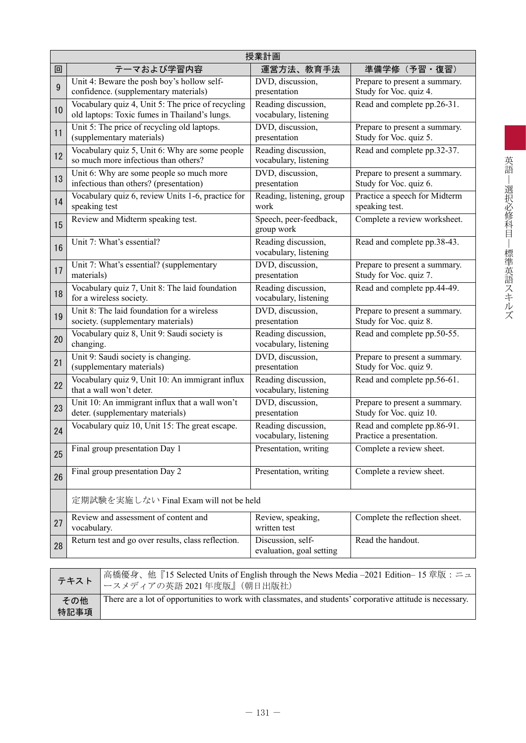|    | 授業計画                                                                                               |                                               |                                                          |  |  |  |
|----|----------------------------------------------------------------------------------------------------|-----------------------------------------------|----------------------------------------------------------|--|--|--|
| 回  | テーマおよび学習内容                                                                                         | 運営方法、教育手法                                     | 準備学修(予習・復習)                                              |  |  |  |
| 9  | Unit 4: Beware the posh boy's hollow self-<br>confidence. (supplementary materials)                | DVD, discussion,<br>presentation              | Prepare to present a summary.<br>Study for Voc. quiz 4.  |  |  |  |
| 10 | Vocabulary quiz 4, Unit 5: The price of recycling<br>old laptops: Toxic fumes in Thailand's lungs. | Reading discussion,<br>vocabulary, listening  | Read and complete pp.26-31.                              |  |  |  |
| 11 | Unit 5: The price of recycling old laptops.<br>(supplementary materials)                           | DVD, discussion,<br>presentation              | Prepare to present a summary.<br>Study for Voc. quiz 5.  |  |  |  |
| 12 | Vocabulary quiz 5, Unit 6: Why are some people<br>so much more infectious than others?             | Reading discussion,<br>vocabulary, listening  | Read and complete pp.32-37.                              |  |  |  |
| 13 | Unit 6: Why are some people so much more<br>infectious than others? (presentation)                 | DVD, discussion,<br>presentation              | Prepare to present a summary.<br>Study for Voc. quiz 6.  |  |  |  |
| 14 | Vocabulary quiz 6, review Units 1-6, practice for<br>speaking test                                 | Reading, listening, group<br>work             | Practice a speech for Midterm<br>speaking test.          |  |  |  |
| 15 | Review and Midterm speaking test.                                                                  | Speech, peer-feedback,<br>group work          | Complete a review worksheet.                             |  |  |  |
| 16 | Unit 7: What's essential?                                                                          | Reading discussion,<br>vocabulary, listening  | Read and complete pp.38-43.                              |  |  |  |
| 17 | Unit 7: What's essential? (supplementary<br>materials)                                             | DVD, discussion,<br>presentation              | Prepare to present a summary.<br>Study for Voc. quiz 7.  |  |  |  |
| 18 | Vocabulary quiz 7, Unit 8: The laid foundation<br>for a wireless society.                          | Reading discussion,<br>vocabulary, listening  | Read and complete pp.44-49.                              |  |  |  |
| 19 | Unit 8: The laid foundation for a wireless<br>society. (supplementary materials)                   | DVD, discussion,<br>presentation              | Prepare to present a summary.<br>Study for Voc. quiz 8.  |  |  |  |
| 20 | Vocabulary quiz 8, Unit 9: Saudi society is<br>changing.                                           | Reading discussion,<br>vocabulary, listening  | Read and complete pp.50-55.                              |  |  |  |
| 21 | Unit 9: Saudi society is changing.<br>(supplementary materials)                                    | DVD, discussion,<br>presentation              | Prepare to present a summary.<br>Study for Voc. quiz 9.  |  |  |  |
| 22 | Vocabulary quiz 9, Unit 10: An immigrant influx<br>that a wall won't deter.                        | Reading discussion,<br>vocabulary, listening  | Read and complete pp.56-61.                              |  |  |  |
| 23 | Unit 10: An immigrant influx that a wall won't<br>deter. (supplementary materials)                 | DVD, discussion,<br>presentation              | Prepare to present a summary.<br>Study for Voc. quiz 10. |  |  |  |
| 24 | Vocabulary quiz 10, Unit 15: The great escape.                                                     | Reading discussion,<br>vocabulary, listening  | Read and complete pp.86-91.<br>Practice a presentation.  |  |  |  |
| 25 | Final group presentation Day 1                                                                     | Presentation, writing                         | Complete a review sheet.                                 |  |  |  |
| 26 | Final group presentation Day 2                                                                     | Presentation, writing                         | Complete a review sheet.                                 |  |  |  |
|    | 定期試験を実施しない Final Exam will not be held                                                             |                                               |                                                          |  |  |  |
| 27 | Review and assessment of content and<br>vocabulary.                                                | Review, speaking,<br>written test             | Complete the reflection sheet.                           |  |  |  |
| 28 | Return test and go over results, class reflection.                                                 | Discussion, self-<br>evaluation, goal setting | Read the handout.                                        |  |  |  |

|             | 高橋優身、他『15 Selected Units of English through the News Media -2021 Edition-15 章版: ニュ                         |
|-------------|------------------------------------------------------------------------------------------------------------|
| その他<br>特記事項 | There are a lot of opportunities to work with classmates, and students' corporative attitude is necessary. |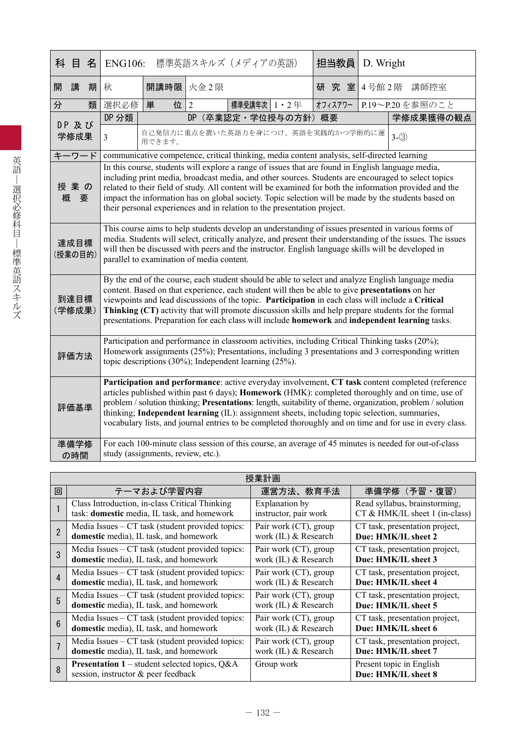| 科 目                                                                                                                                                                                                                                                                                                                                                                                    |     | 名    | <b>ENG106:</b>                                                                                                                                                                                                                                                                                                                                                                                                                                                                                                                                                                                                                                  |                                    |                | 標準英語スキルズ (メディアの英語) |  | 担当教員                                                                                        | D. Wright |                 |
|----------------------------------------------------------------------------------------------------------------------------------------------------------------------------------------------------------------------------------------------------------------------------------------------------------------------------------------------------------------------------------------|-----|------|-------------------------------------------------------------------------------------------------------------------------------------------------------------------------------------------------------------------------------------------------------------------------------------------------------------------------------------------------------------------------------------------------------------------------------------------------------------------------------------------------------------------------------------------------------------------------------------------------------------------------------------------------|------------------------------------|----------------|--------------------|--|---------------------------------------------------------------------------------------------|-----------|-----------------|
| 開                                                                                                                                                                                                                                                                                                                                                                                      | 講   | 期    | 秋                                                                                                                                                                                                                                                                                                                                                                                                                                                                                                                                                                                                                                               |                                    | 開講時限 火金2限      |                    |  | 研究室                                                                                         |           | 4号館2階 講師控室      |
| 分                                                                                                                                                                                                                                                                                                                                                                                      |     | 類    | 選択必修                                                                                                                                                                                                                                                                                                                                                                                                                                                                                                                                                                                                                                            | 単<br>位                             | $\overline{2}$ | 標準受講年次 1 · 2年      |  | オフィスアワー                                                                                     |           | P.19~P.20を参照のこと |
| DP 及び                                                                                                                                                                                                                                                                                                                                                                                  |     |      | DP 分類                                                                                                                                                                                                                                                                                                                                                                                                                                                                                                                                                                                                                                           |                                    | DP             | (卒業認定·学位授与の方針) 概要  |  |                                                                                             |           | 学修成果獲得の観点       |
|                                                                                                                                                                                                                                                                                                                                                                                        |     | 学修成果 | $\overline{3}$                                                                                                                                                                                                                                                                                                                                                                                                                                                                                                                                                                                                                                  | 用できます。                             |                |                    |  | 自己発信力に重点を置いた英語力を身につけ、英語を実践的かつ学術的に運                                                          |           | $3-(3)$         |
| キーワード                                                                                                                                                                                                                                                                                                                                                                                  |     |      |                                                                                                                                                                                                                                                                                                                                                                                                                                                                                                                                                                                                                                                 |                                    |                |                    |  | communicative competence, critical thinking, media content analysis, self-directed learning |           |                 |
| 授業の<br>概                                                                                                                                                                                                                                                                                                                                                                               | 要   |      | In this course, students will explore a range of issues that are found in English language media,<br>including print media, broadcast media, and other sources. Students are encouraged to select topics<br>related to their field of study. All content will be examined for both the information provided and the<br>impact the information has on global society. Topic selection will be made by the students based on<br>their personal experiences and in relation to the presentation project.                                                                                                                                           |                                    |                |                    |  |                                                                                             |           |                 |
| This course aims to help students develop an understanding of issues presented in various forms of<br>media. Students will select, critically analyze, and present their understanding of the issues. The issues<br>達成目標<br>will then be discussed with peers and the instructor. English language skills will be developed in<br>(授業の目的)<br>parallel to examination of media content. |     |      |                                                                                                                                                                                                                                                                                                                                                                                                                                                                                                                                                                                                                                                 |                                    |                |                    |  |                                                                                             |           |                 |
| 到達目標<br>(学修成果)                                                                                                                                                                                                                                                                                                                                                                         |     |      | By the end of the course, each student should be able to select and analyze English language media<br>content. Based on that experience, each student will then be able to give presentations on her<br>viewpoints and lead discussions of the topic. Participation in each class will include a Critical<br>Thinking (CT) activity that will promote discussion skills and help prepare students for the formal<br>presentations. Preparation for each class will include homework and independent learning tasks.                                                                                                                             |                                    |                |                    |  |                                                                                             |           |                 |
| 評価方法                                                                                                                                                                                                                                                                                                                                                                                   |     |      | Participation and performance in classroom activities, including Critical Thinking tasks (20%);<br>Homework assignments (25%); Presentations, including 3 presentations and 3 corresponding written<br>topic descriptions $(30\%)$ ; Independent learning $(25\%)$ .                                                                                                                                                                                                                                                                                                                                                                            |                                    |                |                    |  |                                                                                             |           |                 |
| 評価基準<br>準備学修                                                                                                                                                                                                                                                                                                                                                                           |     |      | Participation and performance: active everyday involvement, CT task content completed (reference<br>articles published within past 6 days); <b>Homework</b> (HMK): completed thoroughly and on time, use of<br>problem / solution thinking; Presentations: length, suitability of theme, organization, problem / solution<br>thinking; Independent learning (IL): assignment sheets, including topic selection, summaries,<br>vocabulary lists, and journal entries to be completed thoroughly and on time and for use in every class.<br>For each 100-minute class session of this course, an average of 45 minutes is needed for out-of-class |                                    |                |                    |  |                                                                                             |           |                 |
|                                                                                                                                                                                                                                                                                                                                                                                        | の時間 |      |                                                                                                                                                                                                                                                                                                                                                                                                                                                                                                                                                                                                                                                 | study (assignments, review, etc.). |                |                    |  |                                                                                             |           |                 |

|                | 授業計画                                                                                           |                       |                                                 |  |  |  |  |
|----------------|------------------------------------------------------------------------------------------------|-----------------------|-------------------------------------------------|--|--|--|--|
| 回              | テーマおよび学習内容                                                                                     | 運営方法、教育手法             | 準備学修(予習・復習)                                     |  |  |  |  |
|                | Class Introduction, in-class Critical Thinking                                                 | Explanation by        | Read syllabus, brainstorming,                   |  |  |  |  |
|                | task: domestic media, IL task, and homework                                                    | instructor, pair work | CT & HMK/IL sheet 1 (in-class)                  |  |  |  |  |
| $\overline{2}$ | Media Issues – CT task (student provided topics:                                               | Pair work (CT), group | CT task, presentation project,                  |  |  |  |  |
|                | domestic media), IL task, and homework                                                         | work (IL) & Research  | Due: HMK/IL sheet 2                             |  |  |  |  |
| 3              | Media Issues $-CT$ task (student provided topics:                                              | Pair work (CT), group | CT task, presentation project,                  |  |  |  |  |
|                | domestic media), IL task, and homework                                                         | work (IL) & Research  | Due: HMK/IL sheet 3                             |  |  |  |  |
| $\overline{4}$ | Media Issues $-CT$ task (student provided topics:                                              | Pair work (CT), group | CT task, presentation project,                  |  |  |  |  |
|                | domestic media), IL task, and homework                                                         | work (IL) & Research  | Due: HMK/IL sheet 4                             |  |  |  |  |
| 5              | Media Issues $-CT$ task (student provided topics:                                              | Pair work (CT), group | CT task, presentation project,                  |  |  |  |  |
|                | domestic media), IL task, and homework                                                         | work (IL) & Research  | Due: HMK/IL sheet 5                             |  |  |  |  |
| $6\phantom{1}$ | Media Issues – CT task (student provided topics:                                               | Pair work (CT), group | CT task, presentation project,                  |  |  |  |  |
|                | domestic media), IL task, and homework                                                         | work (IL) & Research  | Due: HMK/IL sheet 6                             |  |  |  |  |
|                | Media Issues $-CT$ task (student provided topics:                                              | Pair work (CT), group | CT task, presentation project,                  |  |  |  |  |
|                | domestic media), IL task, and homework                                                         | work (IL) & Research  | Due: HMK/IL sheet 7                             |  |  |  |  |
| 8              | <b>Presentation 1</b> – student selected topics, $Q\&A$<br>session, instructor & peer feedback | Group work            | Present topic in English<br>Due: HMK/IL sheet 8 |  |  |  |  |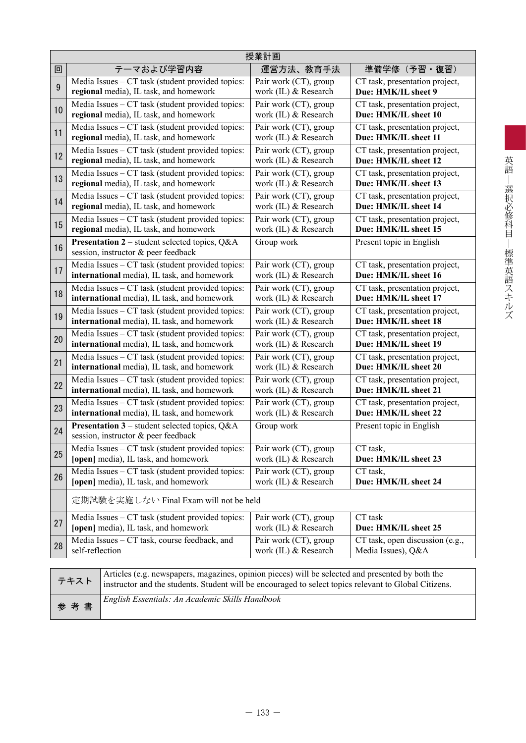|    | 授業計画                                                                                             |                       |                                 |  |  |  |  |
|----|--------------------------------------------------------------------------------------------------|-----------------------|---------------------------------|--|--|--|--|
| 回  | テーマおよび学習内容                                                                                       | 運営方法、教育手法             | 準備学修(予習・復習)                     |  |  |  |  |
| 9  | Media Issues – CT task (student provided topics:                                                 | Pair work (CT), group | CT task, presentation project,  |  |  |  |  |
|    | regional media), IL task, and homework                                                           | work (IL) & Research  | Due: HMK/IL sheet 9             |  |  |  |  |
| 10 | Media Issues – CT task (student provided topics:                                                 | Pair work (CT), group | CT task, presentation project,  |  |  |  |  |
|    | regional media), IL task, and homework                                                           | work (IL) & Research  | Due: HMK/IL sheet 10            |  |  |  |  |
| 11 | Media Issues – CT task (student provided topics:                                                 | Pair work (CT), group | CT task, presentation project,  |  |  |  |  |
|    | regional media), IL task, and homework                                                           | work (IL) & Research  | Due: HMK/IL sheet 11            |  |  |  |  |
| 12 | Media Issues – CT task (student provided topics:                                                 | Pair work (CT), group | CT task, presentation project,  |  |  |  |  |
|    | regional media), IL task, and homework                                                           | work (IL) & Research  | Due: HMK/IL sheet 12            |  |  |  |  |
| 13 | Media Issues - CT task (student provided topics:                                                 | Pair work (CT), group | CT task, presentation project,  |  |  |  |  |
|    | regional media), IL task, and homework                                                           | work (IL) & Research  | Due: HMK/IL sheet 13            |  |  |  |  |
| 14 | Media Issues - CT task (student provided topics:                                                 | Pair work (CT), group | CT task, presentation project,  |  |  |  |  |
|    | regional media), IL task, and homework                                                           | work (IL) & Research  | Due: HMK/IL sheet 14            |  |  |  |  |
| 15 | Media Issues - CT task (student provided topics:                                                 | Pair work (CT), group | CT task, presentation project,  |  |  |  |  |
|    | regional media), IL task, and homework                                                           | work (IL) & Research  | Due: HMK/IL sheet 15            |  |  |  |  |
| 16 | <b>Presentation 2</b> – student selected topics, $Q\&A$<br>session, instructor & peer feedback   | Group work            | Present topic in English        |  |  |  |  |
| 17 | Media Issues – CT task (student provided topics:                                                 | Pair work (CT), group | CT task, presentation project,  |  |  |  |  |
|    | international media), IL task, and homework                                                      | work (IL) & Research  | Due: HMK/IL sheet 16            |  |  |  |  |
| 18 | Media Issues – CT task (student provided topics:                                                 | Pair work (CT), group | CT task, presentation project,  |  |  |  |  |
|    | international media), IL task, and homework                                                      | work (IL) & Research  | Due: HMK/IL sheet 17            |  |  |  |  |
| 19 | Media Issues – CT task (student provided topics:                                                 | Pair work (CT), group | CT task, presentation project,  |  |  |  |  |
|    | international media), IL task, and homework                                                      | work (IL) & Research  | Due: HMK/IL sheet 18            |  |  |  |  |
| 20 | Media Issues - CT task (student provided topics:                                                 | Pair work (CT), group | CT task, presentation project,  |  |  |  |  |
|    | international media), IL task, and homework                                                      | work (IL) & Research  | Due: HMK/IL sheet 19            |  |  |  |  |
| 21 | Media Issues - CT task (student provided topics:                                                 | Pair work (CT), group | CT task, presentation project,  |  |  |  |  |
|    | international media), IL task, and homework                                                      | work (IL) & Research  | Due: HMK/IL sheet 20            |  |  |  |  |
| 22 | Media Issues - CT task (student provided topics:                                                 | Pair work (CT), group | CT task, presentation project,  |  |  |  |  |
|    | international media), IL task, and homework                                                      | work (IL) & Research  | Due: HMK/IL sheet 21            |  |  |  |  |
| 23 | Media Issues – CT task (student provided topics:                                                 | Pair work (CT), group | CT task, presentation project,  |  |  |  |  |
|    | international media), IL task, and homework                                                      | work (IL) & Research  | Due: HMK/IL sheet 22            |  |  |  |  |
| 24 | <b>Presentation 3</b> – student selected topics, $Q\&A$<br>session, instructor & peer feedback   | Group work            | Present topic in English        |  |  |  |  |
| 25 | Media Issues – CT task (student provided topics:                                                 | Pair work (CT), group | CT task.                        |  |  |  |  |
|    | [open] media), IL task, and homework                                                             | work (IL) & Research  | Due: HMK/IL sheet 23            |  |  |  |  |
| 26 | Media Issues – CT task (student provided topics:                                                 | Pair work (CT), group | CT task,                        |  |  |  |  |
|    | [open] media), IL task, and homework                                                             | work (IL) & Research  | Due: HMK/IL sheet 24            |  |  |  |  |
|    | 定期試験を実施しない Final Exam will not be held                                                           |                       |                                 |  |  |  |  |
| 27 | Media Issues - CT task (student provided topics:                                                 | Pair work (CT), group | CT task                         |  |  |  |  |
|    | [open] media), IL task, and homework                                                             | work (IL) & Research  | Due: HMK/IL sheet 25            |  |  |  |  |
| 28 | Media Issues - CT task, course feedback, and                                                     | Pair work (CT), group | CT task, open discussion (e.g., |  |  |  |  |
|    | self-reflection                                                                                  | work (IL) & Research  | Media Issues), Q&A              |  |  |  |  |
|    | Articles (e.g. newspapers, magazines, opinion pieces) will be selected and presented by both the |                       |                                 |  |  |  |  |

|     | Articles (e.g. newspapers, magazines, opinion pieces) will be selected and presented by both the<br>$\overrightarrow{\tau}$ $\overrightarrow{\tau}$ $\overrightarrow{\tau}$ instructor and the students. Student will be encouraged to select topics relevant to Global Citizens. |
|-----|-----------------------------------------------------------------------------------------------------------------------------------------------------------------------------------------------------------------------------------------------------------------------------------|
| 参考書 | English Essentials: An Academic Skills Handbook                                                                                                                                                                                                                                   |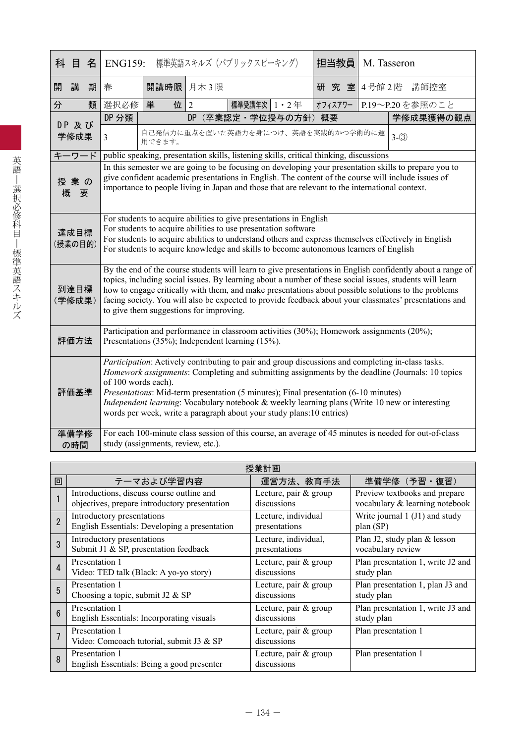|   | 科目名             |   | <b>ENG159:</b>                                                                                                                                                                                                                                                                                                                                                                                                                                                                                |                                                                                                                                                                                                                                                                                                               |                                    | 標準英語スキルズ (パブリックスピーキング)                                                                 |  | 担当教員    | M. Tasseron |                                                                                                       |
|---|-----------------|---|-----------------------------------------------------------------------------------------------------------------------------------------------------------------------------------------------------------------------------------------------------------------------------------------------------------------------------------------------------------------------------------------------------------------------------------------------------------------------------------------------|---------------------------------------------------------------------------------------------------------------------------------------------------------------------------------------------------------------------------------------------------------------------------------------------------------------|------------------------------------|----------------------------------------------------------------------------------------|--|---------|-------------|-------------------------------------------------------------------------------------------------------|
| 開 | 講               | 期 | 春                                                                                                                                                                                                                                                                                                                                                                                                                                                                                             |                                                                                                                                                                                                                                                                                                               | 開講時限 月木3限                          |                                                                                        |  |         |             | 研究室 4号館2階 講師控室                                                                                        |
| 分 |                 | 類 | 選択必修                                                                                                                                                                                                                                                                                                                                                                                                                                                                                          | 単<br>位                                                                                                                                                                                                                                                                                                        | 2                                  | 標準受講年次 1・2年                                                                            |  | オフィスアワー |             | P.19~P.20を参照のこと                                                                                       |
|   | DP 及び           |   | DP 分類                                                                                                                                                                                                                                                                                                                                                                                                                                                                                         | (卒業認定·学位授与の方針)概要<br>D <sub>P</sub><br>学修成果獲得の観点                                                                                                                                                                                                                                                               |                                    |                                                                                        |  |         |             |                                                                                                       |
|   | 学修成果            |   | $\overline{3}$                                                                                                                                                                                                                                                                                                                                                                                                                                                                                | 自己発信力に重点を置いた英語力を身につけ、英語を実践的かつ学術的に運<br>$3-(3)$<br>用できます。                                                                                                                                                                                                                                                       |                                    |                                                                                        |  |         |             |                                                                                                       |
|   | キーワード           |   |                                                                                                                                                                                                                                                                                                                                                                                                                                                                                               |                                                                                                                                                                                                                                                                                                               |                                    | public speaking, presentation skills, listening skills, critical thinking, discussions |  |         |             |                                                                                                       |
| 概 | 授業の<br>要        |   |                                                                                                                                                                                                                                                                                                                                                                                                                                                                                               | In this semester we are going to be focusing on developing your presentation skills to prepare you to<br>give confident academic presentations in English. The content of the course will include issues of<br>importance to people living in Japan and those that are relevant to the international context. |                                    |                                                                                        |  |         |             |                                                                                                       |
|   | 達成目標<br>(授業の目的) |   | For students to acquire abilities to give presentations in English<br>For students to acquire abilities to use presentation software<br>For students to acquire abilities to understand others and express themselves effectively in English<br>For students to acquire knowledge and skills to become autonomous learners of English                                                                                                                                                         |                                                                                                                                                                                                                                                                                                               |                                    |                                                                                        |  |         |             |                                                                                                       |
|   | 到達目標<br>(学修成果)  |   | By the end of the course students will learn to give presentations in English confidently about a range of<br>topics, including social issues. By learning about a number of these social issues, students will learn<br>how to engage critically with them, and make presentations about possible solutions to the problems<br>facing society. You will also be expected to provide feedback about your classmates' presentations and<br>to give them suggestions for improving.             |                                                                                                                                                                                                                                                                                                               |                                    |                                                                                        |  |         |             |                                                                                                       |
|   | 評価方法            |   | Participation and performance in classroom activities (30%); Homework assignments (20%);<br>Presentations (35%); Independent learning (15%).                                                                                                                                                                                                                                                                                                                                                  |                                                                                                                                                                                                                                                                                                               |                                    |                                                                                        |  |         |             |                                                                                                       |
|   | 評価基準            |   | Participation: Actively contributing to pair and group discussions and completing in-class tasks.<br>Homework assignments: Completing and submitting assignments by the deadline (Journals: 10 topics<br>of 100 words each).<br>Presentations: Mid-term presentation (5 minutes); Final presentation (6-10 minutes)<br>Independent learning: Vocabulary notebook & weekly learning plans (Write 10 new or interesting<br>words per week, write a paragraph about your study plans:10 entries) |                                                                                                                                                                                                                                                                                                               |                                    |                                                                                        |  |         |             |                                                                                                       |
|   | 準備学修            |   |                                                                                                                                                                                                                                                                                                                                                                                                                                                                                               |                                                                                                                                                                                                                                                                                                               |                                    |                                                                                        |  |         |             | For each 100-minute class session of this course, an average of 45 minutes is needed for out-of-class |
|   | の時間             |   |                                                                                                                                                                                                                                                                                                                                                                                                                                                                                               |                                                                                                                                                                                                                                                                                                               | study (assignments, review, etc.). |                                                                                        |  |         |             |                                                                                                       |

|                | 授業計画                                                         |                                      |                                   |  |  |  |  |  |
|----------------|--------------------------------------------------------------|--------------------------------------|-----------------------------------|--|--|--|--|--|
| 回              | テーマおよび学習内容                                                   | 運営方法、教育手法                            | 準備学修 (予習·復習)                      |  |  |  |  |  |
|                | Introductions, discuss course outline and                    | Lecture, pair & group                | Preview textbooks and prepare     |  |  |  |  |  |
|                | objectives, prepare introductory presentation                | discussions                          | vocabulary & learning notebook    |  |  |  |  |  |
| $\overline{2}$ | Introductory presentations                                   | Lecture, individual                  | Write journal 1 (J1) and study    |  |  |  |  |  |
|                | English Essentials: Developing a presentation                | presentations                        | plan (SP)                         |  |  |  |  |  |
| 3              | Introductory presentations                                   | Lecture, individual,                 | Plan J2, study plan & lesson      |  |  |  |  |  |
|                | Submit J1 & SP, presentation feedback                        | presentations                        | vocabulary review                 |  |  |  |  |  |
| 4              | Presentation 1                                               | Lecture, pair & group                | Plan presentation 1, write J2 and |  |  |  |  |  |
|                | Video: TED talk (Black: A yo-yo story)                       | discussions                          | study plan                        |  |  |  |  |  |
| 5              | Presentation 1                                               | Lecture, pair & group                | Plan presentation 1, plan J3 and  |  |  |  |  |  |
|                | Choosing a topic, submit J2 $&$ SP                           | discussions                          | study plan                        |  |  |  |  |  |
| $6\phantom{1}$ | Presentation 1                                               | Lecture, pair & group                | Plan presentation 1, write J3 and |  |  |  |  |  |
|                | English Essentials: Incorporating visuals                    | discussions                          | study plan                        |  |  |  |  |  |
|                | Presentation 1<br>Video: Comcoach tutorial, submit J3 & SP   | Lecture, pair & group<br>discussions | Plan presentation 1               |  |  |  |  |  |
| 8              | Presentation 1<br>English Essentials: Being a good presenter | Lecture, pair & group<br>discussions | Plan presentation 1               |  |  |  |  |  |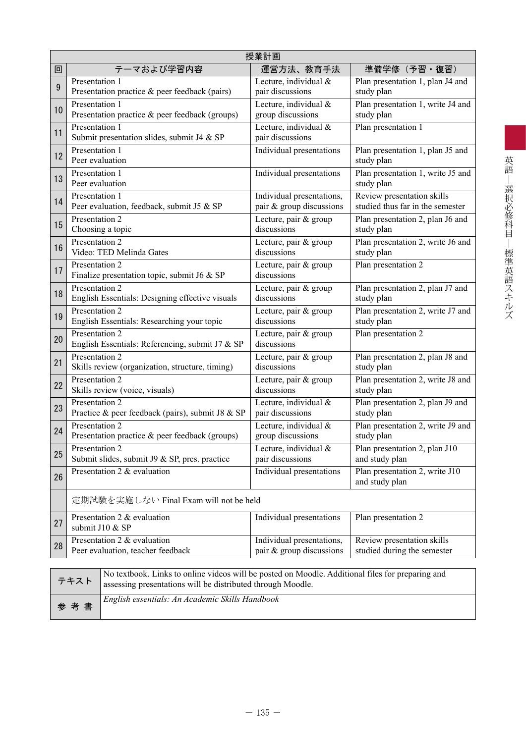|                  | 授業計画                                                                                                                                                                    |                                           |                                                  |  |  |  |  |
|------------------|-------------------------------------------------------------------------------------------------------------------------------------------------------------------------|-------------------------------------------|--------------------------------------------------|--|--|--|--|
| 回                | テーマおよび学習内容                                                                                                                                                              | 運営方法、教育手法                                 | 準備学修(予習・復習)                                      |  |  |  |  |
| $\boldsymbol{9}$ | Presentation 1                                                                                                                                                          | Lecture, individual &                     | Plan presentation 1, plan J4 and                 |  |  |  |  |
|                  | Presentation practice & peer feedback (pairs)                                                                                                                           | pair discussions                          | study plan                                       |  |  |  |  |
| 10               | Presentation 1                                                                                                                                                          | Lecture, individual &                     | Plan presentation 1, write J4 and                |  |  |  |  |
|                  | Presentation practice & peer feedback (groups)                                                                                                                          | group discussions                         | study plan                                       |  |  |  |  |
| 11               | Presentation 1<br>Submit presentation slides, submit J4 & SP                                                                                                            | Lecture, individual &<br>pair discussions | Plan presentation 1                              |  |  |  |  |
| 12               | Presentation 1<br>Peer evaluation                                                                                                                                       | Individual presentations                  | Plan presentation 1, plan J5 and<br>study plan   |  |  |  |  |
| 13               | Presentation 1<br>Peer evaluation                                                                                                                                       | Individual presentations                  | Plan presentation 1, write J5 and<br>study plan  |  |  |  |  |
| 14               | Presentation 1                                                                                                                                                          | Individual presentations,                 | Review presentation skills                       |  |  |  |  |
|                  | Peer evaluation, feedback, submit J5 & SP                                                                                                                               | pair & group discussions                  | studied thus far in the semester                 |  |  |  |  |
| 15               | Presentation 2                                                                                                                                                          | Lecture, pair & group                     | Plan presentation 2, plan J6 and                 |  |  |  |  |
|                  | Choosing a topic                                                                                                                                                        | discussions                               | study plan                                       |  |  |  |  |
| 16               | Presentation 2                                                                                                                                                          | Lecture, pair & group                     | Plan presentation 2, write J6 and                |  |  |  |  |
|                  | Video: TED Melinda Gates                                                                                                                                                | discussions                               | study plan                                       |  |  |  |  |
| 17               | Presentation 2<br>Finalize presentation topic, submit J6 & SP                                                                                                           | Lecture, pair & group<br>discussions      | Plan presentation 2                              |  |  |  |  |
| 18               | Presentation 2                                                                                                                                                          | Lecture, pair & group                     | Plan presentation 2, plan J7 and                 |  |  |  |  |
|                  | English Essentials: Designing effective visuals                                                                                                                         | discussions                               | study plan                                       |  |  |  |  |
| 19               | Presentation 2                                                                                                                                                          | Lecture, pair & group                     | Plan presentation 2, write J7 and                |  |  |  |  |
|                  | English Essentials: Researching your topic                                                                                                                              | discussions                               | study plan                                       |  |  |  |  |
| 20               | Presentation 2<br>English Essentials: Referencing, submit J7 & SP                                                                                                       | Lecture, pair & group<br>discussions      | Plan presentation 2                              |  |  |  |  |
| 21               | Presentation 2                                                                                                                                                          | Lecture, pair & group                     | Plan presentation 2, plan J8 and                 |  |  |  |  |
|                  | Skills review (organization, structure, timing)                                                                                                                         | discussions                               | study plan                                       |  |  |  |  |
| 22               | Presentation 2                                                                                                                                                          | Lecture, pair & group                     | Plan presentation 2, write J8 and                |  |  |  |  |
|                  | Skills review (voice, visuals)                                                                                                                                          | discussions                               | study plan                                       |  |  |  |  |
| 23               | Presentation 2                                                                                                                                                          | Lecture, individual &                     | Plan presentation 2, plan J9 and                 |  |  |  |  |
|                  | Practice & peer feedback (pairs), submit J8 & SP                                                                                                                        | pair discussions                          | study plan                                       |  |  |  |  |
| 24               | Presentation 2                                                                                                                                                          | Lecture, individual &                     | Plan presentation 2, write J9 and                |  |  |  |  |
|                  | Presentation practice & peer feedback (groups)                                                                                                                          | group discussions                         | study plan                                       |  |  |  |  |
| 25               | Presentation 2                                                                                                                                                          | Lecture, individual &                     | Plan presentation 2, plan J10                    |  |  |  |  |
|                  | Submit slides, submit J9 & SP, pres. practice                                                                                                                           | pair discussions                          | and study plan                                   |  |  |  |  |
| 26               | Presentation 2 & evaluation                                                                                                                                             | Individual presentations                  | Plan presentation 2, write J10<br>and study plan |  |  |  |  |
|                  | 定期試験を実施しない Final Exam will not be held                                                                                                                                  |                                           |                                                  |  |  |  |  |
| 27               | Presentation 2 & evaluation<br>submit J10 & SP                                                                                                                          | Individual presentations                  | Plan presentation 2                              |  |  |  |  |
| 28               | Presentation 2 & evaluation                                                                                                                                             | Individual presentations,                 | Review presentation skills                       |  |  |  |  |
|                  | Peer evaluation, teacher feedback                                                                                                                                       | pair & group discussions                  | studied during the semester                      |  |  |  |  |
|                  |                                                                                                                                                                         |                                           |                                                  |  |  |  |  |
|                  | No textbook. Links to online videos will be posted on Moodle. Additional files for preparing and<br>テキスト<br>assessing presentations will be distributed through Moodle. |                                           |                                                  |  |  |  |  |

| 参考書 | English essentials: An Academic Skills Handbook |
|-----|-------------------------------------------------|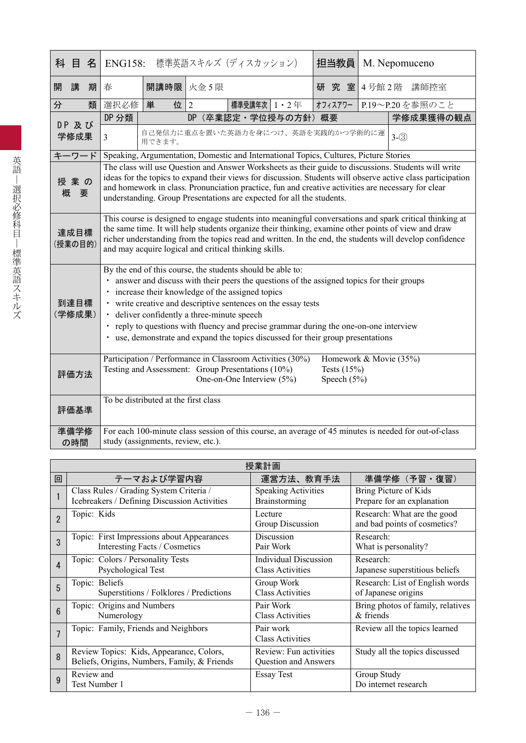| 目<br>科          | 名 |                                                                                                                                                                                                                                                                                                                                                                                    |                                                                                                                                                                                                                                                                                                                                                                                                                                                                                                             |           | ENG158: 標準英語スキルズ (ディスカッション)                                                           |  | 担当教員    |                  | M. Nepomuceno                                                                                         |
|-----------------|---|------------------------------------------------------------------------------------------------------------------------------------------------------------------------------------------------------------------------------------------------------------------------------------------------------------------------------------------------------------------------------------|-------------------------------------------------------------------------------------------------------------------------------------------------------------------------------------------------------------------------------------------------------------------------------------------------------------------------------------------------------------------------------------------------------------------------------------------------------------------------------------------------------------|-----------|---------------------------------------------------------------------------------------|--|---------|------------------|-------------------------------------------------------------------------------------------------------|
| 講<br>開          | 期 | 春                                                                                                                                                                                                                                                                                                                                                                                  |                                                                                                                                                                                                                                                                                                                                                                                                                                                                                                             | 開講時限 火金5限 |                                                                                       |  |         | 研究 室 4号館 2階 講師控室 |                                                                                                       |
| 分               | 類 | 選択必修                                                                                                                                                                                                                                                                                                                                                                               | 単                                                                                                                                                                                                                                                                                                                                                                                                                                                                                                           | 位<br>2    | 標準受講年次   1 ・ 2 年                                                                      |  | オフィスアワー |                  | P.19~P.20を参照のこと                                                                                       |
| DP 及び           |   | DP 分類                                                                                                                                                                                                                                                                                                                                                                              | DP<br>(卒業認定·学位授与の方針) 概要<br>学修成果獲得の観点                                                                                                                                                                                                                                                                                                                                                                                                                                                                        |           |                                                                                       |  |         |                  |                                                                                                       |
| 学修成果            |   | $\overline{3}$                                                                                                                                                                                                                                                                                                                                                                     | 自己発信力に重点を置いた英語力を身につけ、英語を実践的かつ学術的に運<br>$3-(3)$<br>用できます。                                                                                                                                                                                                                                                                                                                                                                                                                                                     |           |                                                                                       |  |         |                  |                                                                                                       |
| キーワード           |   |                                                                                                                                                                                                                                                                                                                                                                                    |                                                                                                                                                                                                                                                                                                                                                                                                                                                                                                             |           | Speaking, Argumentation, Domestic and International Topics, Cultures, Picture Stories |  |         |                  |                                                                                                       |
| 授業の<br>概要       |   |                                                                                                                                                                                                                                                                                                                                                                                    | The class will use Question and Answer Worksheets as their guide to discussions. Students will write<br>ideas for the topics to expand their views for discussion. Students will observe active class participation<br>and homework in class. Pronunciation practice, fun and creative activities are necessary for clear<br>understanding. Group Presentations are expected for all the students.                                                                                                          |           |                                                                                       |  |         |                  |                                                                                                       |
| 達成目標<br>(授業の目的) |   | This course is designed to engage students into meaningful conversations and spark critical thinking at<br>the same time. It will help students organize their thinking, examine other points of view and draw<br>richer understanding from the topics read and written. In the end, the students will develop confidence<br>and may acquire logical and critical thinking skills. |                                                                                                                                                                                                                                                                                                                                                                                                                                                                                                             |           |                                                                                       |  |         |                  |                                                                                                       |
| 到達目標<br>(学修成果)  |   |                                                                                                                                                                                                                                                                                                                                                                                    | By the end of this course, the students should be able to:<br>• answer and discuss with their peers the questions of the assigned topics for their groups<br>· increase their knowledge of the assigned topics<br>• write creative and descriptive sentences on the essay tests<br>· deliver confidently a three-minute speech<br>· reply to questions with fluency and precise grammar during the one-on-one interview<br>• use, demonstrate and expand the topics discussed for their group presentations |           |                                                                                       |  |         |                  |                                                                                                       |
| 評価方法            |   | Participation / Performance in Classroom Activities (30%)<br>Homework & Movie (35%)<br>Testing and Assessment: Group Presentations (10%)<br>Tests $(15%)$<br>One-on-One Interview (5%)<br>Speech $(5%)$                                                                                                                                                                            |                                                                                                                                                                                                                                                                                                                                                                                                                                                                                                             |           |                                                                                       |  |         |                  |                                                                                                       |
| 評価基準            |   | To be distributed at the first class                                                                                                                                                                                                                                                                                                                                               |                                                                                                                                                                                                                                                                                                                                                                                                                                                                                                             |           |                                                                                       |  |         |                  |                                                                                                       |
| 準備学修<br>の時間     |   | study (assignments, review, etc.).                                                                                                                                                                                                                                                                                                                                                 |                                                                                                                                                                                                                                                                                                                                                                                                                                                                                                             |           |                                                                                       |  |         |                  | For each 100-minute class session of this course, an average of 45 minutes is needed for out-of-class |

|                | 授業計画                                                                                     |                                                  |                                                             |  |  |  |  |  |
|----------------|------------------------------------------------------------------------------------------|--------------------------------------------------|-------------------------------------------------------------|--|--|--|--|--|
| 回              | テーマおよび学習内容                                                                               | 運営方法、教育手法                                        | 準備学修 (予習·復習)                                                |  |  |  |  |  |
|                | Class Rules / Grading System Criteria /<br>Icebreakers / Defining Discussion Activities  | <b>Speaking Activities</b><br>Brainstorming      | Bring Picture of Kids<br>Prepare for an explanation         |  |  |  |  |  |
| $\overline{2}$ | Topic: Kids                                                                              | Lecture<br>Group Discussion                      | Research: What are the good<br>and bad points of cosmetics? |  |  |  |  |  |
| 3              | Topic: First Impressions about Appearances<br>Interesting Facts / Cosmetics              | Discussion<br>Pair Work                          | Research:<br>What is personality?                           |  |  |  |  |  |
| $\overline{4}$ | Topic: Colors / Personality Tests<br>Psychological Test                                  | Individual Discussion<br><b>Class Activities</b> | Research:<br>Japanese superstitious beliefs                 |  |  |  |  |  |
| 5              | Topic: Beliefs<br>Superstitions / Folklores / Predictions                                | Group Work<br><b>Class Activities</b>            | Research: List of English words<br>of Japanese origins      |  |  |  |  |  |
| $6\phantom{1}$ | Topic: Origins and Numbers<br>Numerology                                                 | Pair Work<br><b>Class Activities</b>             | Bring photos of family, relatives<br>$&$ friends            |  |  |  |  |  |
| $\overline{7}$ | Topic: Family, Friends and Neighbors                                                     | Pair work<br><b>Class Activities</b>             | Review all the topics learned                               |  |  |  |  |  |
| 8              | Review Topics: Kids, Appearance, Colors,<br>Beliefs, Origins, Numbers, Family, & Friends | Review: Fun activities<br>Question and Answers   | Study all the topics discussed                              |  |  |  |  |  |
| 9              | Review and<br>Test Number 1                                                              | Essay Test                                       | Group Study<br>Do internet research                         |  |  |  |  |  |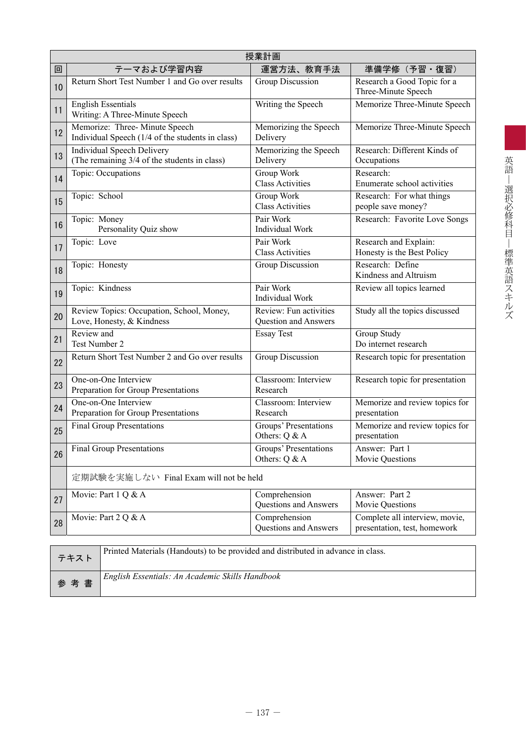|    | 授業計画                                                                              |                                                |                                                                |  |  |  |  |  |
|----|-----------------------------------------------------------------------------------|------------------------------------------------|----------------------------------------------------------------|--|--|--|--|--|
| 回  | テーマおよび学習内容                                                                        | 運営方法、教育手法                                      | 準備学修(予習・復習)                                                    |  |  |  |  |  |
| 10 | Return Short Test Number 1 and Go over results                                    | Group Discussion                               | Research a Good Topic for a<br>Three-Minute Speech             |  |  |  |  |  |
| 11 | <b>English Essentials</b><br>Writing: A Three-Minute Speech                       | Writing the Speech                             | Memorize Three-Minute Speech                                   |  |  |  |  |  |
| 12 | Memorize: Three-Minute Speech<br>Individual Speech (1/4 of the students in class) | Memorizing the Speech<br>Delivery              | Memorize Three-Minute Speech                                   |  |  |  |  |  |
| 13 | Individual Speech Delivery<br>(The remaining 3/4 of the students in class)        | Memorizing the Speech<br>Delivery              | Research: Different Kinds of<br>Occupations                    |  |  |  |  |  |
| 14 | Topic: Occupations                                                                | Group Work<br><b>Class Activities</b>          | Research:<br>Enumerate school activities                       |  |  |  |  |  |
| 15 | Topic: School                                                                     | Group Work<br><b>Class Activities</b>          | Research: For what things<br>people save money?                |  |  |  |  |  |
| 16 | Topic: Money<br>Personality Quiz show                                             | Pair Work<br><b>Individual Work</b>            | Research: Favorite Love Songs                                  |  |  |  |  |  |
| 17 | Topic: Love                                                                       | Pair Work<br><b>Class Activities</b>           | Research and Explain:<br>Honesty is the Best Policy            |  |  |  |  |  |
| 18 | Topic: Honesty                                                                    | Group Discussion                               | Research: Define<br>Kindness and Altruism                      |  |  |  |  |  |
| 19 | Topic: Kindness                                                                   | Pair Work<br><b>Individual Work</b>            | Review all topics learned                                      |  |  |  |  |  |
| 20 | Review Topics: Occupation, School, Money,<br>Love, Honesty, & Kindness            | Review: Fun activities<br>Question and Answers | Study all the topics discussed                                 |  |  |  |  |  |
| 21 | Review and<br>Test Number 2                                                       | <b>Essay Test</b>                              | Group Study<br>Do internet research                            |  |  |  |  |  |
| 22 | Return Short Test Number 2 and Go over results                                    | Group Discussion                               | Research topic for presentation                                |  |  |  |  |  |
| 23 | One-on-One Interview<br>Preparation for Group Presentations                       | Classroom: Interview<br>Research               | Research topic for presentation                                |  |  |  |  |  |
| 24 | One-on-One Interview<br>Preparation for Group Presentations                       | Classroom: Interview<br>Research               | Memorize and review topics for<br>presentation                 |  |  |  |  |  |
| 25 | <b>Final Group Presentations</b>                                                  | Groups' Presentations<br>Others: Q & A         | Memorize and review topics for<br>presentation                 |  |  |  |  |  |
| 26 | <b>Final Group Presentations</b>                                                  | Groups' Presentations<br>Others: Q & A         | Answer: Part 1<br>Movie Questions                              |  |  |  |  |  |
|    | 定期試験を実施しない Final Exam will not be held                                            |                                                |                                                                |  |  |  |  |  |
| 27 | Movie: Part 1 Q & A                                                               | Comprehension<br><b>Questions and Answers</b>  | Answer: Part 2<br>Movie Questions                              |  |  |  |  |  |
| 28 | Movie: Part 2 Q & A                                                               | Comprehension<br>Questions and Answers         | Complete all interview, movie,<br>presentation, test, homework |  |  |  |  |  |
|    |                                                                                   |                                                |                                                                |  |  |  |  |  |

| テキスト | Printed Materials (Handouts) to be provided and distributed in advance in class. |
|------|----------------------------------------------------------------------------------|
| 参考書  | English Essentials: An Academic Skills Handbook                                  |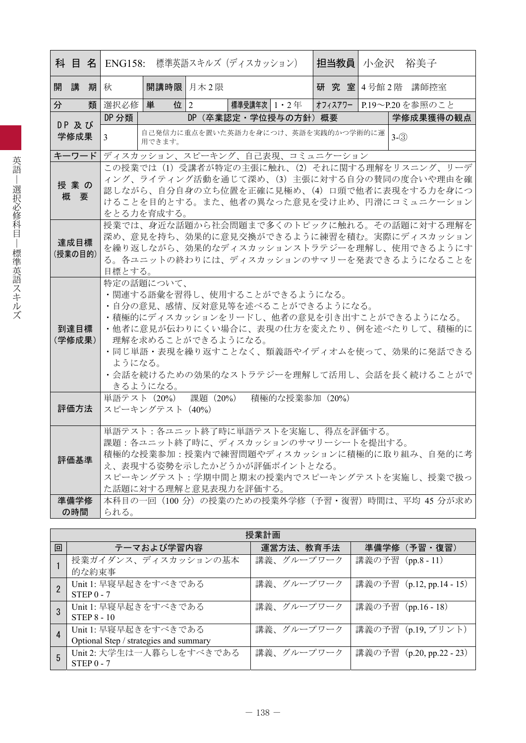|                 |                                                                                                                                                                                                                                                                                                             |                                |          | <b>科 目 名 ENG158:</b> 標準英語スキルズ (ディスカッション)                                                                                                                                                                                                                                         |  | 担当教員   小金沢 |  |         | 裕美子                       |
|-----------------|-------------------------------------------------------------------------------------------------------------------------------------------------------------------------------------------------------------------------------------------------------------------------------------------------------------|--------------------------------|----------|----------------------------------------------------------------------------------------------------------------------------------------------------------------------------------------------------------------------------------------------------------------------------------|--|------------|--|---------|---------------------------|
| 開講<br>期         | 秋                                                                                                                                                                                                                                                                                                           | 開講時限 月木2限                      |          |                                                                                                                                                                                                                                                                                  |  |            |  |         | 研 究 室 4号館 2階 講師控室         |
| 分               | 類 選択必修                                                                                                                                                                                                                                                                                                      | 位   2<br>単                     |          | 標準受講年次 1・2 年                                                                                                                                                                                                                                                                     |  |            |  |         | オフィスアワー   P.19~P.20を参照のこと |
| DP 及び           | DP 分類                                                                                                                                                                                                                                                                                                       |                                |          | DP (卒業認定・学位授与の方針) 概要                                                                                                                                                                                                                                                             |  |            |  |         | 学修成果獲得の観点                 |
| 学修成果            | 3                                                                                                                                                                                                                                                                                                           | 用できます。                         |          | 自己発信力に重点を置いた英語力を身につけ、英語を実践的かつ学術的に運                                                                                                                                                                                                                                               |  |            |  | $3-(3)$ |                           |
| キーワード           |                                                                                                                                                                                                                                                                                                             |                                |          | ディスカッション、スピーキング、自己表現、コミュニケーション                                                                                                                                                                                                                                                   |  |            |  |         |                           |
| 授業の<br>概要       |                                                                                                                                                                                                                                                                                                             | をとる力を育成する。                     |          | この授業では (1) 受講者が特定の主張に触れ、(2) それに関する理解をリスニング、リーデ<br>ィング、ライティング活動を通じて深め、(3) 主張に対する自分の賛同の度合いや理由を確<br>認しながら、自分自身の立ち位置を正確に見極め、(4) 口頭で他者に表現をする力を身につ<br>けることを目的とする。また、他者の異なった意見を受け止め、円滑にコミュニケーション                                                                                        |  |            |  |         |                           |
| 達成目標<br>(授業の目的) | 授業では、身近な話題から社会問題まで多くのトピックに触れる。その話題に対する理解を<br>深め、意見を持ち、効果的に意見交換ができるように練習を積む。実際にディスカッション<br>を繰り返しながら、効果的なディスカッションストラテジーを理解し、使用できるようにす<br>る。各ユニットの終わりには、ディスカッションのサマリーを発表できるようになることを                                                                                                                            |                                |          |                                                                                                                                                                                                                                                                                  |  |            |  |         |                           |
| 到達目標<br>(学修成果)  | 目標とする。<br>特定の話題について、<br>・関連する語彙を習得し、使用することができるようになる。<br>・自分の意見、感情、反対意見等を述べることができるようになる。<br>・積極的にディスカッションをリードし、他者の意見を引き出すことができるようになる。<br>・他者に意見が伝わりにくい場合に、表現の仕方を変えたり、例を述べたりして、積極的に<br>理解を求めることができるようになる。<br>・同じ単語・表現を繰り返すことなく、類義語やイディオムを使って、効果的に発話できる<br>ようになる。<br>・会話を続けるための効果的なストラテジーを理解して活用し、会話を長く続けることがで |                                |          |                                                                                                                                                                                                                                                                                  |  |            |  |         |                           |
| 評価方法            |                                                                                                                                                                                                                                                                                                             | 単語テスト (20%)<br>スピーキングテスト (40%) | 課題 (20%) | 積極的な授業参加 (20%)                                                                                                                                                                                                                                                                   |  |            |  |         |                           |
| 評価基準<br>準備学修    |                                                                                                                                                                                                                                                                                                             |                                |          | 単語テスト:各ユニット終了時に単語テストを実施し、得点を評価する。<br>課題:各ユニット終了時に、ディスカッションのサマリーシートを提出する。<br>積極的な授業参加:授業内で練習問題やディスカッションに積極的に取り組み、自発的に考<br>え、表現する姿勢を示したかどうかが評価ポイントとなる。<br>スピーキングテスト:学期中間と期末の授業内でスピーキングテストを実施し、授業で扱っ<br>た話題に対する理解と意見表現力を評価する。<br>本科目の一回 (100 分) の授業のための授業外学修 (予習・復習) 時間は、平均 45 分が求め |  |            |  |         |                           |
| の時間             | られる。                                                                                                                                                                                                                                                                                                        |                                |          |                                                                                                                                                                                                                                                                                  |  |            |  |         |                           |

|   | 授業計画                                                           |            |                          |  |  |  |  |  |  |  |  |  |  |
|---|----------------------------------------------------------------|------------|--------------------------|--|--|--|--|--|--|--|--|--|--|
| 回 | テーマおよび学習内容                                                     | 運営方法、教育手法  | 準備学修 (予習・復習)             |  |  |  |  |  |  |  |  |  |  |
|   | 授業ガイダンス、ディスカッションの基本<br>的な約束事                                   | 講義、グループワーク | 講義の予習 (pp.8 - 11)        |  |  |  |  |  |  |  |  |  |  |
|   | Unit 1: 早寝早起きをすべきである<br>$STEP 0 - 7$                           | 講義、グループワーク | 講義の予習 (p.12, pp.14 - 15) |  |  |  |  |  |  |  |  |  |  |
|   | Unit 1: 早寝早起きをすべきである<br><b>STEP 8 - 10</b>                     | 講義、グループワーク | 講義の予習 (pp.16 - 18)       |  |  |  |  |  |  |  |  |  |  |
| 4 | Unit 1: 早寝早起きをすべきである<br>Optional Step / strategies and summary | 講義、グループワーク | 講義の予習 (p.19, プリント)       |  |  |  |  |  |  |  |  |  |  |
| 5 | Unit 2: 大学生は一人暮らしをすべきである<br>$STEP0 - 7$                        | 講義、グループワーク | 講義の予習 (p.20, pp.22 - 23) |  |  |  |  |  |  |  |  |  |  |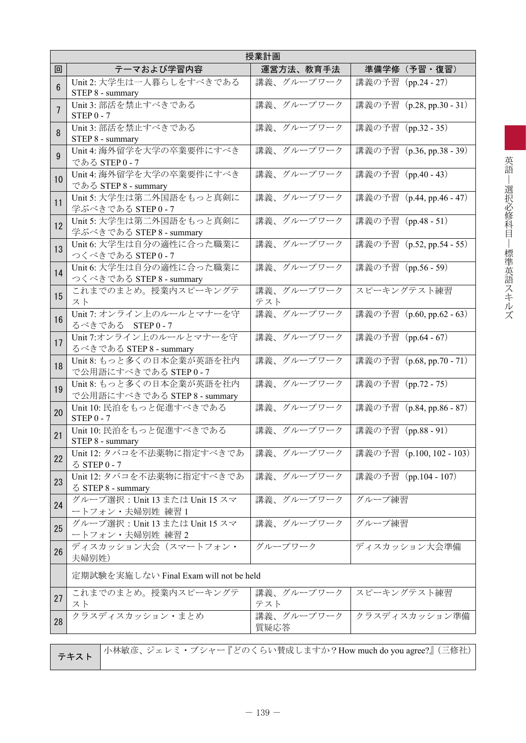|                | 授業計画                                                     |                    |                          |  |  |  |  |  |  |  |  |  |
|----------------|----------------------------------------------------------|--------------------|--------------------------|--|--|--|--|--|--|--|--|--|
| 回              | テーマおよび学習内容                                               | 運営方法、教育手法          | 準備学修(予習・復習)              |  |  |  |  |  |  |  |  |  |
| $\overline{6}$ | Unit 2: 大学生は一人暮らしをすべきである<br>STEP 8 - summary             | 講義、グループワーク         | 講義の予習 (pp.24 - 27)       |  |  |  |  |  |  |  |  |  |
| 7              | Unit 3: 部活を禁止すべきである<br>$STEP$ 0 - 7                      | 講義、グループワーク         | 講義の予習 (p.28, pp.30 - 31) |  |  |  |  |  |  |  |  |  |
| 8              | Unit 3: 部活を禁止すべきである<br>STEP 8 - summary                  | 講義、グループワーク         | 講義の予習 (pp.32 - 35)       |  |  |  |  |  |  |  |  |  |
| 9              | Unit 4: 海外留学を大学の卒業要件にすべき<br>である STEP 0-7                 | 講義、グループワーク         | 講義の予習 (p.36, pp.38 - 39) |  |  |  |  |  |  |  |  |  |
| 10             | Unit 4: 海外留学を大学の卒業要件にすべき<br>である STEP 8 - summary         | 講義、グループワーク         | 講義の予習 (pp.40 - 43)       |  |  |  |  |  |  |  |  |  |
| 11             | Unit 5: 大学生は第二外国語をもっと真剣に<br>学ぶべきである STEP 0 - 7           | 講義、グループワーク         | 講義の予習 (p.44, pp.46 - 47) |  |  |  |  |  |  |  |  |  |
| 12             | Unit 5: 大学生は第二外国語をもっと真剣に<br>学ぶべきである STEP 8 - summary     | 講義、グループワーク         | 講義の予習 (pp.48 - 51)       |  |  |  |  |  |  |  |  |  |
| 13             | Unit 6: 大学生は自分の適性に合った職業に<br>つくべきである STEP 0-7             | 講義、グループワーク         | 講義の予習 (p.52, pp.54 - 55) |  |  |  |  |  |  |  |  |  |
| 14             | Unit 6: 大学生は自分の適性に合った職業に<br>つくべきである STEP 8 - summary     | 講義、グループワーク         | 講義の予習 (pp.56 - 59)       |  |  |  |  |  |  |  |  |  |
| 15             | これまでのまとめ。授業内スピーキングテ<br>スト                                | 講義、グループワーク<br>テスト  | スピーキングテスト練習              |  |  |  |  |  |  |  |  |  |
| 16             | Unit 7: オンライン上のルールとマナーを守<br>るべきである STEP0-7               | 講義、グループワーク         | 講義の予習 (p.60, pp.62 - 63) |  |  |  |  |  |  |  |  |  |
| 17             | Unit 7:オンライン上のルールとマナーを守<br>るべきである STEP 8 - summary       | 講義、グループワーク         | 講義の予習 (pp.64 - 67)       |  |  |  |  |  |  |  |  |  |
| 18             | Unit 8: もっと多くの日本企業が英語を社内<br>で公用語にすべきである STEP 0-7         | 講義、グループワーク         | 講義の予習 (p.68, pp.70 - 71) |  |  |  |  |  |  |  |  |  |
| 19             | Unit 8: もっと多くの日本企業が英語を社内<br>で公用語にすべきである STEP 8 - summary | 講義、グループワーク         | 講義の予習 (pp.72 - 75)       |  |  |  |  |  |  |  |  |  |
| 20             | Unit 10: 民泊をもっと促進すべきである<br>$STEP$ 0 - 7                  | 講義、グループワーク         | 講義の予習 (p.84, pp.86 - 87) |  |  |  |  |  |  |  |  |  |
| 21             | Unit 10: 民泊をもっと促進すべきである<br>STEP 8 - summary              | 講義、グループワーク         | 講義の予習 (pp.88 - 91)       |  |  |  |  |  |  |  |  |  |
| 22             | Unit 12: タバコを不法薬物に指定すべきであ<br>る STEP 0 - 7                | 講義、グループワーク         | 講義の予習(p.100, 102 - 103)  |  |  |  |  |  |  |  |  |  |
| 23             | Unit 12: タバコを不法薬物に指定すべきであ<br>る STEP 8 - summary          | 講義、グループワーク         | 講義の予習 (pp.104 - 107)     |  |  |  |  |  |  |  |  |  |
| 24             | グループ選択: Unit 13 または Unit 15 スマ<br>ートフォン・夫婦別姓 練習1         | 講義、グループワーク         | グループ練習                   |  |  |  |  |  |  |  |  |  |
| 25             | グループ選択: Unit 13 または Unit 15 スマ<br>ートフォン・夫婦別姓 練習2         | 講義、グループワーク         | グループ練習                   |  |  |  |  |  |  |  |  |  |
| 26             | ディスカッション大会(スマートフォン・<br>夫婦別姓)                             | グループワーク            | ディスカッション大会準備             |  |  |  |  |  |  |  |  |  |
|                | 定期試験を実施しない Final Exam will not be held                   |                    |                          |  |  |  |  |  |  |  |  |  |
| 27             | これまでのまとめ。授業内スピーキングテ<br>スト                                | 講義、グループワーク<br>テスト  | スピーキングテスト練習              |  |  |  |  |  |  |  |  |  |
| 28             | クラスディスカッション・まとめ                                          | 講義、グループワーク<br>質疑応答 | クラスディスカッション準備            |  |  |  |  |  |  |  |  |  |
|                |                                                          | F ぼ 示 ノ と い ## 卍 1 |                          |  |  |  |  |  |  |  |  |  |

テキスト 小林敏彦、ジェレミ・ブシャー『どのくらい賛成しますか?How much do you agree?』(三修社)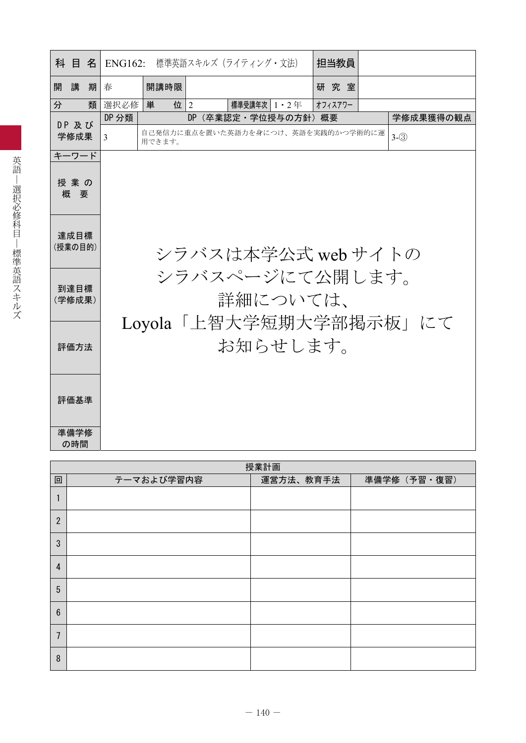|   | 科目名             |   |       |        |                | ENG162: 標準英語スキルズ (ライティング・文法)       | 担当教員    |                        |
|---|-----------------|---|-------|--------|----------------|------------------------------------|---------|------------------------|
| 開 | 講               | 期 | 春     | 開講時限   |                |                                    | 研究室     |                        |
| 分 |                 | 類 | 選択必修  | 単<br>位 | $\overline{2}$ | 標準受講年次   1 ・ 2 年                   | オフィスアワー |                        |
|   | DP 及び           |   | DP 分類 |        | DP.            | (卒業認定・学位授与の方針)概要                   |         | 学修成果獲得の観点              |
|   | 学修成果            |   | 3     | 用できます。 |                | 自己発信力に重点を置いた英語力を身につけ、英語を実践的かつ学術的に運 | $3-(3)$ |                        |
|   | キーワード           |   |       |        |                |                                    |         |                        |
|   | 授業の<br>概要       |   |       |        |                |                                    |         |                        |
|   | 達成目標<br>(授業の目的) |   |       |        |                | シラバスは本学公式 web サイトの                 |         |                        |
|   | 到達目標<br>(学修成果)  |   |       |        |                | シラバスページにて公開します。<br>詳細については、        |         |                        |
|   | 評価方法            |   |       |        |                | お知らせします。                           |         | Loyola「上智大学短期大学部掲示板」にて |
|   | 評価基準            |   |       |        |                |                                    |         |                        |
|   | 準備学修<br>の時間     |   |       |        |                |                                    |         |                        |

|                 | 授業計画       |           |              |  |  |  |  |  |  |  |  |  |
|-----------------|------------|-----------|--------------|--|--|--|--|--|--|--|--|--|
| 回               | テーマおよび学習内容 | 運営方法、教育手法 | 準備学修 (予習·復習) |  |  |  |  |  |  |  |  |  |
|                 |            |           |              |  |  |  |  |  |  |  |  |  |
| $\overline{2}$  |            |           |              |  |  |  |  |  |  |  |  |  |
| $\mathfrak{S}$  |            |           |              |  |  |  |  |  |  |  |  |  |
| $\overline{4}$  |            |           |              |  |  |  |  |  |  |  |  |  |
| $5\phantom{.0}$ |            |           |              |  |  |  |  |  |  |  |  |  |
| $6\phantom{1}$  |            |           |              |  |  |  |  |  |  |  |  |  |
| 7               |            |           |              |  |  |  |  |  |  |  |  |  |
| $\, 8$          |            |           |              |  |  |  |  |  |  |  |  |  |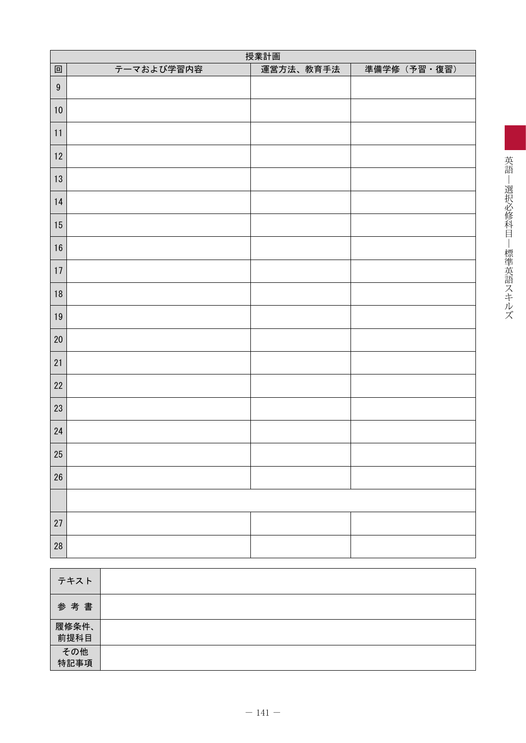|                  | 授業計画       |           |              |  |  |  |  |  |  |  |  |  |
|------------------|------------|-----------|--------------|--|--|--|--|--|--|--|--|--|
| 回                | テーマおよび学習内容 | 運営方法、教育手法 | 準備学修 (予習·復習) |  |  |  |  |  |  |  |  |  |
| $\boldsymbol{9}$ |            |           |              |  |  |  |  |  |  |  |  |  |
| 10               |            |           |              |  |  |  |  |  |  |  |  |  |
| 11               |            |           |              |  |  |  |  |  |  |  |  |  |
| $12\,$           |            |           |              |  |  |  |  |  |  |  |  |  |
| $13\,$           |            |           |              |  |  |  |  |  |  |  |  |  |
| $14$             |            |           |              |  |  |  |  |  |  |  |  |  |
| $15\,$           |            |           |              |  |  |  |  |  |  |  |  |  |
| $16\,$           |            |           |              |  |  |  |  |  |  |  |  |  |
| $17\,$           |            |           |              |  |  |  |  |  |  |  |  |  |
| $18\,$           |            |           |              |  |  |  |  |  |  |  |  |  |
| $19$             |            |           |              |  |  |  |  |  |  |  |  |  |
| $20\,$           |            |           |              |  |  |  |  |  |  |  |  |  |
| 21               |            |           |              |  |  |  |  |  |  |  |  |  |
| 22               |            |           |              |  |  |  |  |  |  |  |  |  |
| $23\,$           |            |           |              |  |  |  |  |  |  |  |  |  |
| $24\,$           |            |           |              |  |  |  |  |  |  |  |  |  |
| $25\,$           |            |           |              |  |  |  |  |  |  |  |  |  |
| $26\,$           |            |           |              |  |  |  |  |  |  |  |  |  |
|                  |            |           |              |  |  |  |  |  |  |  |  |  |
| $27\,$           |            |           |              |  |  |  |  |  |  |  |  |  |
| ${\bf 28}$       |            |           |              |  |  |  |  |  |  |  |  |  |

| テキスト                   |  |
|------------------------|--|
| 参考書                    |  |
| 履修条件、<br>前提科目          |  |
| <del>その他</del><br>特記事項 |  |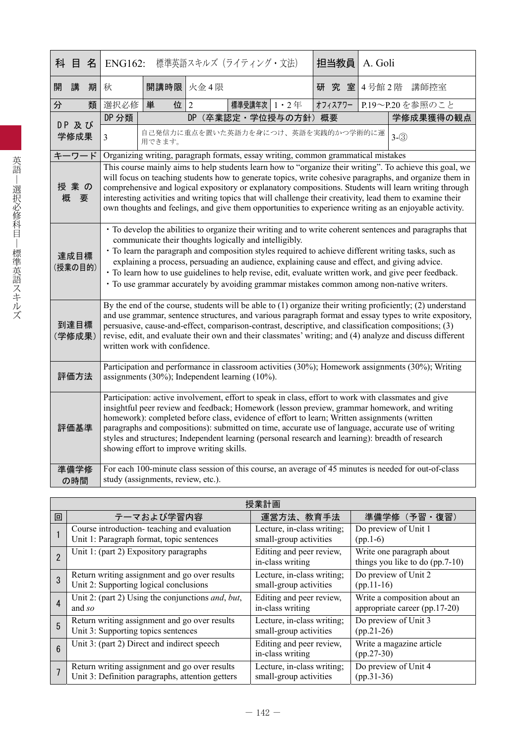|   | 科目名             |                                                                                                                                                                                                                                                                                                                                                                                                                                                                                                                                                           | <b>ENG162:</b><br>標準英語スキルズ (ライティング・文法)                                                                                                                                                                                                                                                                                                                                                                                                                                                                                                                                            |                                    |           |                                                                                   |  | 担当教員<br>A. Goli |  |         |                                                                                                                                                                                                                                                                                                                                                                                                                                            |  |  |
|---|-----------------|-----------------------------------------------------------------------------------------------------------------------------------------------------------------------------------------------------------------------------------------------------------------------------------------------------------------------------------------------------------------------------------------------------------------------------------------------------------------------------------------------------------------------------------------------------------|-----------------------------------------------------------------------------------------------------------------------------------------------------------------------------------------------------------------------------------------------------------------------------------------------------------------------------------------------------------------------------------------------------------------------------------------------------------------------------------------------------------------------------------------------------------------------------------|------------------------------------|-----------|-----------------------------------------------------------------------------------|--|-----------------|--|---------|--------------------------------------------------------------------------------------------------------------------------------------------------------------------------------------------------------------------------------------------------------------------------------------------------------------------------------------------------------------------------------------------------------------------------------------------|--|--|
| 開 | 講               | 期                                                                                                                                                                                                                                                                                                                                                                                                                                                                                                                                                         | 秋                                                                                                                                                                                                                                                                                                                                                                                                                                                                                                                                                                                 | 開講時限                               | 火金4限      |                                                                                   |  | 研究室             |  |         | 4号館2階 講師控室                                                                                                                                                                                                                                                                                                                                                                                                                                 |  |  |
| 分 |                 | 類                                                                                                                                                                                                                                                                                                                                                                                                                                                                                                                                                         | 選択必修                                                                                                                                                                                                                                                                                                                                                                                                                                                                                                                                                                              | 位<br>単                             | 2         | 標準受講年次 1・2年                                                                       |  | オフィスアワー         |  |         | P.19~P.20を参照のこと                                                                                                                                                                                                                                                                                                                                                                                                                            |  |  |
|   | DP 及び           |                                                                                                                                                                                                                                                                                                                                                                                                                                                                                                                                                           | DP 分類                                                                                                                                                                                                                                                                                                                                                                                                                                                                                                                                                                             |                                    | <b>DP</b> | (卒業認定·学位授与の方針)概要                                                                  |  |                 |  |         | 学修成果獲得の観点                                                                                                                                                                                                                                                                                                                                                                                                                                  |  |  |
|   | 学修成果            |                                                                                                                                                                                                                                                                                                                                                                                                                                                                                                                                                           | $\overline{3}$                                                                                                                                                                                                                                                                                                                                                                                                                                                                                                                                                                    | 用できます。                             |           | 自己発信力に重点を置いた英語力を身につけ、英語を実践的かつ学術的に運                                                |  |                 |  | $3-(3)$ |                                                                                                                                                                                                                                                                                                                                                                                                                                            |  |  |
|   | キーワード           |                                                                                                                                                                                                                                                                                                                                                                                                                                                                                                                                                           |                                                                                                                                                                                                                                                                                                                                                                                                                                                                                                                                                                                   |                                    |           | Organizing writing, paragraph formats, essay writing, common grammatical mistakes |  |                 |  |         |                                                                                                                                                                                                                                                                                                                                                                                                                                            |  |  |
| 概 | 授業の             | This course mainly aims to help students learn how to "organize their writing". To achieve this goal, we<br>will focus on teaching students how to generate topics, write cohesive paragraphs, and organize them in<br>comprehensive and logical expository or explanatory compositions. Students will learn writing through<br>interesting activities and writing topics that will challenge their creativity, lead them to examine their<br>要<br>own thoughts and feelings, and give them opportunities to experience writing as an enjoyable activity. |                                                                                                                                                                                                                                                                                                                                                                                                                                                                                                                                                                                   |                                    |           |                                                                                   |  |                 |  |         |                                                                                                                                                                                                                                                                                                                                                                                                                                            |  |  |
|   | 達成目標<br>(授業の目的) |                                                                                                                                                                                                                                                                                                                                                                                                                                                                                                                                                           | • To develop the abilities to organize their writing and to write coherent sentences and paragraphs that<br>communicate their thoughts logically and intelligibly.<br>• To learn the paragraph and composition styles required to achieve different writing tasks, such as<br>explaining a process, persuading an audience, explaining cause and effect, and giving advice.<br>• To learn how to use guidelines to help revise, edit, evaluate written work, and give peer feedback.<br>• To use grammar accurately by avoiding grammar mistakes common among non-native writers. |                                    |           |                                                                                   |  |                 |  |         |                                                                                                                                                                                                                                                                                                                                                                                                                                            |  |  |
|   | 到達目標<br>(学修成果)  |                                                                                                                                                                                                                                                                                                                                                                                                                                                                                                                                                           |                                                                                                                                                                                                                                                                                                                                                                                                                                                                                                                                                                                   | written work with confidence.      |           |                                                                                   |  |                 |  |         | By the end of the course, students will be able to (1) organize their writing proficiently; (2) understand<br>and use grammar, sentence structures, and various paragraph format and essay types to write expository,<br>persuasive, cause-and-effect, comparison-contrast, descriptive, and classification compositions; (3)<br>revise, edit, and evaluate their own and their classmates' writing; and (4) analyze and discuss different |  |  |
|   | 評価方法            |                                                                                                                                                                                                                                                                                                                                                                                                                                                                                                                                                           |                                                                                                                                                                                                                                                                                                                                                                                                                                                                                                                                                                                   |                                    |           | assignments $(30\%)$ ; Independent learning $(10\%)$ .                            |  |                 |  |         | Participation and performance in classroom activities (30%); Homework assignments (30%); Writing                                                                                                                                                                                                                                                                                                                                           |  |  |
|   | 評価基準            |                                                                                                                                                                                                                                                                                                                                                                                                                                                                                                                                                           | Participation: active involvement, effort to speak in class, effort to work with classmates and give<br>insightful peer review and feedback; Homework (lesson preview, grammar homework, and writing<br>homework): completed before class, evidence of effort to learn; Written assignments (written<br>paragraphs and compositions): submitted on time, accurate use of language, accurate use of writing<br>styles and structures; Independent learning (personal research and learning): breadth of research<br>showing effort to improve writing skills.                      |                                    |           |                                                                                   |  |                 |  |         |                                                                                                                                                                                                                                                                                                                                                                                                                                            |  |  |
|   | 準備学修<br>の時間     |                                                                                                                                                                                                                                                                                                                                                                                                                                                                                                                                                           |                                                                                                                                                                                                                                                                                                                                                                                                                                                                                                                                                                                   | study (assignments, review, etc.). |           |                                                                                   |  |                 |  |         | For each 100-minute class session of this course, an average of 45 minutes is needed for out-of-class                                                                                                                                                                                                                                                                                                                                      |  |  |

|                 | 授業計画                                                              |                                              |                                                                |  |  |  |  |  |  |  |  |  |
|-----------------|-------------------------------------------------------------------|----------------------------------------------|----------------------------------------------------------------|--|--|--|--|--|--|--|--|--|
| 回               | テーマおよび学習内容                                                        | 運営方法、教育手法                                    | 準備学修 (予習・復習)                                                   |  |  |  |  |  |  |  |  |  |
|                 | Course introduction-teaching and evaluation                       | Lecture, in-class writing;                   | Do preview of Unit 1                                           |  |  |  |  |  |  |  |  |  |
|                 | Unit 1: Paragraph format, topic sentences                         | small-group activities                       | $(pp.1-6)$                                                     |  |  |  |  |  |  |  |  |  |
|                 | Unit 1: (part 2) Expository paragraphs                            | Editing and peer review,<br>in-class writing | Write one paragraph about<br>things you like to do $(pp.7-10)$ |  |  |  |  |  |  |  |  |  |
| 3               | Return writing assignment and go over results                     | Lecture, in-class writing;                   | Do preview of Unit 2                                           |  |  |  |  |  |  |  |  |  |
|                 | Unit 2: Supporting logical conclusions                            | small-group activities                       | $(pp.11-16)$                                                   |  |  |  |  |  |  |  |  |  |
| $\overline{4}$  | Unit 2: (part 2) Using the conjunctions <i>and</i> , <i>but</i> , | Editing and peer review,                     | Write a composition about an                                   |  |  |  |  |  |  |  |  |  |
|                 | and $so$                                                          | in-class writing                             | appropriate career (pp.17-20)                                  |  |  |  |  |  |  |  |  |  |
| 5               | Return writing assignment and go over results                     | Lecture, in-class writing;                   | Do preview of Unit 3                                           |  |  |  |  |  |  |  |  |  |
|                 | Unit 3: Supporting topics sentences                               | small-group activities                       | $(pp.21-26)$                                                   |  |  |  |  |  |  |  |  |  |
| $6\phantom{1}6$ | Unit 3: (part 2) Direct and indirect speech                       | Editing and peer review,<br>in-class writing | Write a magazine article<br>$(pp.27-30)$                       |  |  |  |  |  |  |  |  |  |
|                 | Return writing assignment and go over results                     | Lecture, in-class writing;                   | Do preview of Unit 4                                           |  |  |  |  |  |  |  |  |  |
|                 | Unit 3: Definition paragraphs, attention getters                  | small-group activities                       | $(pp.31-36)$                                                   |  |  |  |  |  |  |  |  |  |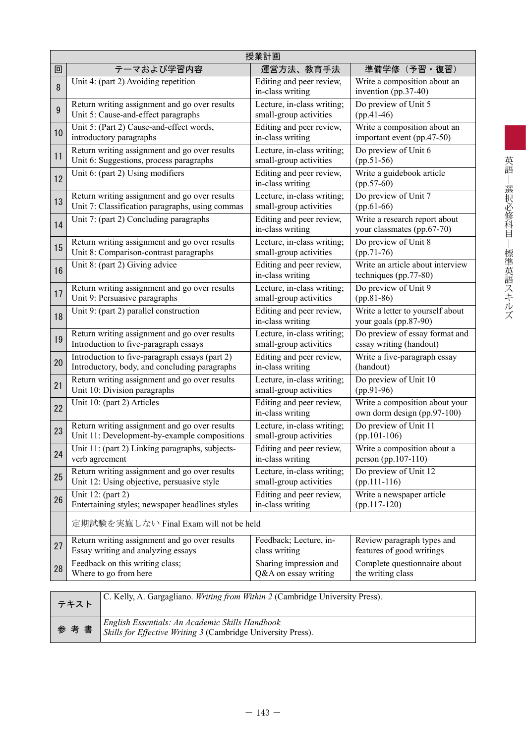|    | 授業計画                                                                                  |                                              |                                                               |  |  |  |  |  |  |  |  |
|----|---------------------------------------------------------------------------------------|----------------------------------------------|---------------------------------------------------------------|--|--|--|--|--|--|--|--|
| 回  | テーマおよび学習内容                                                                            | 運営方法、教育手法                                    | 準備学修 (予習・復習)                                                  |  |  |  |  |  |  |  |  |
| 8  | Unit 4: (part 2) Avoiding repetition                                                  | Editing and peer review,<br>in-class writing | Write a composition about an<br>invention (pp.37-40)          |  |  |  |  |  |  |  |  |
| 9  | Return writing assignment and go over results                                         | Lecture, in-class writing;                   | Do preview of Unit 5                                          |  |  |  |  |  |  |  |  |
|    | Unit 5: Cause-and-effect paragraphs                                                   | small-group activities                       | $(pp.41-46)$                                                  |  |  |  |  |  |  |  |  |
| 10 | Unit 5: (Part 2) Cause-and-effect words,                                              | Editing and peer review,                     | Write a composition about an                                  |  |  |  |  |  |  |  |  |
|    | introductory paragraphs                                                               | in-class writing                             | important event (pp.47-50)                                    |  |  |  |  |  |  |  |  |
| 11 | Return writing assignment and go over results                                         | Lecture, in-class writing;                   | Do preview of Unit 6                                          |  |  |  |  |  |  |  |  |
|    | Unit 6: Suggestions, process paragraphs                                               | small-group activities                       | $(pp.51-56)$                                                  |  |  |  |  |  |  |  |  |
| 12 | Unit 6: (part 2) Using modifiers                                                      | Editing and peer review,<br>in-class writing | Write a guidebook article<br>$(pp.57-60)$                     |  |  |  |  |  |  |  |  |
| 13 | Return writing assignment and go over results                                         | Lecture, in-class writing;                   | Do preview of Unit 7                                          |  |  |  |  |  |  |  |  |
|    | Unit 7: Classification paragraphs, using commas                                       | small-group activities                       | $(pp.61-66)$                                                  |  |  |  |  |  |  |  |  |
| 14 | Unit 7: (part 2) Concluding paragraphs                                                | Editing and peer review,<br>in-class writing | Write a research report about<br>your classmates (pp.67-70)   |  |  |  |  |  |  |  |  |
| 15 | Return writing assignment and go over results                                         | Lecture, in-class writing;                   | Do preview of Unit 8                                          |  |  |  |  |  |  |  |  |
|    | Unit 8: Comparison-contrast paragraphs                                                | small-group activities                       | $(pp.71-76)$                                                  |  |  |  |  |  |  |  |  |
| 16 | Unit 8: (part 2) Giving advice                                                        | Editing and peer review,<br>in-class writing | Write an article about interview<br>techniques (pp.77-80)     |  |  |  |  |  |  |  |  |
| 17 | Return writing assignment and go over results                                         | Lecture, in-class writing;                   | Do preview of Unit 9                                          |  |  |  |  |  |  |  |  |
|    | Unit 9: Persuasive paragraphs                                                         | small-group activities                       | $(pp.81-86)$                                                  |  |  |  |  |  |  |  |  |
| 18 | Unit 9: (part 2) parallel construction                                                | Editing and peer review,<br>in-class writing | Write a letter to yourself about<br>your goals (pp.87-90)     |  |  |  |  |  |  |  |  |
| 19 | Return writing assignment and go over results                                         | Lecture, in-class writing;                   | Do preview of essay format and                                |  |  |  |  |  |  |  |  |
|    | Introduction to five-paragraph essays                                                 | small-group activities                       | essay writing (handout)                                       |  |  |  |  |  |  |  |  |
| 20 | Introduction to five-paragraph essays (part 2)                                        | Editing and peer review,                     | Write a five-paragraph essay                                  |  |  |  |  |  |  |  |  |
|    | Introductory, body, and concluding paragraphs                                         | in-class writing                             | (handout)                                                     |  |  |  |  |  |  |  |  |
| 21 | Return writing assignment and go over results                                         | Lecture, in-class writing;                   | Do preview of Unit 10                                         |  |  |  |  |  |  |  |  |
|    | Unit 10: Division paragraphs                                                          | small-group activities                       | $(pp.91-96)$                                                  |  |  |  |  |  |  |  |  |
| 22 | Unit 10: (part 2) Articles                                                            | Editing and peer review,<br>in-class writing | Write a composition about your<br>own dorm design (pp.97-100) |  |  |  |  |  |  |  |  |
| 23 | Return writing assignment and go over results                                         | Lecture, in-class writing;                   | Do preview of Unit 11                                         |  |  |  |  |  |  |  |  |
|    | Unit 11: Development-by-example compositions                                          | small-group activities                       | $(pp.101-106)$                                                |  |  |  |  |  |  |  |  |
| 24 | Unit 11: (part 2) Linking paragraphs, subjects-                                       | Editing and peer review,                     | Write a composition about a                                   |  |  |  |  |  |  |  |  |
|    | verb agreement                                                                        | in-class writing                             | person (pp.107-110)                                           |  |  |  |  |  |  |  |  |
| 25 | Return writing assignment and go over results                                         | Lecture, in-class writing;                   | Do preview of Unit 12                                         |  |  |  |  |  |  |  |  |
|    | Unit 12: Using objective, persuasive style                                            | small-group activities                       | $(pp.111-116)$                                                |  |  |  |  |  |  |  |  |
| 26 | Unit 12: (part 2)                                                                     | Editing and peer review,                     | Write a newspaper article                                     |  |  |  |  |  |  |  |  |
|    | Entertaining styles; newspaper headlines styles                                       | in-class writing                             | $(pp.117-120)$                                                |  |  |  |  |  |  |  |  |
|    | 定期試験を実施しない Final Exam will not be held                                                |                                              |                                                               |  |  |  |  |  |  |  |  |
| 27 | Return writing assignment and go over results                                         | Feedback; Lecture, in-                       | Review paragraph types and                                    |  |  |  |  |  |  |  |  |
|    | Essay writing and analyzing essays                                                    | class writing                                | features of good writings                                     |  |  |  |  |  |  |  |  |
| 28 | Feedback on this writing class;                                                       | Sharing impression and                       | Complete questionnaire about                                  |  |  |  |  |  |  |  |  |
|    | Where to go from here                                                                 | Q&A on essay writing                         | the writing class                                             |  |  |  |  |  |  |  |  |
|    | C. Kelly, A. Gargagliano. Writing from Within 2 (Cambridge University Press).<br>テキスト |                                              |                                                               |  |  |  |  |  |  |  |  |

| テキスト | $\mathcal{L}$ . Neily, A. Galgaghano. <i>wruing from wunin 2</i> (Cambridge University Press).                      |
|------|---------------------------------------------------------------------------------------------------------------------|
|      | English Essentials: An Academic Skills Handbook<br>参考書 Skills for Effective Writing 3 (Cambridge University Press). |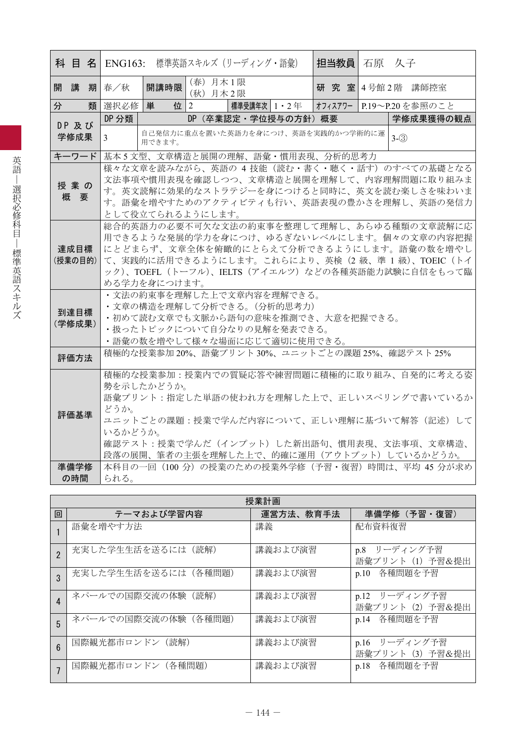|                 |                                                                                                                                                                                                                                                                        |                                                                                                                                                                                                        |              |                      | <b>科 目 名 ENG163:</b> 標準英語スキルズ (リーディング・語彙)                                                                                                                   |  |  |  | 担当教員   石原   久子 |         |                                                                                                                                                                                                                                          |  |
|-----------------|------------------------------------------------------------------------------------------------------------------------------------------------------------------------------------------------------------------------------------------------------------------------|--------------------------------------------------------------------------------------------------------------------------------------------------------------------------------------------------------|--------------|----------------------|-------------------------------------------------------------------------------------------------------------------------------------------------------------|--|--|--|----------------|---------|------------------------------------------------------------------------------------------------------------------------------------------------------------------------------------------------------------------------------------------|--|
| 開<br>講          | 期                                                                                                                                                                                                                                                                      | 春/秋                                                                                                                                                                                                    | 開講時限         | (春) 月木1限<br>(秋) 月木2限 |                                                                                                                                                             |  |  |  |                |         | 研究室 4号館 2階 講師控室                                                                                                                                                                                                                          |  |
| 分               | 類                                                                                                                                                                                                                                                                      | 選択必修                                                                                                                                                                                                   | 単<br>付       | $\overline{2}$       | 標準受講年次   1 ・ 2 年                                                                                                                                            |  |  |  |                |         | オフィスアワー  P.19〜P.20 を参照のこと                                                                                                                                                                                                                |  |
| DP 及び           |                                                                                                                                                                                                                                                                        | DP 分類                                                                                                                                                                                                  |              |                      | DP (卒業認定・学位授与の方針) 概要                                                                                                                                        |  |  |  |                |         | 学修成果獲得の観点                                                                                                                                                                                                                                |  |
| 学修成果            |                                                                                                                                                                                                                                                                        | 3                                                                                                                                                                                                      | 用できます。       |                      | 自己発信力に重点を置いた英語力を身につけ、英語を実践的かつ学術的に運                                                                                                                          |  |  |  |                | $3-(3)$ |                                                                                                                                                                                                                                          |  |
| キーワード           |                                                                                                                                                                                                                                                                        |                                                                                                                                                                                                        |              |                      | 基本5文型、文章構造と展開の理解、語彙・慣用表現、分析的思考力                                                                                                                             |  |  |  |                |         |                                                                                                                                                                                                                                          |  |
| 授業の<br>概要       |                                                                                                                                                                                                                                                                        | 様々な文章を読みながら、英語の 4 技能(読む・書く・聴く・話す)のすべての基礎となる<br>文法事項や慣用表現を確認しつつ、文章構造と展開を理解して、内容理解問題に取り組みま<br>す。英文読解に効果的なストラテジーを身につけると同時に、英文を読む楽しさを味わいま<br>す。語彙を増やすためのアクティビティも行い、英語表現の豊かさを理解し、英語の発信力<br>として役立てられるようにします。 |              |                      |                                                                                                                                                             |  |  |  |                |         |                                                                                                                                                                                                                                          |  |
| 達成目標<br>(授業の目的) |                                                                                                                                                                                                                                                                        |                                                                                                                                                                                                        | める学力を身につけます。 |                      |                                                                                                                                                             |  |  |  |                |         | 総合的英語力の必要不可欠な文法の約束事を整理して理解し、あらゆる種類の文章読解に応<br>用できるような発展的学力を身につけ、ゆるぎないレベルにします。個々の文章の内容把握<br>にとどまらず、文章全体を俯瞰的にとらえて分析できるようにします。語彙の数を増やし<br>て、実践的に活用できるようにします。これらにより、英検(2級、準1級)、TOEIC(トイ<br>ック)、TOEFL (トーフル)、IELTS (アイエルツ) などの各種英語能力試験に自信をもって臨 |  |
| 到達目標<br>(学修成果)  |                                                                                                                                                                                                                                                                        |                                                                                                                                                                                                        |              |                      | • 文法の約束事を理解した上で文章内容を理解できる。<br>・文章の構造を理解して分析できる。(分析的思考力)<br>・初めて読む文章でも文脈から語句の意味を推測でき、大意を把握できる。<br>・扱ったトピックについて自分なりの見解を発表できる。<br>・語彙の数を増やして様々な場面に応じて適切に使用できる。 |  |  |  |                |         |                                                                                                                                                                                                                                          |  |
| 評価方法            |                                                                                                                                                                                                                                                                        |                                                                                                                                                                                                        |              |                      | 積極的な授業参加20%、語彙プリント30%、ユニットごとの課題25%、確認テスト25%                                                                                                                 |  |  |  |                |         |                                                                                                                                                                                                                                          |  |
|                 | 積極的な授業参加:授業内での質疑応答や練習問題に積極的に取り組み、自発的に考える姿<br>勢を示したかどうか。<br>語彙プリント:指定した単語の使われ方を理解した上で、正しいスペリングで書いているか<br>どうか。<br>評価基準<br>ユニットごとの課題:授業で学んだ内容について、正しい理解に基づいて解答(記述)して<br>いるかどうか。<br>確認テスト:授業で学んだ(インプット)した新出語句、慣用表現、文法事項、文章構造、<br>段落の展開、筆者の主張を理解した上で、的確に運用(アウトプット)しているかどうか。 |                                                                                                                                                                                                        |              |                      |                                                                                                                                                             |  |  |  |                |         |                                                                                                                                                                                                                                          |  |
| 準備学修<br>の時間     |                                                                                                                                                                                                                                                                        | られる。                                                                                                                                                                                                   |              |                      |                                                                                                                                                             |  |  |  |                |         | 本科目の一回 (100 分) の授業のための授業外学修 (予習・復習) 時間は、平均 45 分が求め                                                                                                                                                                                       |  |

|                 | 授業計画                  |           |                                      |  |  |  |  |  |  |  |
|-----------------|-----------------------|-----------|--------------------------------------|--|--|--|--|--|--|--|
| 回               | テーマおよび学習内容            | 運営方法、教育手法 | 準備学修(予習・復習)                          |  |  |  |  |  |  |  |
|                 | 語彙を増やす方法              | 講義        | 配布資料復習                               |  |  |  |  |  |  |  |
| $\mathfrak{p}$  | 充実した学生生活を送るには(読解)     | 講義および演習   | p.8 リーディング予習<br>語彙プリント (1) 予習&提出     |  |  |  |  |  |  |  |
| 3               | 充実した学生生活を送るには(各種問題)   | 講義および演習   | 各種問題を予習<br>p.10                      |  |  |  |  |  |  |  |
| $\overline{4}$  | ネパールでの国際交流の体験<br>(読解) | 講義および演習   | p.12 リーディング予習<br>語彙プリント (2) 予習&提出    |  |  |  |  |  |  |  |
| 5               | ネパールでの国際交流の体験 (各種問題)  | 講義および演習   | p.14 各種問題を予習                         |  |  |  |  |  |  |  |
| $6\overline{6}$ | 国際観光都市ロンドン (読解)       | 講義および演習   | リーディング予習<br>p.16<br>語彙プリント (3) 予習&提出 |  |  |  |  |  |  |  |
|                 | 国際観光都市ロンドン (各種問題)     | 講義および演習   | 各種問題を予習<br>p.18                      |  |  |  |  |  |  |  |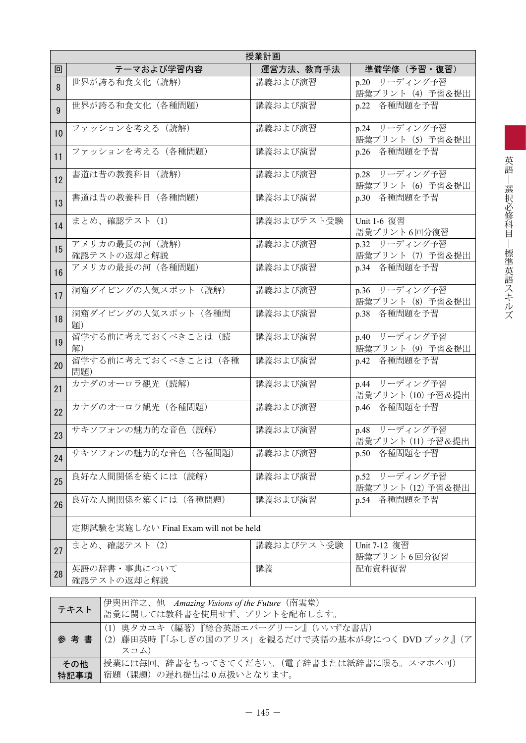|              | 授業計画                                   |            |                                       |  |  |  |  |  |  |  |
|--------------|----------------------------------------|------------|---------------------------------------|--|--|--|--|--|--|--|
| 回            | テーマおよび学習内容                             | 運営方法、教育手法  | 準備学修 (予習・復習)                          |  |  |  |  |  |  |  |
| 8            | 世界が誇る和食文化(読解)                          | 講義および演習    | p.20 リーディング予習<br>語彙プリント(4)予習&提出       |  |  |  |  |  |  |  |
| $\mathbf{Q}$ | 世界が誇る和食文化(各種問題)                        | 講義および演習    | p.22 各種問題を予習                          |  |  |  |  |  |  |  |
| 10           | ファッションを考える (読解)                        | 講義および演習    | p.24 リーディング予習<br>語彙プリント (5) 予習&提出     |  |  |  |  |  |  |  |
| 11           | ファッションを考える (各種問題)                      | 講義および演習    | p.26 各種問題を予習                          |  |  |  |  |  |  |  |
| 12           | 書道は昔の教養科目 (読解)                         | 講義および演習    | p.28 リーディング予習<br>語彙プリント (6) 予習&提出     |  |  |  |  |  |  |  |
| 13           | 書道は昔の教養科目 (各種問題)                       | 講義および演習    | p.30 各種問題を予習                          |  |  |  |  |  |  |  |
| 14           | まとめ、確認テスト (1)                          | 講義およびテスト受験 | Unit 1-6 復習<br>語彙プリント6回分復習            |  |  |  |  |  |  |  |
| 15           | アメリカの最長の河 (読解)<br>確認テストの返却と解説          | 講義および演習    | p.32 リーディング予習<br>語彙プリント (7) 予習&提出     |  |  |  |  |  |  |  |
| 16           | アメリカの最長の河(各種問題)                        | 講義および演習    | p.34 各種問題を予習                          |  |  |  |  |  |  |  |
| 17           | 洞窟ダイビングの人気スポット (読解)                    | 講義および演習    | p.36 リーディング予習<br>語彙プリント (8) 予習&提出     |  |  |  |  |  |  |  |
| 18           | 洞窟ダイビングの人気スポット(各種問<br>題)               | 講義および演習    | 各種問題を予習<br>p.38                       |  |  |  |  |  |  |  |
| 19           | 留学する前に考えておくべきことは(読<br>解)               | 講義および演習    | p.40 リーディング予習<br>語彙プリント (9) 予習&提出     |  |  |  |  |  |  |  |
| 20           | 留学する前に考えておくべきことは(各種<br>問題)             | 講義および演習    | p.42 各種問題を予習                          |  |  |  |  |  |  |  |
| 21           | カナダのオーロラ観光 (読解)                        | 講義および演習    | p.44 リーディング予習<br>語彙プリント (10) 予習&提出    |  |  |  |  |  |  |  |
| 22           | カナダのオーロラ観光 (各種問題)                      | 講義および演習    | p.46 各種問題を予習                          |  |  |  |  |  |  |  |
| 23           | サキソフォンの魅力的な音色 (読解)                     | 講義および演習    | p.48 リーディング予習<br>語彙プリント (11) 予習&提出    |  |  |  |  |  |  |  |
| 24           | サキソフォンの魅力的な音色 (各種問題)                   | 講義および演習    | 各種問題を予習<br>p.50                       |  |  |  |  |  |  |  |
| 25           | 良好な人間関係を築くには(読解)                       | 講義および演習    | リーディング予習<br>p.52<br>語彙プリント (12) 予習&提出 |  |  |  |  |  |  |  |
| 26           | 良好な人間関係を築くには(各種問題)                     | 講義および演習    | 各種問題を予習<br>p.54                       |  |  |  |  |  |  |  |
|              | 定期試験を実施しない Final Exam will not be held |            |                                       |  |  |  |  |  |  |  |
| 27           | まとめ、確認テスト (2)                          | 講義およびテスト受験 | Unit 7-12 復習<br>語彙プリント6回分復習           |  |  |  |  |  |  |  |
| 28           | 英語の辞書・事典について<br>確認テストの返却と解説            | 講義         | 配布資料復習                                |  |  |  |  |  |  |  |

|             | 伊與田洋之、他 Amazing Visions of the Future (南雲堂)<br><b>/テキスト</b> │ ∴ ´ ´ ´ ´ ´ ¨ ¨ ¨ ¨ ¨ ¨ ¨ ¨ ¨ で使用せず、プリントを配布します。 |
|-------------|---------------------------------------------------------------------------------------------------------------|
|             | (1) 奥タカユキ (編著)『総合英語エバーグリーン』(いいずな書店)<br>参考書  (2) 藤田英時『「ふしぎの国のアリス」を観るだけで英語の基本が身につく DVD ブック』(ア<br>スコム)           |
| その他<br>特記事項 | 授業には毎回、辞書をもってきてください。(電子辞書または紙辞書に限る。スマホ不可)<br>宿題(課題)の遅れ提出は0点扱いとなります。                                           |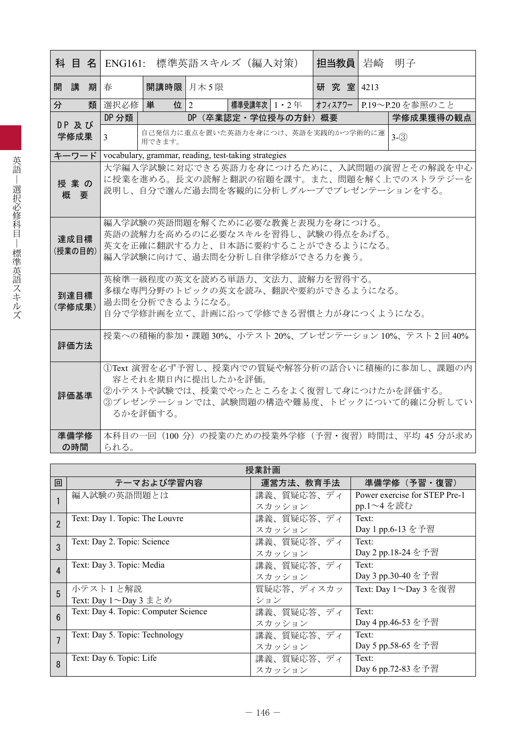|   |                 |   | 科 目 名 ENG161:                                                                                                                     |                                                         | 標準英語スキルズ(編入対策)                                       |                                                                                                                                              | 担当教員     | 岩崎 | 明子                                                                                          |  |  |  |
|---|-----------------|---|-----------------------------------------------------------------------------------------------------------------------------------|---------------------------------------------------------|------------------------------------------------------|----------------------------------------------------------------------------------------------------------------------------------------------|----------|----|---------------------------------------------------------------------------------------------|--|--|--|
|   | 開講              | 期 | 春                                                                                                                                 | 開講時限 月木 5限                                              |                                                      |                                                                                                                                              | 研究室 4213 |    |                                                                                             |  |  |  |
| 分 |                 | 類 | 選択必修                                                                                                                              | 単                                                       | 位 2                                                  | 標準受講年次 1・2 年                                                                                                                                 |          |    | オフィスアワー P.19~P.20を参照のこと                                                                     |  |  |  |
|   | DP及び            |   | DP 分類                                                                                                                             |                                                         |                                                      | DP (卒業認定・学位授与の方針) 概要                                                                                                                         |          |    | 学修成果獲得の観点                                                                                   |  |  |  |
|   | 学修成果            |   | 3                                                                                                                                 | 自己発信力に重点を置いた英語力を身につけ、英語を実践的かつ学術的に運<br>$3-(3)$<br>用できます。 |                                                      |                                                                                                                                              |          |    |                                                                                             |  |  |  |
|   | キーワード           |   |                                                                                                                                   |                                                         | vocabulary, grammar, reading, test-taking strategies |                                                                                                                                              |          |    |                                                                                             |  |  |  |
|   | 授業の<br>概要       |   | 大学編入学試験に対応できる英語力を身につけるために、入試問題の演習とその解説を中心<br>に授業を進める。長文の読解と翻訳の宿題を課す。また、問題を解く上でのストラテジーを<br>説明し、自分で選んだ過去問を客観的に分析しグループでプレゼンテーションをする。 |                                                         |                                                      |                                                                                                                                              |          |    |                                                                                             |  |  |  |
|   | 達成目標<br>(授業の目的) |   |                                                                                                                                   |                                                         |                                                      | 編入学試験の英語問題を解くために必要な教養と表現力を身につける。<br>英語の読解力を高めるのに必要なスキルを習得し、試験の得点をあげる。<br>英文を正確に翻訳する力と、日本語に要約することができるようになる。<br>編入学試験に向けて、過去問を分析し自律学修ができる力を養う。 |          |    |                                                                                             |  |  |  |
|   | 到達目標<br>(学修成果)  |   | 英検準一級程度の英文を読める単語力、文法力、読解力を習得する。<br>多様な専門分野のトピックの英文を読み、翻訳や要約ができるようになる。<br>過去問を分析できるようになる。<br>自分で学修計画を立て、計画に沿って学修できる習慣と力が身につくようになる。 |                                                         |                                                      |                                                                                                                                              |          |    |                                                                                             |  |  |  |
|   | 評価方法            |   | 授業への積極的参加・課題 30%、小テスト 20%、プレゼンテーション 10%、テスト 2回 40%                                                                                |                                                         |                                                      |                                                                                                                                              |          |    |                                                                                             |  |  |  |
|   | 評価基準            |   |                                                                                                                                   | るかを評価する。                                                | 容とそれを期日内に提出したかを評価。                                   | ②小テストや試験では、授業でやったところをよく復習して身につけたかを評価する。                                                                                                      |          |    | 1) Text 演習を必ず予習し、授業内での質疑や解答分析の話合いに積極的に参加し、課題の内<br>3プレゼンテーションでは、試験問題の構造や難易度、トピックについて的確に分析してい |  |  |  |
|   | 準備学修<br>の時間     |   | られる。                                                                                                                              |                                                         |                                                      |                                                                                                                                              |          |    | 本科目の一回 (100分) の授業のための授業外学修 (予習・復習) 時間は、平均 45 分が求め                                           |  |  |  |

|                        | 授業計画                                 |            |                               |  |  |  |  |  |  |
|------------------------|--------------------------------------|------------|-------------------------------|--|--|--|--|--|--|
| 回                      | テーマおよび学習内容                           | 運営方法、教育手法  | 準備学修 (予習·復習)                  |  |  |  |  |  |  |
|                        | 編入試験の英語問題とは                          | 講義、質疑応答、ディ | Power exercise for STEP Pre-1 |  |  |  |  |  |  |
|                        |                                      | スカッション     | pp.1~4 を読む                    |  |  |  |  |  |  |
| $\mathfrak{p}$         | Text: Day 1. Topic: The Louvre       | 講義、質疑応答、ディ | Text:                         |  |  |  |  |  |  |
|                        |                                      | スカッション     | Day 1 pp.6-13 を予習             |  |  |  |  |  |  |
| 3                      | Text: Day 2. Topic: Science          | 講義、質疑応答、ディ | Text:                         |  |  |  |  |  |  |
|                        |                                      | スカッション     | Day 2 pp.18-24 を予習            |  |  |  |  |  |  |
| $\boldsymbol{\Lambda}$ | Text: Day 3. Topic: Media            | 講義、質疑応答、ディ | Text:                         |  |  |  |  |  |  |
|                        |                                      | スカッション     | Day 3 pp.30-40 を予習            |  |  |  |  |  |  |
| 5                      | 小テスト1と解説                             | 質疑応答、ディスカッ | Text: Day 1~Day 3 を復習         |  |  |  |  |  |  |
|                        | Text: Day 1 ~ Day 3 まとめ              | ション        |                               |  |  |  |  |  |  |
| 6                      | Text: Day 4. Topic: Computer Science | 講義、質疑応答、ディ | Text:                         |  |  |  |  |  |  |
|                        |                                      | スカッション     | Day 4 pp.46-53 を予習            |  |  |  |  |  |  |
|                        | Text: Day 5. Topic: Technology       | 講義、質疑応答、ディ | Text:                         |  |  |  |  |  |  |
|                        |                                      | スカッション     | Day 5 pp.58-65 を予習            |  |  |  |  |  |  |
| 8                      | Text: Day 6. Topic: Life             | 講義、質疑応答、ディ | Text:                         |  |  |  |  |  |  |
|                        |                                      | スカッション     | Day 6 pp.72-83 を予習            |  |  |  |  |  |  |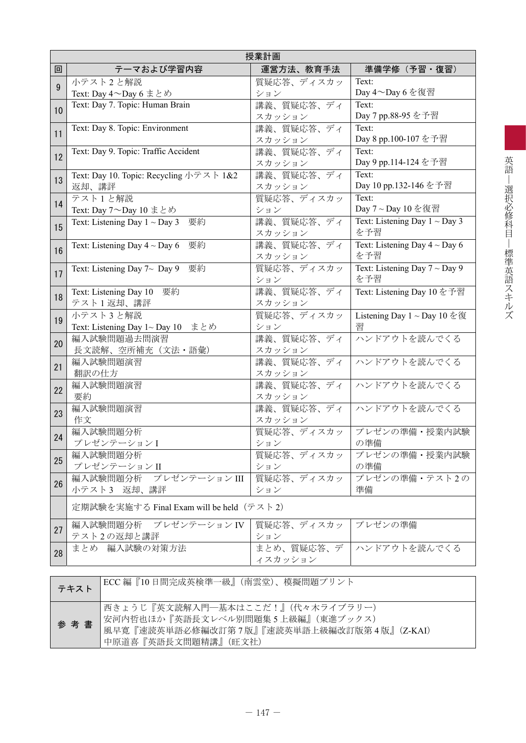|    | 授業計画                                                 |                      |                                    |  |  |  |  |  |  |  |
|----|------------------------------------------------------|----------------------|------------------------------------|--|--|--|--|--|--|--|
| 回  | テーマおよび学習内容                                           | 運営方法、教育手法            | 準備学修(予習・復習)                        |  |  |  |  |  |  |  |
| 9  | 小テスト2と解説                                             | 質疑応答、ディスカッ           | Text:                              |  |  |  |  |  |  |  |
|    | Text: Day 4~Day 6 まとめ                                | ション                  | Day 4~Day 6 を復習                    |  |  |  |  |  |  |  |
| 10 | Text: Day 7. Topic: Human Brain                      | 講義、質疑応答、ディ           | Text:                              |  |  |  |  |  |  |  |
|    |                                                      | スカッション               | Day 7 pp.88-95 を予習                 |  |  |  |  |  |  |  |
| 11 | Text: Day 8. Topic: Environment                      | 講義、質疑応答、ディ           | Text:                              |  |  |  |  |  |  |  |
|    |                                                      | スカッション               | Day 8 pp.100-107 を予習               |  |  |  |  |  |  |  |
| 12 | Text: Day 9. Topic: Traffic Accident                 | 講義、質疑応答、ディ           | Text:                              |  |  |  |  |  |  |  |
|    |                                                      | スカッション               | Day 9 pp.114-124 を予習               |  |  |  |  |  |  |  |
| 13 | Text: Day 10. Topic: Recycling $\sqrt{5} \times 182$ | 講義、質疑応答、ディ           | Text:                              |  |  |  |  |  |  |  |
|    | 返却、講評                                                | スカッション               | Day 10 pp.132-146 を予習              |  |  |  |  |  |  |  |
| 14 | テスト1と解説                                              | 質疑応答、ディスカッ           | Text:<br>Day 7~Day 10 を復習          |  |  |  |  |  |  |  |
|    | Text: Day $7 \sim$ Day 10 まとめ                        | ション                  | Text: Listening Day $1 \sim$ Day 3 |  |  |  |  |  |  |  |
| 15 | Text: Listening Day $1 \sim$ Day 3<br>要約             | 講義、質疑応答、ディ<br>スカッション | を予習                                |  |  |  |  |  |  |  |
|    | Text: Listening Day $4 \sim$ Day 6<br>要約             | 講義、質疑応答、ディ           | Text: Listening Day $4 \sim$ Day 6 |  |  |  |  |  |  |  |
| 16 |                                                      | スカッション               | を予習                                |  |  |  |  |  |  |  |
|    | Text: Listening Day $7\sim$ Day 9<br>要約              | 質疑応答、ディスカッ           | Text: Listening Day $7 \sim$ Day 9 |  |  |  |  |  |  |  |
| 17 |                                                      | ション                  | を予習                                |  |  |  |  |  |  |  |
|    | Text: Listening Day 10 要約                            | 講義、質疑応答、ディ           | Text: Listening Day 10 を予習         |  |  |  |  |  |  |  |
| 18 | テスト1返却、講評                                            | スカッション               |                                    |  |  |  |  |  |  |  |
|    | 小テスト3と解説                                             | 質疑応答、ディスカッ           | Listening Day $1 \sim$ Day 10 を復   |  |  |  |  |  |  |  |
| 19 | Text: Listening Day 1~ Day 10 まとめ                    | ション                  | 習                                  |  |  |  |  |  |  |  |
| 20 | 編入試験問題過去問演習                                          | 講義、質疑応答、ディ           | ハンドアウトを読んでくる                       |  |  |  |  |  |  |  |
|    | 長文読解、空所補充 (文法・語彙)                                    | スカッション               |                                    |  |  |  |  |  |  |  |
| 21 | 編入試験問題演習                                             | 講義、質疑応答、ディ           | ハンドアウトを読んでくる                       |  |  |  |  |  |  |  |
|    | 翻訳の仕方                                                | スカッション               |                                    |  |  |  |  |  |  |  |
| 22 | 編入試験問題演習                                             | 講義、質疑応答、ディ           | ハンドアウトを読んでくる                       |  |  |  |  |  |  |  |
|    | 要約                                                   | スカッション               |                                    |  |  |  |  |  |  |  |
| 23 | 編入試験問題演習                                             | 講義、質疑応答、ディ           | ハンドアウトを読んでくる                       |  |  |  |  |  |  |  |
|    | 作文                                                   | スカッション               |                                    |  |  |  |  |  |  |  |
| 24 | 編入試験問題分析                                             | 質疑応答、ディスカッ           | プレゼンの準備・授業内試験                      |  |  |  |  |  |  |  |
|    | プレゼンテーションI                                           | ション                  | の準備                                |  |  |  |  |  |  |  |
| 25 | 編入試験問題分析<br>プレゼンテーションII                              | 質疑応答、ディスカッ           | プレゼンの準備・授業内試験<br>の準備               |  |  |  |  |  |  |  |
|    | 編入試験問題分析 プレゼンテーション III                               | ション<br>質疑応答、ディスカッ    | プレゼンの準備・テスト2の                      |  |  |  |  |  |  |  |
| 26 | 小テスト3 返却、講評                                          | ション                  | 準備                                 |  |  |  |  |  |  |  |
|    |                                                      |                      |                                    |  |  |  |  |  |  |  |
|    | 定期試験を実施する Final Exam will be held(テスト 2)             |                      |                                    |  |  |  |  |  |  |  |
| 27 | 編入試験問題分析 プレゼンテーションIV                                 | 質疑応答、ディスカッ           | プレゼンの準備                            |  |  |  |  |  |  |  |
|    | テスト2の返却と講評                                           | ション                  |                                    |  |  |  |  |  |  |  |
| 28 | まとめ 編入試験の対策方法                                        | まとめ、質疑応答、デ           | ハンドアウトを読んでくる                       |  |  |  |  |  |  |  |
|    |                                                      | イスカッション              |                                    |  |  |  |  |  |  |  |
|    |                                                      |                      |                                    |  |  |  |  |  |  |  |

| テキスト | ECC 編『10日間完成英検準一級』(南雲堂)、模擬問題プリント                                                                                                          |
|------|-------------------------------------------------------------------------------------------------------------------------------------------|
| 参考書  | 西きょうじ『英文読解入門―基本はここだ!』(代々木ライブラリー)<br> 安河内哲也ほか『英語長文レベル別問題集5上級編』(東進ブックス)<br>風早寛『速読英単語必修編改訂第7版』『速読英単語上級編改訂版第4版』(Z-KAI)<br>中原道喜『英語長文問題精講』(旺文社) |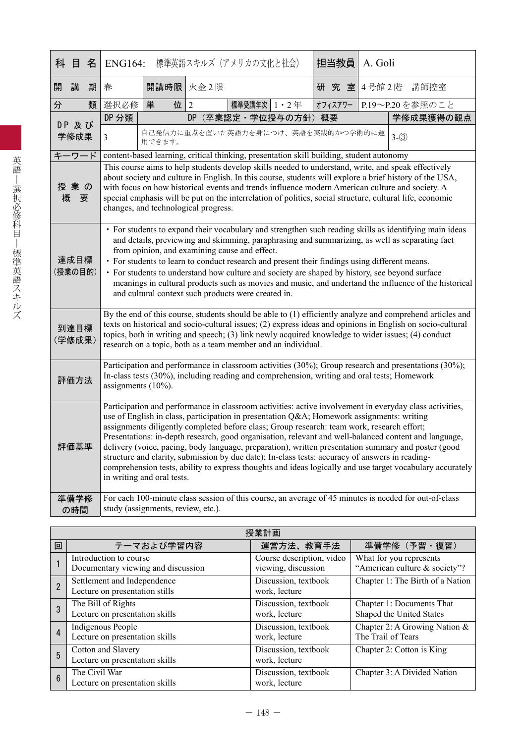|   | 科目名             |   | <b>ENG164:</b>                                                                                                                                                                                                                                                                                                                                                                                                                                                                                                                                                                                                                                                                                                                                                  |                                                                                                                                                                                                       |                | 標準英語スキルズ(アメリカの文化と社会) |  |  | 担当教員              | A. Goli |                                                                                                                                                                                                                                                                                                                                                                                                                     |
|---|-----------------|---|-----------------------------------------------------------------------------------------------------------------------------------------------------------------------------------------------------------------------------------------------------------------------------------------------------------------------------------------------------------------------------------------------------------------------------------------------------------------------------------------------------------------------------------------------------------------------------------------------------------------------------------------------------------------------------------------------------------------------------------------------------------------|-------------------------------------------------------------------------------------------------------------------------------------------------------------------------------------------------------|----------------|----------------------|--|--|-------------------|---------|---------------------------------------------------------------------------------------------------------------------------------------------------------------------------------------------------------------------------------------------------------------------------------------------------------------------------------------------------------------------------------------------------------------------|
| 開 | 講               | 期 | 春                                                                                                                                                                                                                                                                                                                                                                                                                                                                                                                                                                                                                                                                                                                                                               | 開講時限 火金2限                                                                                                                                                                                             |                |                      |  |  | 研 究 室 4号館 2階 講師控室 |         |                                                                                                                                                                                                                                                                                                                                                                                                                     |
| 分 |                 | 類 | 選択必修                                                                                                                                                                                                                                                                                                                                                                                                                                                                                                                                                                                                                                                                                                                                                            | 単<br>位                                                                                                                                                                                                | $\overline{2}$ | 標準受講年次   1 · 2 年     |  |  | オフィスアワー           |         | P.19~P.20を参照のこと                                                                                                                                                                                                                                                                                                                                                                                                     |
|   | DP 及び           |   | DP 分類                                                                                                                                                                                                                                                                                                                                                                                                                                                                                                                                                                                                                                                                                                                                                           |                                                                                                                                                                                                       | DP             | (卒業認定·学位授与の方針) 概要    |  |  |                   |         | 学修成果獲得の観点                                                                                                                                                                                                                                                                                                                                                                                                           |
|   | 学修成果            |   | $\overline{3}$                                                                                                                                                                                                                                                                                                                                                                                                                                                                                                                                                                                                                                                                                                                                                  | 自己発信力に重点を置いた英語力を身につけ、英語を実践的かつ学術的に運<br>用できます。                                                                                                                                                          |                |                      |  |  |                   |         | $3 - (3)$                                                                                                                                                                                                                                                                                                                                                                                                           |
|   | キーワード           |   |                                                                                                                                                                                                                                                                                                                                                                                                                                                                                                                                                                                                                                                                                                                                                                 | content-based learning, critical thinking, presentation skill building, student autonomy                                                                                                              |                |                      |  |  |                   |         |                                                                                                                                                                                                                                                                                                                                                                                                                     |
| 概 | 授業の<br>要        |   | This course aims to help students develop skills needed to understand, write, and speak effectively<br>about society and culture in English. In this course, students will explore a brief history of the USA,<br>with focus on how historical events and trends influence modern American culture and society. A<br>special emphasis will be put on the interrelation of politics, social structure, cultural life, economic<br>changes, and technological progress.                                                                                                                                                                                                                                                                                           |                                                                                                                                                                                                       |                |                      |  |  |                   |         |                                                                                                                                                                                                                                                                                                                                                                                                                     |
|   | 達成目標<br>(授業の目的) |   |                                                                                                                                                                                                                                                                                                                                                                                                                                                                                                                                                                                                                                                                                                                                                                 | from opinion, and examining cause and effect.<br>• For students to learn to conduct research and present their findings using different means.<br>and cultural context such products were created in. |                |                      |  |  |                   |         | • For students to expand their vocabulary and strengthen such reading skills as identifying main ideas<br>and details, previewing and skimming, paraphrasing and summarizing, as well as separating fact<br>• For students to understand how culture and society are shaped by history, see beyond surface<br>meanings in cultural products such as movies and music, and undertand the influence of the historical |
|   | 到達目標<br>(学修成果)  |   |                                                                                                                                                                                                                                                                                                                                                                                                                                                                                                                                                                                                                                                                                                                                                                 | research on a topic, both as a team member and an individual.                                                                                                                                         |                |                      |  |  |                   |         | By the end of this course, students should be able to (1) efficiently analyze and comprehend articles and<br>texts on historical and socio-cultural issues; (2) express ideas and opinions in English on socio-cultural<br>topics, both in writing and speech; (3) link newly acquired knowledge to wider issues; (4) conduct                                                                                       |
|   | 評価方法            |   | Participation and performance in classroom activities (30%); Group research and presentations (30%);<br>In-class tests (30%), including reading and comprehension, writing and oral tests; Homework<br>assignments $(10\%)$ .                                                                                                                                                                                                                                                                                                                                                                                                                                                                                                                                   |                                                                                                                                                                                                       |                |                      |  |  |                   |         |                                                                                                                                                                                                                                                                                                                                                                                                                     |
|   | 評価基準            |   | Participation and performance in classroom activities: active involvement in everyday class activities,<br>use of English in class, participation in presentation Q&A Homework assignments: writing<br>assignments diligently completed before class; Group research: team work, research effort;<br>Presentations: in-depth research, good organisation, relevant and well-balanced content and language,<br>delivery (voice, pacing, body language, preparation), written presentation summary and poster (good<br>structure and clarity, submission by due date); In-class tests: accuracy of answers in reading-<br>comprehension tests, ability to express thoughts and ideas logically and use target vocabulary accurately<br>in writing and oral tests. |                                                                                                                                                                                                       |                |                      |  |  |                   |         |                                                                                                                                                                                                                                                                                                                                                                                                                     |
|   | 準備学修<br>の時間     |   |                                                                                                                                                                                                                                                                                                                                                                                                                                                                                                                                                                                                                                                                                                                                                                 | study (assignments, review, etc.).                                                                                                                                                                    |                |                      |  |  |                   |         | For each 100-minute class session of this course, an average of 45 minutes is needed for out-of-class                                                                                                                                                                                                                                                                                                               |

|   | 授業計画                                                          |                                                  |                                                          |  |  |  |  |  |  |
|---|---------------------------------------------------------------|--------------------------------------------------|----------------------------------------------------------|--|--|--|--|--|--|
| 回 | テーマおよび学習内容                                                    | 運営方法、教育手法                                        | 準備学修 (予習·復習)                                             |  |  |  |  |  |  |
|   | Introduction to course<br>Documentary viewing and discussion  | Course description, video<br>viewing, discussion | What for you represents<br>"American culture & society"? |  |  |  |  |  |  |
|   | Settlement and Independence<br>Lecture on presentation stills | Discussion, textbook<br>work, lecture            | Chapter 1: The Birth of a Nation                         |  |  |  |  |  |  |
| 3 | The Bill of Rights<br>Lecture on presentation skills          | Discussion, textbook<br>work, lecture            | Chapter 1: Documents That<br>Shaped the United States    |  |  |  |  |  |  |
| 4 | Indigenous People<br>Lecture on presentation skills           | Discussion, textbook<br>work, lecture            | Chapter 2: A Growing Nation $\&$<br>The Trail of Tears   |  |  |  |  |  |  |
| 5 | Cotton and Slavery<br>Lecture on presentation skills          | Discussion, textbook<br>work, lecture            | Chapter 2: Cotton is King                                |  |  |  |  |  |  |
| 6 | The Civil War<br>Lecture on presentation skills               | Discussion, textbook<br>work, lecture            | Chapter 3: A Divided Nation                              |  |  |  |  |  |  |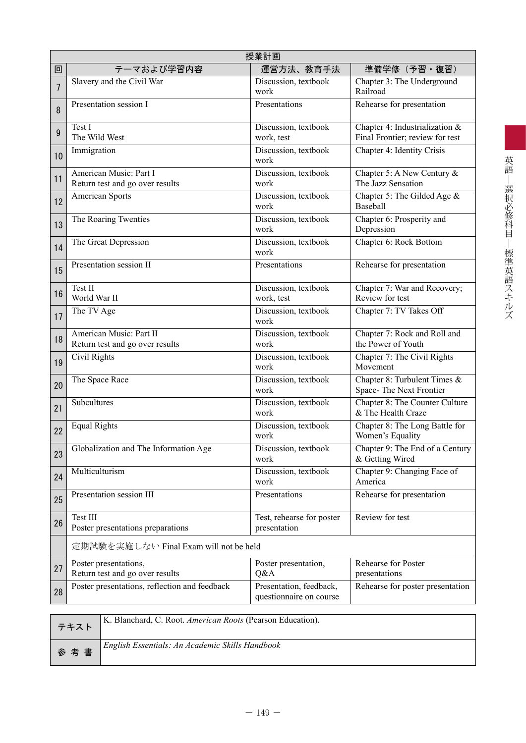|                | 授業計画                                                       |                                                    |                                                                   |  |  |  |  |  |  |
|----------------|------------------------------------------------------------|----------------------------------------------------|-------------------------------------------------------------------|--|--|--|--|--|--|
| 回              | テーマおよび学習内容                                                 | 運営方法、教育手法                                          | 準備学修(予習・復習)                                                       |  |  |  |  |  |  |
| $\overline{7}$ | Slavery and the Civil War                                  | Discussion, textbook<br>work                       | Chapter 3: The Underground<br>Railroad                            |  |  |  |  |  |  |
| 8              | Presentation session I                                     | Presentations                                      | Rehearse for presentation                                         |  |  |  |  |  |  |
| 9              | Test I<br>The Wild West                                    | Discussion, textbook<br>work, test                 | Chapter 4: Industrialization &<br>Final Frontier; review for test |  |  |  |  |  |  |
| 10             | Immigration                                                | Discussion, textbook<br>work                       | Chapter 4: Identity Crisis                                        |  |  |  |  |  |  |
| 11             | American Music: Part I<br>Return test and go over results  | Discussion, textbook<br>work                       | Chapter 5: A New Century $\&$<br>The Jazz Sensation               |  |  |  |  |  |  |
| 12             | <b>American Sports</b>                                     | Discussion, textbook<br>work                       | Chapter 5: The Gilded Age &<br>Baseball                           |  |  |  |  |  |  |
| 13             | The Roaring Twenties                                       | Discussion, textbook<br>work                       | Chapter 6: Prosperity and<br>Depression                           |  |  |  |  |  |  |
| 14             | The Great Depression                                       | Discussion, textbook<br>work                       | Chapter 6: Rock Bottom                                            |  |  |  |  |  |  |
| 15             | Presentation session II                                    | Presentations                                      | Rehearse for presentation                                         |  |  |  |  |  |  |
| 16             | Test II<br>World War II                                    | Discussion, textbook<br>work, test                 | Chapter 7: War and Recovery;<br>Review for test                   |  |  |  |  |  |  |
| 17             | The TV Age                                                 | Discussion, textbook<br>work                       | Chapter 7: TV Takes Off                                           |  |  |  |  |  |  |
| 18             | American Music: Part II<br>Return test and go over results | Discussion, textbook<br>work                       | Chapter 7: Rock and Roll and<br>the Power of Youth                |  |  |  |  |  |  |
| 19             | Civil Rights                                               | Discussion, textbook<br>work                       | Chapter 7: The Civil Rights<br>Movement                           |  |  |  |  |  |  |
| 20             | The Space Race                                             | Discussion, textbook<br>work                       | Chapter 8: Turbulent Times &<br>Space-The Next Frontier           |  |  |  |  |  |  |
| 21             | Subcultures                                                | Discussion, textbook<br>work                       | Chapter 8: The Counter Culture<br>& The Health Craze              |  |  |  |  |  |  |
| 22             | <b>Equal Rights</b>                                        | Discussion, textbook<br>work                       | Chapter 8: The Long Battle for<br>Women's Equality                |  |  |  |  |  |  |
| 23             | Globalization and The Information Age                      | Discussion, textbook<br>work                       | Chapter 9: The End of a Century<br>& Getting Wired                |  |  |  |  |  |  |
| 24             | Multiculturism                                             | Discussion, textbook<br>work                       | Chapter 9: Changing Face of<br>America                            |  |  |  |  |  |  |
| 25             | Presentation session III                                   | Presentations                                      | Rehearse for presentation                                         |  |  |  |  |  |  |
| 26             | Test III<br>Poster presentations preparations              | Test, rehearse for poster<br>presentation          | Review for test                                                   |  |  |  |  |  |  |
|                | 定期試験を実施しない Final Exam will not be held                     |                                                    |                                                                   |  |  |  |  |  |  |
| 27             | Poster presentations,<br>Return test and go over results   | Poster presentation,<br>Q&A                        | Rehearse for Poster<br>presentations                              |  |  |  |  |  |  |
| 28             | Poster presentations, reflection and feedback              | Presentation, feedback,<br>questionnaire on course | Rehearse for poster presentation                                  |  |  |  |  |  |  |

| テキスト | K. Blanchard, C. Root. <i>American Roots</i> (Pearson Education). |
|------|-------------------------------------------------------------------|
| 参考書  | English Essentials: An Academic Skills Handbook                   |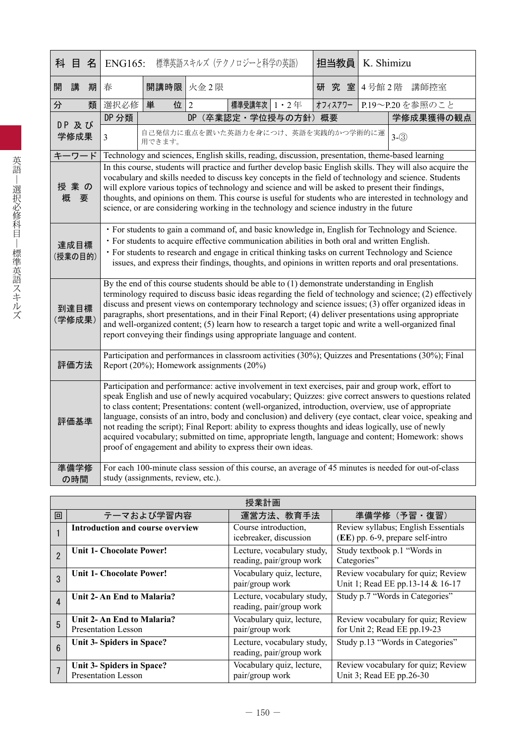| 科目名     |             |   | <b>ENG165:</b>                                                                                                                                                                                                                                                                                                                                                                                                                                                                                                                                                                                                                                                                                                 |                                                                                               |                | 標準英語スキルズ (テクノロジーと科学の英語) |  | 担当教員      | K. Shimizu |                                                                                                                                                                                                                                                                                                                                                                                                                                                                                                                                            |  |  |
|---------|-------------|---|----------------------------------------------------------------------------------------------------------------------------------------------------------------------------------------------------------------------------------------------------------------------------------------------------------------------------------------------------------------------------------------------------------------------------------------------------------------------------------------------------------------------------------------------------------------------------------------------------------------------------------------------------------------------------------------------------------------|-----------------------------------------------------------------------------------------------|----------------|-------------------------|--|-----------|------------|--------------------------------------------------------------------------------------------------------------------------------------------------------------------------------------------------------------------------------------------------------------------------------------------------------------------------------------------------------------------------------------------------------------------------------------------------------------------------------------------------------------------------------------------|--|--|
| 開       | 講           | 期 | 春                                                                                                                                                                                                                                                                                                                                                                                                                                                                                                                                                                                                                                                                                                              | 開講時限 火金2限                                                                                     |                |                         |  | 究 室 <br>研 |            | 4号館2階 講師控室                                                                                                                                                                                                                                                                                                                                                                                                                                                                                                                                 |  |  |
| 分       |             | 類 | 選択必修                                                                                                                                                                                                                                                                                                                                                                                                                                                                                                                                                                                                                                                                                                           | 単<br>位                                                                                        | $\overline{2}$ | 標準受講年次 1 · 2年           |  | オフィスアワー   |            | P.19~P.20を参照のこと                                                                                                                                                                                                                                                                                                                                                                                                                                                                                                                            |  |  |
|         | DP 及び       |   | DP 分類                                                                                                                                                                                                                                                                                                                                                                                                                                                                                                                                                                                                                                                                                                          |                                                                                               | <b>DP</b>      | (卒業認定·学位授与の方針)概要        |  |           |            | 学修成果獲得の観点                                                                                                                                                                                                                                                                                                                                                                                                                                                                                                                                  |  |  |
|         | 学修成果        |   | $\overline{3}$                                                                                                                                                                                                                                                                                                                                                                                                                                                                                                                                                                                                                                                                                                 | 自己発信力に重点を置いた英語力を身につけ、英語を実践的かつ学術的に運<br>用できます。                                                  |                |                         |  |           |            | $3-(3)$                                                                                                                                                                                                                                                                                                                                                                                                                                                                                                                                    |  |  |
| キーワード   |             |   |                                                                                                                                                                                                                                                                                                                                                                                                                                                                                                                                                                                                                                                                                                                |                                                                                               |                |                         |  |           |            | Technology and sciences, English skills, reading, discussion, presentation, theme-based learning                                                                                                                                                                                                                                                                                                                                                                                                                                           |  |  |
| 概       | 授業の<br>要    |   | In this course, students will practice and further develop basic English skills. They will also acquire the<br>vocabulary and skills needed to discuss key concepts in the field of technology and science. Students<br>will explore various topics of technology and science and will be asked to present their findings,<br>thoughts, and opinions on them. This course is useful for students who are interested in technology and<br>science, or are considering working in the technology and science industry in the future                                                                                                                                                                              |                                                                                               |                |                         |  |           |            |                                                                                                                                                                                                                                                                                                                                                                                                                                                                                                                                            |  |  |
| (授業の目的) | 達成目標        |   |                                                                                                                                                                                                                                                                                                                                                                                                                                                                                                                                                                                                                                                                                                                | · For students to acquire effective communication abilities in both oral and written English. |                |                         |  |           |            | · For students to gain a command of, and basic knowledge in, English for Technology and Science.<br>• For students to research and engage in critical thinking tasks on current Technology and Science<br>issues, and express their findings, thoughts, and opinions in written reports and oral presentations.                                                                                                                                                                                                                            |  |  |
| (学修成果)  | 到達目標        |   |                                                                                                                                                                                                                                                                                                                                                                                                                                                                                                                                                                                                                                                                                                                | report conveying their findings using appropriate language and content.                       |                |                         |  |           |            | By the end of this course students should be able to $(1)$ demonstrate understanding in English<br>terminology required to discuss basic ideas regarding the field of technology and science; (2) effectively<br>discuss and present views on contemporary technology and science issues; (3) offer organized ideas in<br>paragraphs, short presentations, and in their Final Report; (4) deliver presentations using appropriate<br>and well-organized content; (5) learn how to research a target topic and write a well-organized final |  |  |
|         | 評価方法        |   | Participation and performances in classroom activities (30%); Quizzes and Presentations (30%); Final<br>Report (20%); Homework assignments (20%)                                                                                                                                                                                                                                                                                                                                                                                                                                                                                                                                                               |                                                                                               |                |                         |  |           |            |                                                                                                                                                                                                                                                                                                                                                                                                                                                                                                                                            |  |  |
|         | 評価基準        |   | Participation and performance: active involvement in text exercises, pair and group work, effort to<br>speak English and use of newly acquired vocabulary; Quizzes: give correct answers to questions related<br>to class content; Presentations: content (well-organized, introduction, overview, use of appropriate<br>language, consists of an intro, body and conclusion) and delivery (eye contact, clear voice, speaking and<br>not reading the script); Final Report: ability to express thoughts and ideas logically, use of newly<br>acquired vocabulary; submitted on time, appropriate length, language and content; Homework: shows<br>proof of engagement and ability to express their own ideas. |                                                                                               |                |                         |  |           |            |                                                                                                                                                                                                                                                                                                                                                                                                                                                                                                                                            |  |  |
|         | 準備学修<br>の時間 |   |                                                                                                                                                                                                                                                                                                                                                                                                                                                                                                                                                                                                                                                                                                                | study (assignments, review, etc.).                                                            |                |                         |  |           |            | For each 100-minute class session of this course, an average of 45 minutes is needed for out-of-class                                                                                                                                                                                                                                                                                                                                                                                                                                      |  |  |

|                        | 授業計画                                             |                                                        |                                                                         |  |  |  |  |  |  |  |
|------------------------|--------------------------------------------------|--------------------------------------------------------|-------------------------------------------------------------------------|--|--|--|--|--|--|--|
| 回                      | テーマおよび学習内容                                       | 運営方法、教育手法                                              | 準備学修(予習・復習)                                                             |  |  |  |  |  |  |  |
|                        | Introduction and course overview                 | Course introduction,<br>icebreaker, discussion         | Review syllabus; English Essentials<br>(EE) pp. 6-9, prepare self-intro |  |  |  |  |  |  |  |
| $\overline{2}$         | <b>Unit 1- Chocolate Power!</b>                  | Lecture, vocabulary study,<br>reading, pair/group work | Study textbook p.1 "Words in<br>Categories"                             |  |  |  |  |  |  |  |
| 3                      | <b>Unit 1- Chocolate Power!</b>                  | Vocabulary quiz, lecture,<br>pair/group work           | Review vocabulary for quiz; Review<br>Unit 1; Read EE pp.13-14 & 16-17  |  |  |  |  |  |  |  |
| $\boldsymbol{\Lambda}$ | Unit 2-An End to Malaria?                        | Lecture, vocabulary study,<br>reading, pair/group work | Study p.7 "Words in Categories"                                         |  |  |  |  |  |  |  |
| 5                      | Unit 2-An End to Malaria?<br>Presentation Lesson | Vocabulary quiz, lecture,<br>pair/group work           | Review vocabulary for quiz; Review<br>for Unit 2; Read EE pp.19-23      |  |  |  |  |  |  |  |
| $6\phantom{1}6$        | Unit 3- Spiders in Space?                        | Lecture, vocabulary study,<br>reading, pair/group work | Study p.13 "Words in Categories"                                        |  |  |  |  |  |  |  |
|                        | Unit 3- Spiders in Space?<br>Presentation Lesson | Vocabulary quiz, lecture,<br>pair/group work           | Review vocabulary for quiz; Review<br>Unit 3; Read EE pp.26-30          |  |  |  |  |  |  |  |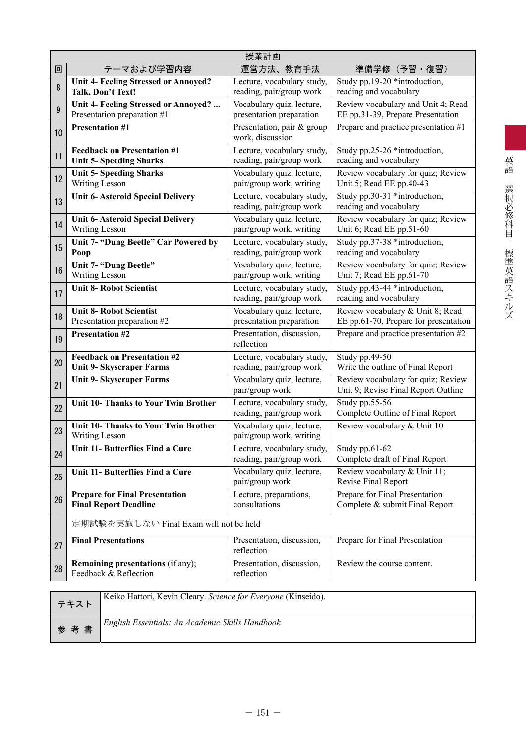|        | 授業計画                                                                  |                                                        |                                                                           |  |  |  |  |  |  |
|--------|-----------------------------------------------------------------------|--------------------------------------------------------|---------------------------------------------------------------------------|--|--|--|--|--|--|
| 回      | テーマおよび学習内容                                                            | 運営方法、教育手法                                              | 準備学修 (予習・復習)                                                              |  |  |  |  |  |  |
| $\, 8$ | Unit 4- Feeling Stressed or Annoyed?<br>Talk, Don't Text!             | Lecture, vocabulary study,<br>reading, pair/group work | Study pp.19-20 *introduction,<br>reading and vocabulary                   |  |  |  |  |  |  |
| $9\,$  | Unit 4- Feeling Stressed or Annoyed?<br>Presentation preparation #1   | Vocabulary quiz, lecture,<br>presentation preparation  | Review vocabulary and Unit 4; Read<br>EE pp.31-39, Prepare Presentation   |  |  |  |  |  |  |
| 10     | <b>Presentation #1</b>                                                | Presentation, pair & group<br>work, discussion         | Prepare and practice presentation #1                                      |  |  |  |  |  |  |
| 11     | <b>Feedback on Presentation #1</b><br><b>Unit 5- Speeding Sharks</b>  | Lecture, vocabulary study,<br>reading, pair/group work | Study pp.25-26 *introduction,<br>reading and vocabulary                   |  |  |  |  |  |  |
| 12     | <b>Unit 5- Speeding Sharks</b><br>Writing Lesson                      | Vocabulary quiz, lecture,<br>pair/group work, writing  | Review vocabulary for quiz; Review<br>Unit 5; Read EE pp.40-43            |  |  |  |  |  |  |
| 13     | <b>Unit 6- Asteroid Special Delivery</b>                              | Lecture, vocabulary study,<br>reading, pair/group work | Study pp.30-31 *introduction,<br>reading and vocabulary                   |  |  |  |  |  |  |
| 14     | <b>Unit 6- Asteroid Special Delivery</b><br>Writing Lesson            | Vocabulary quiz, lecture,<br>pair/group work, writing  | Review vocabulary for quiz; Review<br>Unit 6; Read EE pp.51-60            |  |  |  |  |  |  |
| 15     | Unit 7- "Dung Beetle" Car Powered by<br>Poop                          | Lecture, vocabulary study,<br>reading, pair/group work | Study pp.37-38 *introduction,<br>reading and vocabulary                   |  |  |  |  |  |  |
| 16     | Unit 7- "Dung Beetle"<br>Writing Lesson                               | Vocabulary quiz, lecture,<br>pair/group work, writing  | Review vocabulary for quiz; Review<br>Unit 7; Read EE pp.61-70            |  |  |  |  |  |  |
| 17     | <b>Unit 8- Robot Scientist</b>                                        | Lecture, vocabulary study,<br>reading, pair/group work | Study pp.43-44 *introduction,<br>reading and vocabulary                   |  |  |  |  |  |  |
| 18     | <b>Unit 8- Robot Scientist</b><br>Presentation preparation #2         | Vocabulary quiz, lecture,<br>presentation preparation  | Review vocabulary & Unit 8; Read<br>EE pp.61-70, Prepare for presentation |  |  |  |  |  |  |
| 19     | <b>Presentation #2</b>                                                | Presentation, discussion,<br>reflection                | Prepare and practice presentation #2                                      |  |  |  |  |  |  |
| 20     | <b>Feedback on Presentation #2</b><br><b>Unit 9- Skyscraper Farms</b> | Lecture, vocabulary study,<br>reading, pair/group work | Study pp.49-50<br>Write the outline of Final Report                       |  |  |  |  |  |  |
| 21     | <b>Unit 9- Skyscraper Farms</b>                                       | Vocabulary quiz, lecture,<br>pair/group work           | Review vocabulary for quiz; Review<br>Unit 9; Revise Final Report Outline |  |  |  |  |  |  |
| 22     | <b>Unit 10- Thanks to Your Twin Brother</b>                           | Lecture, vocabulary study,<br>reading, pair/group work | Study pp.55-56<br>Complete Outline of Final Report                        |  |  |  |  |  |  |
| 23     | <b>Unit 10- Thanks to Your Twin Brother</b><br>Writing Lesson         | Vocabulary quiz, lecture,<br>pair/group work, writing  | Review vocabulary & Unit 10                                               |  |  |  |  |  |  |
| 24     | Unit 11- Butterflies Find a Cure                                      | Lecture, vocabulary study,<br>reading, pair/group work | Study pp.61-62<br>Complete draft of Final Report                          |  |  |  |  |  |  |
| 25     | Unit 11- Butterflies Find a Cure                                      | Vocabulary quiz, lecture,<br>pair/group work           | Review vocabulary & Unit 11;<br>Revise Final Report                       |  |  |  |  |  |  |
| 26     | <b>Prepare for Final Presentation</b><br><b>Final Report Deadline</b> | Lecture, preparations,<br>consultations                | Prepare for Final Presentation<br>Complete & submit Final Report          |  |  |  |  |  |  |
|        | 定期試験を実施しない Final Exam will not be held                                |                                                        |                                                                           |  |  |  |  |  |  |
| 27     | <b>Final Presentations</b>                                            | Presentation, discussion,<br>reflection                | Prepare for Final Presentation                                            |  |  |  |  |  |  |
| 28     | <b>Remaining presentations (if any);</b><br>Feedback & Reflection     | Presentation, discussion,<br>reflection                | Review the course content.                                                |  |  |  |  |  |  |
|        | Keiko Hattori, Kevin Cleary. Science for Everyone (Kinseido).         |                                                        |                                                                           |  |  |  |  |  |  |
|        | テキスト                                                                  |                                                        |                                                                           |  |  |  |  |  |  |
| 参      | English Essentials: An Academic Skills Handbook<br>考書                 |                                                        |                                                                           |  |  |  |  |  |  |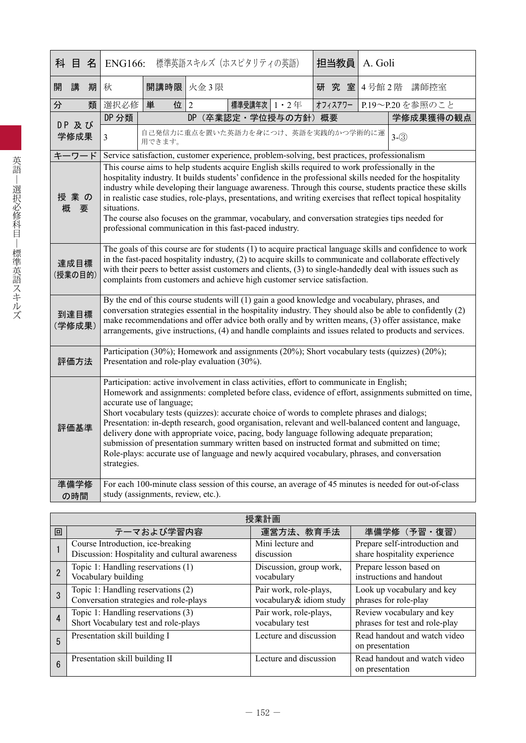| 科 | 目名              |   | <b>ENG166:</b>                                                                                                                                                                                                                                                                                                                                                                                                                                                                                                                                                                                                                                                                                                                                      |                                                                                             |                | 標準英語スキルズ (ホスピタリティの英語) |  |  | 担当教員    | A. Goli |                                                                                                       |
|---|-----------------|---|-----------------------------------------------------------------------------------------------------------------------------------------------------------------------------------------------------------------------------------------------------------------------------------------------------------------------------------------------------------------------------------------------------------------------------------------------------------------------------------------------------------------------------------------------------------------------------------------------------------------------------------------------------------------------------------------------------------------------------------------------------|---------------------------------------------------------------------------------------------|----------------|-----------------------|--|--|---------|---------|-------------------------------------------------------------------------------------------------------|
| 開 | 講               | 期 | 秋                                                                                                                                                                                                                                                                                                                                                                                                                                                                                                                                                                                                                                                                                                                                                   | 開講時限 火金3限                                                                                   |                |                       |  |  | 研究室     |         | 4号館2階 講師控室                                                                                            |
| 分 |                 | 類 | 選択必修                                                                                                                                                                                                                                                                                                                                                                                                                                                                                                                                                                                                                                                                                                                                                | 単<br>位                                                                                      | $\overline{2}$ | 標準受講年次   1 · 2年       |  |  | オフィスアワー |         | P.19~P.20を参照のこと                                                                                       |
|   | DP 及び           |   | DP 分類                                                                                                                                                                                                                                                                                                                                                                                                                                                                                                                                                                                                                                                                                                                                               |                                                                                             |                | DP (卒業認定·学位授与の方針) 概要  |  |  |         |         | 学修成果獲得の観点                                                                                             |
|   | 学修成果            |   | $\overline{3}$                                                                                                                                                                                                                                                                                                                                                                                                                                                                                                                                                                                                                                                                                                                                      | 自己発信力に重点を置いた英語力を身につけ、英語を実践的かつ学術的に運<br>用できます。                                                |                |                       |  |  |         |         | $3-(3)$                                                                                               |
|   | キーワード           |   |                                                                                                                                                                                                                                                                                                                                                                                                                                                                                                                                                                                                                                                                                                                                                     | Service satisfaction, customer experience, problem-solving, best practices, professionalism |                |                       |  |  |         |         |                                                                                                       |
| 概 | 授業の<br>要        |   | This course aims to help students acquire English skills required to work professionally in the<br>hospitality industry. It builds students' confidence in the professional skills needed for the hospitality<br>industry while developing their language awareness. Through this course, students practice these skills<br>in realistic case studies, role-plays, presentations, and writing exercises that reflect topical hospitality<br>situations.<br>The course also focuses on the grammar, vocabulary, and conversation strategies tips needed for<br>professional communication in this fast-paced industry.                                                                                                                               |                                                                                             |                |                       |  |  |         |         |                                                                                                       |
|   | 達成目標<br>(授業の目的) |   | The goals of this course are for students (1) to acquire practical language skills and confidence to work<br>in the fast-paced hospitality industry, (2) to acquire skills to communicate and collaborate effectively<br>with their peers to better assist customers and clients, (3) to single-handedly deal with issues such as<br>complaints from customers and achieve high customer service satisfaction.                                                                                                                                                                                                                                                                                                                                      |                                                                                             |                |                       |  |  |         |         |                                                                                                       |
|   | 到達目標<br>(学修成果)  |   | By the end of this course students will (1) gain a good knowledge and vocabulary, phrases, and<br>conversation strategies essential in the hospitality industry. They should also be able to confidently (2)<br>make recommendations and offer advice both orally and by written means, (3) offer assistance, make<br>arrangements, give instructions, (4) and handle complaints and issues related to products and services.                                                                                                                                                                                                                                                                                                                       |                                                                                             |                |                       |  |  |         |         |                                                                                                       |
|   | 評価方法            |   | Participation (30%); Homework and assignments (20%); Short vocabulary tests (quizzes) (20%);<br>Presentation and role-play evaluation (30%).                                                                                                                                                                                                                                                                                                                                                                                                                                                                                                                                                                                                        |                                                                                             |                |                       |  |  |         |         |                                                                                                       |
|   | 評価基準            |   | Participation: active involvement in class activities, effort to communicate in English;<br>Homework and assignments: completed before class, evidence of effort, assignments submitted on time,<br>accurate use of language;<br>Short vocabulary tests (quizzes): accurate choice of words to complete phrases and dialogs;<br>Presentation: in-depth research, good organisation, relevant and well-balanced content and language,<br>delivery done with appropriate voice, pacing, body language following adequate preparation;<br>submission of presentation summary written based on instructed format and submitted on time;<br>Role-plays: accurate use of language and newly acquired vocabulary, phrases, and conversation<br>strategies. |                                                                                             |                |                       |  |  |         |         |                                                                                                       |
|   | 準備学修<br>の時間     |   |                                                                                                                                                                                                                                                                                                                                                                                                                                                                                                                                                                                                                                                                                                                                                     | study (assignments, review, etc.).                                                          |                |                       |  |  |         |         | For each 100-minute class session of this course, an average of 45 minutes is needed for out-of-class |

|   | 授業計画                                           |                         |                                                 |  |  |  |  |  |  |  |
|---|------------------------------------------------|-------------------------|-------------------------------------------------|--|--|--|--|--|--|--|
| 回 | テーマおよび学習内容                                     | 運営方法、教育手法               | 準備学修 (予習・復習)                                    |  |  |  |  |  |  |  |
|   | Course Introduction, ice-breaking              | Mini lecture and        | Prepare self-introduction and                   |  |  |  |  |  |  |  |
|   | Discussion: Hospitality and cultural awareness | discussion              | share hospitality experience                    |  |  |  |  |  |  |  |
|   | Topic 1: Handling reservations (1)             | Discussion, group work, | Prepare lesson based on                         |  |  |  |  |  |  |  |
|   | Vocabulary building                            | vocabulary              | instructions and handout                        |  |  |  |  |  |  |  |
|   | Topic 1: Handling reservations (2)             | Pair work, role-plays,  | Look up vocabulary and key                      |  |  |  |  |  |  |  |
|   | Conversation strategies and role-plays         | vocabulary& idiom study | phrases for role-play                           |  |  |  |  |  |  |  |
| 4 | Topic 1: Handling reservations (3)             | Pair work, role-plays,  | Review vocabulary and key                       |  |  |  |  |  |  |  |
|   | Short Vocabulary test and role-plays           | vocabulary test         | phrases for test and role-play                  |  |  |  |  |  |  |  |
| 5 | Presentation skill building I                  | Lecture and discussion  | Read handout and watch video<br>on presentation |  |  |  |  |  |  |  |
| 6 | Presentation skill building II                 | Lecture and discussion  | Read handout and watch video<br>on presentation |  |  |  |  |  |  |  |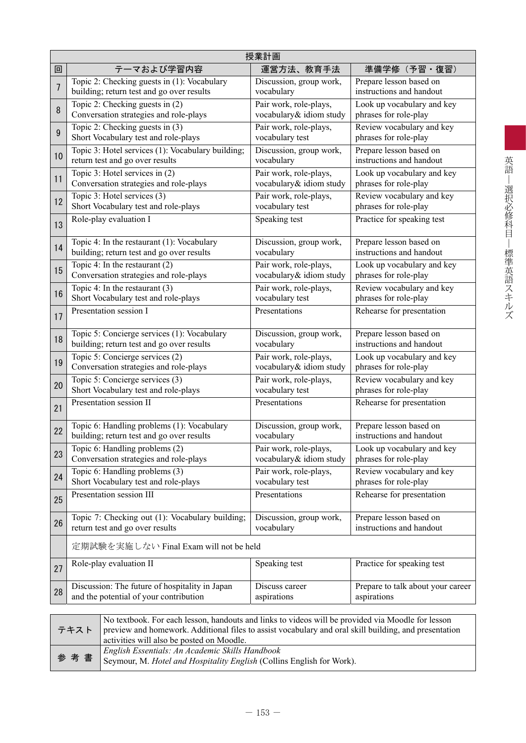|                | 授業計画                                              |                         |                                   |  |  |  |  |  |  |  |
|----------------|---------------------------------------------------|-------------------------|-----------------------------------|--|--|--|--|--|--|--|
| 回              | テーマおよび学習内容                                        | 運営方法、教育手法               | 準備学修 (予習・復習)                      |  |  |  |  |  |  |  |
| $\overline{7}$ | Topic 2: Checking guests in (1): Vocabulary       | Discussion, group work, | Prepare lesson based on           |  |  |  |  |  |  |  |
|                | building; return test and go over results         | vocabulary              | instructions and handout          |  |  |  |  |  |  |  |
| 8              | Topic 2: Checking guests in $(2)$                 | Pair work, role-plays,  | Look up vocabulary and key        |  |  |  |  |  |  |  |
|                | Conversation strategies and role-plays            | vocabulary& idiom study | phrases for role-play             |  |  |  |  |  |  |  |
| 9              | Topic 2: Checking guests in (3)                   | Pair work, role-plays,  | Review vocabulary and key         |  |  |  |  |  |  |  |
|                | Short Vocabulary test and role-plays              | vocabulary test         | phrases for role-play             |  |  |  |  |  |  |  |
| 10             | Topic 3: Hotel services (1): Vocabulary building; | Discussion, group work, | Prepare lesson based on           |  |  |  |  |  |  |  |
|                | return test and go over results                   | vocabulary              | instructions and handout          |  |  |  |  |  |  |  |
| 11             | Topic 3: Hotel services in (2)                    | Pair work, role-plays,  | Look up vocabulary and key        |  |  |  |  |  |  |  |
|                | Conversation strategies and role-plays            | vocabulary& idiom study | phrases for role-play             |  |  |  |  |  |  |  |
| 12             | Topic 3: Hotel services (3)                       | Pair work, role-plays,  | Review vocabulary and key         |  |  |  |  |  |  |  |
|                | Short Vocabulary test and role-plays              | vocabulary test         | phrases for role-play             |  |  |  |  |  |  |  |
| 13             | Role-play evaluation I                            | Speaking test           | Practice for speaking test        |  |  |  |  |  |  |  |
| 14             | Topic 4: In the restaurant (1): Vocabulary        | Discussion, group work, | Prepare lesson based on           |  |  |  |  |  |  |  |
|                | building; return test and go over results         | vocabulary              | instructions and handout          |  |  |  |  |  |  |  |
| 15             | Topic 4: In the restaurant $(2)$                  | Pair work, role-plays,  | Look up vocabulary and key        |  |  |  |  |  |  |  |
|                | Conversation strategies and role-plays            | vocabulary& idiom study | phrases for role-play             |  |  |  |  |  |  |  |
| 16             | Topic 4: In the restaurant $(3)$                  | Pair work, role-plays,  | Review vocabulary and key         |  |  |  |  |  |  |  |
|                | Short Vocabulary test and role-plays              | vocabulary test         | phrases for role-play             |  |  |  |  |  |  |  |
| 17             | Presentation session I                            | Presentations           | Rehearse for presentation         |  |  |  |  |  |  |  |
| 18             | Topic 5: Concierge services (1): Vocabulary       | Discussion, group work, | Prepare lesson based on           |  |  |  |  |  |  |  |
|                | building; return test and go over results         | vocabulary              | instructions and handout          |  |  |  |  |  |  |  |
| 19             | Topic 5: Concierge services (2)                   | Pair work, role-plays,  | Look up vocabulary and key        |  |  |  |  |  |  |  |
|                | Conversation strategies and role-plays            | vocabulary& idiom study | phrases for role-play             |  |  |  |  |  |  |  |
| 20             | Topic 5: Concierge services (3)                   | Pair work, role-plays,  | Review vocabulary and key         |  |  |  |  |  |  |  |
|                | Short Vocabulary test and role-plays              | vocabulary test         | phrases for role-play             |  |  |  |  |  |  |  |
| 21             | Presentation session II                           | Presentations           | Rehearse for presentation         |  |  |  |  |  |  |  |
| 22             | Topic 6: Handling problems (1): Vocabulary        | Discussion, group work, | Prepare lesson based on           |  |  |  |  |  |  |  |
|                | building; return test and go over results         | vocabulary              | instructions and handout          |  |  |  |  |  |  |  |
| 23             | Topic 6: Handling problems (2)                    | Pair work, role-plays,  | Look up vocabulary and key        |  |  |  |  |  |  |  |
|                | Conversation strategies and role-plays            | vocabulary& idiom study | phrases for role-play             |  |  |  |  |  |  |  |
| 24             | Topic 6: Handling problems (3)                    | Pair work, role-plays,  | Review vocabulary and key         |  |  |  |  |  |  |  |
|                | Short Vocabulary test and role-plays              | vocabulary test         | phrases for role-play             |  |  |  |  |  |  |  |
| 25             | Presentation session III                          | Presentations           | Rehearse for presentation         |  |  |  |  |  |  |  |
| 26             | Topic 7: Checking out (1): Vocabulary building;   | Discussion, group work, | Prepare lesson based on           |  |  |  |  |  |  |  |
|                | return test and go over results                   | vocabulary              | instructions and handout          |  |  |  |  |  |  |  |
|                | 定期試験を実施しない Final Exam will not be held            |                         |                                   |  |  |  |  |  |  |  |
| 27             | Role-play evaluation II                           | Speaking test           | Practice for speaking test        |  |  |  |  |  |  |  |
| 28             | Discussion: The future of hospitality in Japan    | Discuss career          | Prepare to talk about your career |  |  |  |  |  |  |  |
|                | and the potential of your contribution            | aspirations             | aspirations                       |  |  |  |  |  |  |  |
|                |                                                   |                         |                                   |  |  |  |  |  |  |  |

| テキスト | No textbook. For each lesson, handouts and links to videos will be provided via Moodle for lesson<br>preview and homework. Additional files to assist vocabulary and oral skill building, and presentation<br>activities will also be posted on Moodle. |
|------|---------------------------------------------------------------------------------------------------------------------------------------------------------------------------------------------------------------------------------------------------------|
| 参考書  | English Essentials: An Academic Skills Handbook<br><sup>1</sup> Seymour, M. Hotel and Hospitality English (Collins English for Work).                                                                                                                   |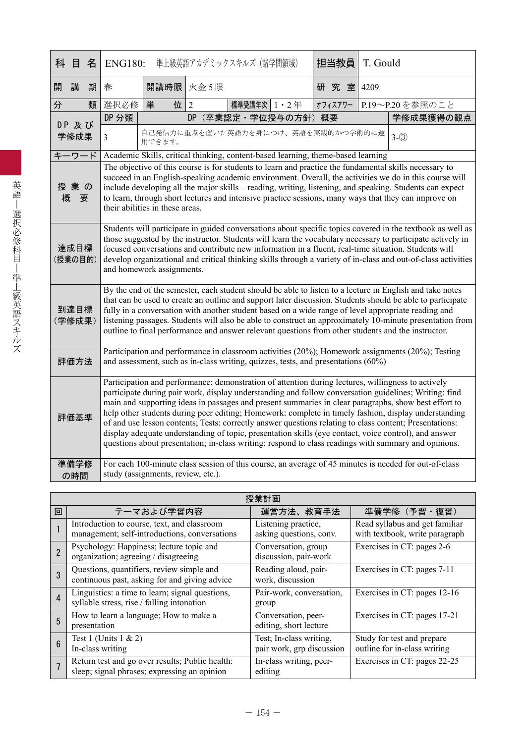|   | 科 目             | 名 | <b>ENG180:</b>                                                                                                                                                                                                                                                                                                                                                                                                                                                                                                                                                                                                                                                                                                                                          |                                    |                | 準上級英語アカデミックスキルズ(諸学問領域) |                   | 担当教員                                                                             | T. Gould |                                                                                                       |
|---|-----------------|---|---------------------------------------------------------------------------------------------------------------------------------------------------------------------------------------------------------------------------------------------------------------------------------------------------------------------------------------------------------------------------------------------------------------------------------------------------------------------------------------------------------------------------------------------------------------------------------------------------------------------------------------------------------------------------------------------------------------------------------------------------------|------------------------------------|----------------|------------------------|-------------------|----------------------------------------------------------------------------------|----------|-------------------------------------------------------------------------------------------------------|
| 開 | 講               | 期 | 春                                                                                                                                                                                                                                                                                                                                                                                                                                                                                                                                                                                                                                                                                                                                                       | 開講時限                               | 火金 5 限         |                        |                   | 研究室                                                                              | 4209     |                                                                                                       |
| 分 |                 | 類 | 選択必修                                                                                                                                                                                                                                                                                                                                                                                                                                                                                                                                                                                                                                                                                                                                                    | 単<br>位                             | $\overline{2}$ | 標準受講年次   1 · 2年        |                   | オフィスアワー                                                                          |          | P.19~P.20を参照のこと                                                                                       |
|   | DP 及び           |   | DP 分類                                                                                                                                                                                                                                                                                                                                                                                                                                                                                                                                                                                                                                                                                                                                                   |                                    | DP             |                        | (卒業認定·学位授与の方針) 概要 |                                                                                  |          | 学修成果獲得の観点                                                                                             |
|   | 学修成果            |   | $\mathfrak{Z}$                                                                                                                                                                                                                                                                                                                                                                                                                                                                                                                                                                                                                                                                                                                                          | 用できます。                             |                |                        |                   | 自己発信力に重点を置いた英語力を身につけ、英語を実践的かつ学術的に運                                               |          | $3-(3)$                                                                                               |
|   | キーワード           |   |                                                                                                                                                                                                                                                                                                                                                                                                                                                                                                                                                                                                                                                                                                                                                         |                                    |                |                        |                   | Academic Skills, critical thinking, content-based learning, theme-based learning |          |                                                                                                       |
| 概 | 授業の<br>要        |   | The objective of this course is for students to learn and practice the fundamental skills necessary to<br>succeed in an English-speaking academic environment. Overall, the activities we do in this course will<br>include developing all the major skills – reading, writing, listening, and speaking. Students can expect<br>to learn, through short lectures and intensive practice sessions, many ways that they can improve on<br>their abilities in these areas.                                                                                                                                                                                                                                                                                 |                                    |                |                        |                   |                                                                                  |          |                                                                                                       |
|   | 達成目標<br>(授業の目的) |   | Students will participate in guided conversations about specific topics covered in the textbook as well as<br>those suggested by the instructor. Students will learn the vocabulary necessary to participate actively in<br>focused conversations and contribute new information in a fluent, real-time situation. Students will<br>develop organizational and critical thinking skills through a variety of in-class and out-of-class activities<br>and homework assignments.                                                                                                                                                                                                                                                                          |                                    |                |                        |                   |                                                                                  |          |                                                                                                       |
|   | 到達目標<br>(学修成果)  |   | By the end of the semester, each student should be able to listen to a lecture in English and take notes<br>that can be used to create an outline and support later discussion. Students should be able to participate<br>fully in a conversation with another student based on a wide range of level appropriate reading and<br>listening passages. Students will also be able to construct an approximately 10-minute presentation from<br>outline to final performance and answer relevant questions from other students and the instructor.                                                                                                                                                                                                         |                                    |                |                        |                   |                                                                                  |          |                                                                                                       |
|   | 評価方法            |   | Participation and performance in classroom activities (20%); Homework assignments (20%); Testing<br>and assessment, such as in-class writing, quizzes, tests, and presentations (60%)                                                                                                                                                                                                                                                                                                                                                                                                                                                                                                                                                                   |                                    |                |                        |                   |                                                                                  |          |                                                                                                       |
|   | 評価基準            |   | Participation and performance: demonstration of attention during lectures, willingness to actively<br>participate during pair work, display understanding and follow conversation guidelines; Writing: find<br>main and supporting ideas in passages and present summaries in clear paragraphs, show best effort to<br>help other students during peer editing; Homework: complete in timely fashion, display understanding<br>of and use lesson contents; Tests: correctly answer questions relating to class content; Presentations:<br>display adequate understanding of topic, presentation skills (eye contact, voice control), and answer<br>questions about presentation; in-class writing: respond to class readings with summary and opinions. |                                    |                |                        |                   |                                                                                  |          |                                                                                                       |
|   | 準備学修<br>の時間     |   |                                                                                                                                                                                                                                                                                                                                                                                                                                                                                                                                                                                                                                                                                                                                                         | study (assignments, review, etc.). |                |                        |                   |                                                                                  |          | For each 100-minute class session of this course, an average of 45 minutes is needed for out-of-class |

|                | 授業計画                                                                                            |                                                      |                                                                  |  |  |  |  |  |  |  |
|----------------|-------------------------------------------------------------------------------------------------|------------------------------------------------------|------------------------------------------------------------------|--|--|--|--|--|--|--|
| 回              | テーマおよび学習内容                                                                                      | 運営方法、教育手法                                            | 準備学修 (予習・復習)                                                     |  |  |  |  |  |  |  |
|                | Introduction to course, text, and classroom<br>management; self-introductions, conversations    | Listening practice,<br>asking questions, conv.       | Read syllabus and get familiar<br>with textbook, write paragraph |  |  |  |  |  |  |  |
| $\overline{2}$ | Psychology: Happiness; lecture topic and<br>organization; agreeing / disagreeing                | Conversation, group<br>discussion, pair-work         | Exercises in CT: pages 2-6                                       |  |  |  |  |  |  |  |
| 3              | Questions, quantifiers, review simple and<br>continuous past, asking for and giving advice      | Reading aloud, pair-<br>work, discussion             | Exercises in CT: pages 7-11                                      |  |  |  |  |  |  |  |
| $\overline{4}$ | Linguistics: a time to learn; signal questions,<br>syllable stress, rise / falling intonation   | Pair-work, conversation,<br>group                    | Exercises in CT: pages 12-16                                     |  |  |  |  |  |  |  |
| 5              | How to learn a language; How to make a<br>presentation                                          | Conversation, peer-<br>editing, short lecture        | Exercises in CT: pages 17-21                                     |  |  |  |  |  |  |  |
| $6\phantom{1}$ | Test 1 (Units $1 \& 2$ )<br>In-class writing                                                    | Test; In-class writing,<br>pair work, grp discussion | Study for test and prepare<br>outline for in-class writing       |  |  |  |  |  |  |  |
|                | Return test and go over results; Public health:<br>sleep; signal phrases; expressing an opinion | In-class writing, peer-<br>editing                   | Exercises in CT: pages 22-25                                     |  |  |  |  |  |  |  |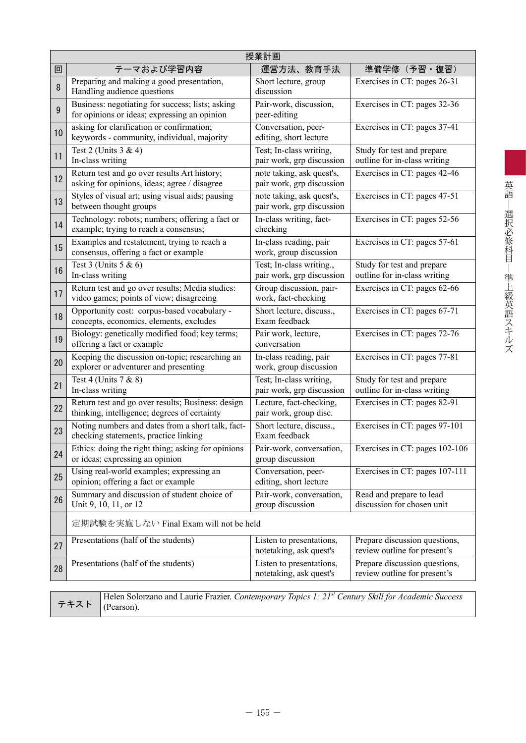|    | 授業計画                                                                                              |                                                        |                                                               |  |  |  |  |  |  |
|----|---------------------------------------------------------------------------------------------------|--------------------------------------------------------|---------------------------------------------------------------|--|--|--|--|--|--|
| 回  | テーマおよび学習内容                                                                                        | 運営方法、教育手法                                              | 準備学修(予習・復習)                                                   |  |  |  |  |  |  |
| 8  | Preparing and making a good presentation,<br>Handling audience questions                          | Short lecture, group<br>discussion                     | Exercises in CT: pages 26-31                                  |  |  |  |  |  |  |
| 9  | Business: negotiating for success; lists; asking<br>for opinions or ideas; expressing an opinion  | Pair-work, discussion,<br>peer-editing                 | Exercises in CT: pages 32-36                                  |  |  |  |  |  |  |
| 10 | asking for clarification or confirmation;<br>keywords - community, individual, majority           | Conversation, peer-<br>editing, short lecture          | Exercises in CT: pages 37-41                                  |  |  |  |  |  |  |
| 11 | Test 2 (Units 3 & 4)<br>In-class writing                                                          | Test; In-class writing,<br>pair work, grp discussion   | Study for test and prepare<br>outline for in-class writing    |  |  |  |  |  |  |
| 12 | Return test and go over results Art history;<br>asking for opinions, ideas; agree / disagree      | note taking, ask quest's,<br>pair work, grp discussion | Exercises in CT: pages 42-46                                  |  |  |  |  |  |  |
| 13 | Styles of visual art; using visual aids; pausing<br>between thought groups                        | note taking, ask quest's,<br>pair work, grp discussion | Exercises in CT: pages 47-51                                  |  |  |  |  |  |  |
| 14 | Technology: robots; numbers; offering a fact or<br>example; trying to reach a consensus;          | In-class writing, fact-<br>checking                    | Exercises in CT: pages 52-56                                  |  |  |  |  |  |  |
| 15 | Examples and restatement, trying to reach a<br>consensus, offering a fact or example              | In-class reading, pair<br>work, group discussion       | Exercises in CT: pages 57-61                                  |  |  |  |  |  |  |
| 16 | Test $3$ (Units $5 & 6$ )<br>In-class writing                                                     | Test; In-class writing.,<br>pair work, grp discussion  | Study for test and prepare<br>outline for in-class writing    |  |  |  |  |  |  |
| 17 | Return test and go over results; Media studies:<br>video games; points of view; disagreeing       | Group discussion, pair-<br>work, fact-checking         | Exercises in CT: pages 62-66                                  |  |  |  |  |  |  |
| 18 | Opportunity cost: corpus-based vocabulary -<br>concepts, economics, elements, excludes            | Short lecture, discuss.,<br>Exam feedback              | Exercises in CT: pages 67-71                                  |  |  |  |  |  |  |
| 19 | Biology: genetically modified food; key terms;<br>offering a fact or example                      | Pair work, lecture,<br>conversation                    | Exercises in CT: pages 72-76                                  |  |  |  |  |  |  |
| 20 | Keeping the discussion on-topic; researching an<br>explorer or adventurer and presenting          | In-class reading, pair<br>work, group discussion       | Exercises in CT: pages 77-81                                  |  |  |  |  |  |  |
| 21 | Test 4 (Units 7 & 8)<br>In-class writing                                                          | Test; In-class writing,<br>pair work, grp discussion   | Study for test and prepare<br>outline for in-class writing    |  |  |  |  |  |  |
| 22 | Return test and go over results; Business: design<br>thinking, intelligence; degrees of certainty | Lecture, fact-checking,<br>pair work, group disc.      | Exercises in CT: pages 82-91                                  |  |  |  |  |  |  |
| 23 | Noting numbers and dates from a short talk, fact-<br>checking statements, practice linking        | Short lecture, discuss.,<br>Exam feedback              | Exercises in CT: pages 97-101                                 |  |  |  |  |  |  |
| 24 | Ethics: doing the right thing; asking for opinions<br>or ideas; expressing an opinion             | Pair-work, conversation,<br>group discussion           | Exercises in CT: pages 102-106                                |  |  |  |  |  |  |
| 25 | Using real-world examples; expressing an<br>opinion; offering a fact or example                   | Conversation, peer-<br>editing, short lecture          | Exercises in CT: pages 107-111                                |  |  |  |  |  |  |
| 26 | Summary and discussion of student choice of<br>Unit 9, 10, 11, or 12                              | Pair-work, conversation,<br>group discussion           | Read and prepare to lead<br>discussion for chosen unit        |  |  |  |  |  |  |
|    | 定期試験を実施しない Final Exam will not be held                                                            |                                                        |                                                               |  |  |  |  |  |  |
| 27 | Presentations (half of the students)                                                              | Listen to presentations,<br>notetaking, ask quest's    | Prepare discussion questions,<br>review outline for present's |  |  |  |  |  |  |
| 28 | Presentations (half of the students)                                                              | Listen to presentations,<br>notetaking, ask quest's    | Prepare discussion questions,<br>review outline for present's |  |  |  |  |  |  |
|    |                                                                                                   |                                                        |                                                               |  |  |  |  |  |  |

テキスト

Helen Solorzano and Laurie Frazier. *Contemporary Topics 1: 21st Century Skill for Academic Success* (Pearson).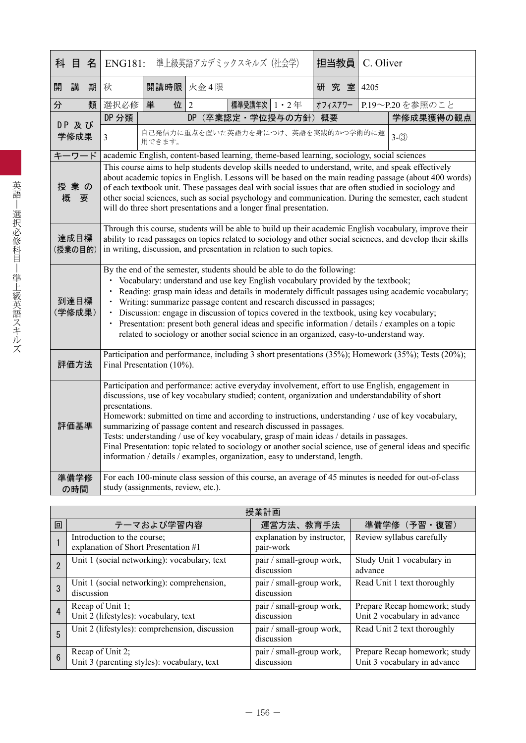| 科目名             |      |   | ENG181:                                                                                                                                                                                                                                                                                                                                                                                                                                                                                                                                                                                                                                                                                     |                                    |    | 準上級英語アカデミックスキルズ(社会学)                                                                       |  | 担当教員    |  | C. Oliver |                                                                                                       |
|-----------------|------|---|---------------------------------------------------------------------------------------------------------------------------------------------------------------------------------------------------------------------------------------------------------------------------------------------------------------------------------------------------------------------------------------------------------------------------------------------------------------------------------------------------------------------------------------------------------------------------------------------------------------------------------------------------------------------------------------------|------------------------------------|----|--------------------------------------------------------------------------------------------|--|---------|--|-----------|-------------------------------------------------------------------------------------------------------|
| 開               | 講    | 期 | 秋                                                                                                                                                                                                                                                                                                                                                                                                                                                                                                                                                                                                                                                                                           | 開講時限 火金4限                          |    |                                                                                            |  | 研究室     |  | 4205      |                                                                                                       |
| 分               |      | 類 | 選択必修                                                                                                                                                                                                                                                                                                                                                                                                                                                                                                                                                                                                                                                                                        | 位<br>単                             | 2  | 標準受講年次 1・2年                                                                                |  | オフィスアワー |  |           | P.19~P.20を参照のこと                                                                                       |
| DP 及び           |      |   | DP 分類                                                                                                                                                                                                                                                                                                                                                                                                                                                                                                                                                                                                                                                                                       |                                    | DP | (卒業認定·学位授与の方針)概要                                                                           |  |         |  |           | 学修成果獲得の観点                                                                                             |
| 学修成果            |      |   | $\overline{3}$                                                                                                                                                                                                                                                                                                                                                                                                                                                                                                                                                                                                                                                                              | 用できます。                             |    | 自己発信力に重点を置いた英語力を身につけ、英語を実践的かつ学術的に運                                                         |  |         |  |           | $3-(3)$                                                                                               |
| キーワード           |      |   |                                                                                                                                                                                                                                                                                                                                                                                                                                                                                                                                                                                                                                                                                             |                                    |    | academic English, content-based learning, theme-based learning, sociology, social sciences |  |         |  |           |                                                                                                       |
| 授業の<br>概        | 要    |   | This course aims to help students develop skills needed to understand, write, and speak effectively<br>about academic topics in English. Lessons will be based on the main reading passage (about 400 words)<br>of each textbook unit. These passages deal with social issues that are often studied in sociology and<br>other social sciences, such as social psychology and communication. During the semester, each student<br>will do three short presentations and a longer final presentation.                                                                                                                                                                                        |                                    |    |                                                                                            |  |         |  |           |                                                                                                       |
| 達成目標<br>(授業の目的) |      |   | Through this course, students will be able to build up their academic English vocabulary, improve their<br>ability to read passages on topics related to sociology and other social sciences, and develop their skills<br>in writing, discussion, and presentation in relation to such topics.                                                                                                                                                                                                                                                                                                                                                                                              |                                    |    |                                                                                            |  |         |  |           |                                                                                                       |
| 到達目標<br>(学修成果)  |      |   | By the end of the semester, students should be able to do the following:<br>Vocabulary: understand and use key English vocabulary provided by the textbook;<br>Reading: grasp main ideas and details in moderately difficult passages using academic vocabulary;<br>$\bullet$<br>Writing: summarize passage content and research discussed in passages;<br>$\bullet$<br>• Discussion: engage in discussion of topics covered in the textbook, using key vocabulary;<br>Presentation: present both general ideas and specific information / details / examples on a topic<br>related to sociology or another social science in an organized, easy-to-understand way.                         |                                    |    |                                                                                            |  |         |  |           |                                                                                                       |
|                 | 評価方法 |   | Participation and performance, including 3 short presentations (35%); Homework (35%); Tests (20%);<br>Final Presentation (10%).                                                                                                                                                                                                                                                                                                                                                                                                                                                                                                                                                             |                                    |    |                                                                                            |  |         |  |           |                                                                                                       |
| 評価基準            |      |   | Participation and performance: active everyday involvement, effort to use English, engagement in<br>discussions, use of key vocabulary studied; content, organization and understandability of short<br>presentations.<br>Homework: submitted on time and according to instructions, understanding / use of key vocabulary,<br>summarizing of passage content and research discussed in passages.<br>Tests: understanding / use of key vocabulary, grasp of main ideas / details in passages.<br>Final Presentation: topic related to sociology or another social science, use of general ideas and specific<br>information / details / examples, organization, easy to understand, length. |                                    |    |                                                                                            |  |         |  |           |                                                                                                       |
| 準備学修            | の時間  |   |                                                                                                                                                                                                                                                                                                                                                                                                                                                                                                                                                                                                                                                                                             | study (assignments, review, etc.). |    |                                                                                            |  |         |  |           | For each 100-minute class session of this course, an average of 45 minutes is needed for out-of-class |

|                 | 授業計画                                                                |                                         |                                                               |  |  |  |  |  |  |
|-----------------|---------------------------------------------------------------------|-----------------------------------------|---------------------------------------------------------------|--|--|--|--|--|--|
| 回               | テーマおよび学習内容                                                          | 運営方法、教育手法                               | 準備学修 (予習·復習)                                                  |  |  |  |  |  |  |
|                 | Introduction to the course;<br>explanation of Short Presentation #1 | explanation by instructor,<br>pair-work | Review syllabus carefully                                     |  |  |  |  |  |  |
| $\overline{2}$  | Unit 1 (social networking): vocabulary, text                        | pair / small-group work,<br>discussion  | Study Unit 1 vocabulary in<br>advance                         |  |  |  |  |  |  |
| 3               | Unit 1 (social networking): comprehension,<br>discussion            | pair / small-group work,<br>discussion  | Read Unit 1 text thoroughly                                   |  |  |  |  |  |  |
| 4               | Recap of Unit 1;<br>Unit 2 (lifestyles): vocabulary, text           | pair / small-group work,<br>discussion  | Prepare Recap homework; study<br>Unit 2 vocabulary in advance |  |  |  |  |  |  |
| 5               | Unit 2 (lifestyles): comprehension, discussion                      | pair / small-group work,<br>discussion  | Read Unit 2 text thoroughly                                   |  |  |  |  |  |  |
| $6\phantom{1}6$ | Recap of Unit 2;<br>Unit 3 (parenting styles): vocabulary, text     | pair / small-group work,<br>discussion  | Prepare Recap homework; study<br>Unit 3 vocabulary in advance |  |  |  |  |  |  |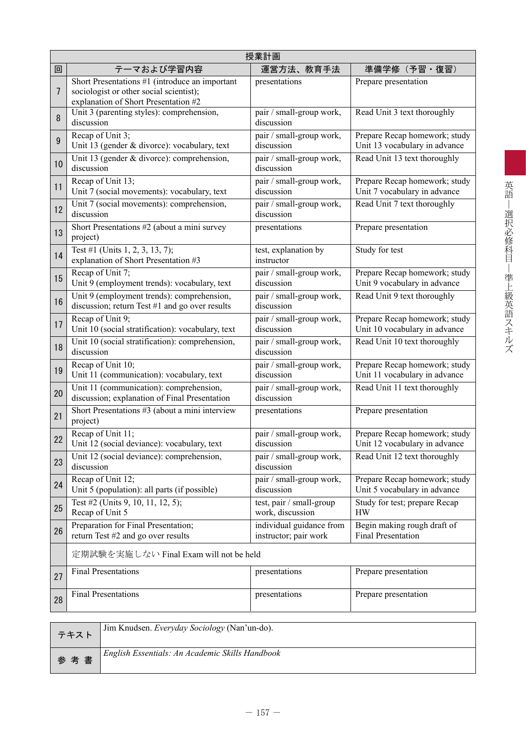|    | 授業計画                                                                                                                              |                                                   |                                                                |  |  |  |  |  |  |  |
|----|-----------------------------------------------------------------------------------------------------------------------------------|---------------------------------------------------|----------------------------------------------------------------|--|--|--|--|--|--|--|
| 回  | テーマおよび学習内容                                                                                                                        | 運営方法、教育手法                                         | 準備学修 (予習・復習)                                                   |  |  |  |  |  |  |  |
| 7  | Short Presentations #1 (introduce an important<br>sociologist or other social scientist);<br>explanation of Short Presentation #2 | presentations                                     | Prepare presentation                                           |  |  |  |  |  |  |  |
| 8  | Unit 3 (parenting styles): comprehension,<br>discussion                                                                           | pair / small-group work,<br>discussion            | Read Unit 3 text thoroughly                                    |  |  |  |  |  |  |  |
| 9  | Recap of Unit 3;<br>Unit 13 (gender & divorce): vocabulary, text                                                                  | pair / small-group work,<br>discussion            | Prepare Recap homework; study<br>Unit 13 vocabulary in advance |  |  |  |  |  |  |  |
| 10 | Unit 13 (gender & divorce): comprehension,<br>discussion                                                                          | pair / small-group work,<br>discussion            | Read Unit 13 text thoroughly                                   |  |  |  |  |  |  |  |
| 11 | Recap of Unit 13;<br>Unit 7 (social movements): vocabulary, text                                                                  | pair / small-group work,<br>discussion            | Prepare Recap homework; study<br>Unit 7 vocabulary in advance  |  |  |  |  |  |  |  |
| 12 | Unit 7 (social movements): comprehension,<br>discussion                                                                           | pair / small-group work,<br>discussion            | Read Unit 7 text thoroughly                                    |  |  |  |  |  |  |  |
| 13 | Short Presentations #2 (about a mini survey<br>project)                                                                           | presentations                                     | Prepare presentation                                           |  |  |  |  |  |  |  |
| 14 | Test #1 (Units 1, 2, 3, 13, 7);<br>explanation of Short Presentation #3                                                           | test, explanation by<br>instructor                | Study for test                                                 |  |  |  |  |  |  |  |
| 15 | Recap of Unit 7;<br>Unit 9 (employment trends): vocabulary, text                                                                  | pair / small-group work,<br>discussion            | Prepare Recap homework; study<br>Unit 9 vocabulary in advance  |  |  |  |  |  |  |  |
| 16 | Unit 9 (employment trends): comprehension,<br>discussion; return Test #1 and go over results                                      | pair / small-group work,<br>discussion            | Read Unit 9 text thoroughly                                    |  |  |  |  |  |  |  |
| 17 | Recap of Unit 9;<br>Unit 10 (social stratification): vocabulary, text                                                             | pair / small-group work,<br>discussion            | Prepare Recap homework; study<br>Unit 10 vocabulary in advance |  |  |  |  |  |  |  |
| 18 | Unit 10 (social stratification): comprehension,<br>discussion                                                                     | pair / small-group work,<br>discussion            | Read Unit 10 text thoroughly                                   |  |  |  |  |  |  |  |
| 19 | Recap of Unit 10;<br>Unit 11 (communication): vocabulary, text                                                                    | pair / small-group work,<br>discussion            | Prepare Recap homework; study<br>Unit 11 vocabulary in advance |  |  |  |  |  |  |  |
| 20 | Unit 11 (communication): comprehension,<br>discussion; explanation of Final Presentation                                          | pair / small-group work,<br>discussion            | Read Unit 11 text thoroughly                                   |  |  |  |  |  |  |  |
| 21 | Short Presentations #3 (about a mini interview<br>project)                                                                        | presentations                                     | Prepare presentation                                           |  |  |  |  |  |  |  |
| 22 | Recap of Unit 11;<br>Unit 12 (social deviance): vocabulary, text                                                                  | pair / small-group work,<br>discussion            | Prepare Recap homework; study<br>Unit 12 vocabulary in advance |  |  |  |  |  |  |  |
| 23 | Unit 12 (social deviance): comprehension,<br>discussion                                                                           | pair / small-group work,<br>discussion            | Read Unit 12 text thoroughly                                   |  |  |  |  |  |  |  |
| 24 | Recap of Unit 12;<br>Unit 5 (population): all parts (if possible)                                                                 | pair / small-group work,<br>discussion            | Prepare Recap homework; study<br>Unit 5 vocabulary in advance  |  |  |  |  |  |  |  |
| 25 | Test #2 (Units 9, 10, 11, 12, 5);<br>Recap of Unit 5                                                                              | test, pair / small-group<br>work, discussion      | Study for test; prepare Recap<br><b>HW</b>                     |  |  |  |  |  |  |  |
| 26 | Preparation for Final Presentation;<br>return Test #2 and go over results                                                         | individual guidance from<br>instructor; pair work | Begin making rough draft of<br><b>Final Presentation</b>       |  |  |  |  |  |  |  |
|    | 定期試験を実施しない Final Exam will not be held                                                                                            |                                                   |                                                                |  |  |  |  |  |  |  |
| 27 | <b>Final Presentations</b>                                                                                                        | presentations                                     | Prepare presentation                                           |  |  |  |  |  |  |  |
| 28 | <b>Final Presentations</b>                                                                                                        | presentations                                     | Prepare presentation                                           |  |  |  |  |  |  |  |

| テキスト | Jim Knudsen. Everyday Sociology (Nan'un-do).    |
|------|-------------------------------------------------|
| 参考書  | English Essentials: An Academic Skills Handbook |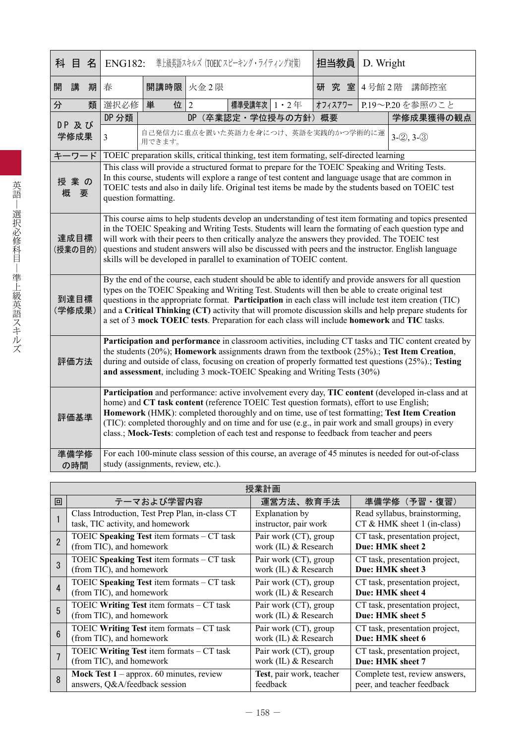|   | 科 目             | 名                                                                                                                                                                                                                                                                                                                                                                                                                                                                                                  | <b>ENG182:</b>                                                                                                                                                                                                                                                                                                                                                                                                                                                                                                                  |            |  | 準上級英語スキルズ (TOEIC スピーキング・ライティング対策)                                                        |  |  | 担当教員    | D. Wright |                                                                                                                                                                                                                                                                                                                |
|---|-----------------|----------------------------------------------------------------------------------------------------------------------------------------------------------------------------------------------------------------------------------------------------------------------------------------------------------------------------------------------------------------------------------------------------------------------------------------------------------------------------------------------------|---------------------------------------------------------------------------------------------------------------------------------------------------------------------------------------------------------------------------------------------------------------------------------------------------------------------------------------------------------------------------------------------------------------------------------------------------------------------------------------------------------------------------------|------------|--|------------------------------------------------------------------------------------------|--|--|---------|-----------|----------------------------------------------------------------------------------------------------------------------------------------------------------------------------------------------------------------------------------------------------------------------------------------------------------------|
| 開 | 講               | 期                                                                                                                                                                                                                                                                                                                                                                                                                                                                                                  | 春                                                                                                                                                                                                                                                                                                                                                                                                                                                                                                                               | 開講時限 火金2限  |  |                                                                                          |  |  | 研究室     | 4号館2階     | 講師控室                                                                                                                                                                                                                                                                                                           |
| 分 |                 | 類                                                                                                                                                                                                                                                                                                                                                                                                                                                                                                  | 選択必修                                                                                                                                                                                                                                                                                                                                                                                                                                                                                                                            | 位 $2$<br>単 |  | 標準受講年次 1 · 2年                                                                            |  |  | オフィスアワー |           | P.19~P.20を参照のこと                                                                                                                                                                                                                                                                                                |
|   | DP 及び           |                                                                                                                                                                                                                                                                                                                                                                                                                                                                                                    | DP 分類                                                                                                                                                                                                                                                                                                                                                                                                                                                                                                                           |            |  | DP (卒業認定·学位授与の方針) 概要                                                                     |  |  |         |           | 学修成果獲得の観点                                                                                                                                                                                                                                                                                                      |
|   | 学修成果            |                                                                                                                                                                                                                                                                                                                                                                                                                                                                                                    | $\mathfrak{Z}$                                                                                                                                                                                                                                                                                                                                                                                                                                                                                                                  | 用できます。     |  | 自己発信力に重点を置いた英語力を身につけ、英語を実践的かつ学術的に運                                                       |  |  |         |           | $3-(2), 3-(3)$                                                                                                                                                                                                                                                                                                 |
|   | キーワード           |                                                                                                                                                                                                                                                                                                                                                                                                                                                                                                    |                                                                                                                                                                                                                                                                                                                                                                                                                                                                                                                                 |            |  | TOEIC preparation skills, critical thinking, test item formating, self-directed learning |  |  |         |           |                                                                                                                                                                                                                                                                                                                |
|   | 授業の<br>概<br>要   |                                                                                                                                                                                                                                                                                                                                                                                                                                                                                                    | question formatting.                                                                                                                                                                                                                                                                                                                                                                                                                                                                                                            |            |  |                                                                                          |  |  |         |           | This class will provide a structured format to prepare for the TOEIC Speaking and Writing Tests.<br>In this course, students will explore a range of test content and language usage that are common in<br>TOEIC tests and also in daily life. Original test items be made by the students based on TOEIC test |
|   | 達成目標<br>(授業の目的) | This course aims to help students develop an understanding of test item formating and topics presented<br>in the TOEIC Speaking and Writing Tests. Students will learn the formating of each question type and<br>will work with their peers to then critically analyze the answers they provided. The TOEIC test<br>questions and student answers will also be discussed with peers and the instructor. English language<br>skills will be developed in parallel to examination of TOEIC content. |                                                                                                                                                                                                                                                                                                                                                                                                                                                                                                                                 |            |  |                                                                                          |  |  |         |           |                                                                                                                                                                                                                                                                                                                |
|   | 到達目標<br>(学修成果)  |                                                                                                                                                                                                                                                                                                                                                                                                                                                                                                    | By the end of the course, each student should be able to identify and provide answers for all question<br>types on the TOEIC Speaking and Writing Test. Students will then be able to create original test<br>questions in the appropriate format. Participation in each class will include test item creation (TIC)<br>and a Critical Thinking (CT) activity that will promote discussion skills and help prepare students for<br>a set of 3 mock TOEIC tests. Preparation for each class will include homework and TIC tasks. |            |  |                                                                                          |  |  |         |           |                                                                                                                                                                                                                                                                                                                |
|   | 評価方法            |                                                                                                                                                                                                                                                                                                                                                                                                                                                                                                    | Participation and performance in classroom activities, including CT tasks and TIC content created by<br>the students (20%); Homework assignments drawn from the textbook (25%).; Test Item Creation,<br>during and outside of class, focusing on creation of properly formatted test questions (25%).; Testing<br>and assessment, including 3 mock-TOEIC Speaking and Writing Tests (30%)                                                                                                                                       |            |  |                                                                                          |  |  |         |           |                                                                                                                                                                                                                                                                                                                |
|   | 評価基準            |                                                                                                                                                                                                                                                                                                                                                                                                                                                                                                    | Participation and performance: active involvement every day, TIC content (developed in-class and at<br>home) and CT task content (reference TOEIC Test question formats), effort to use English;<br>Homework (HMK): completed thoroughly and on time, use of test formatting; Test Item Creation<br>(TIC): completed thoroughly and on time and for use (e.g., in pair work and small groups) in every<br>class.; Mock-Tests: completion of each test and response to feedback from teacher and peers                           |            |  |                                                                                          |  |  |         |           |                                                                                                                                                                                                                                                                                                                |
|   | 準備学修<br>の時間     |                                                                                                                                                                                                                                                                                                                                                                                                                                                                                                    | For each 100-minute class session of this course, an average of 45 minutes is needed for out-of-class<br>study (assignments, review, etc.).                                                                                                                                                                                                                                                                                                                                                                                     |            |  |                                                                                          |  |  |         |           |                                                                                                                                                                                                                                                                                                                |

|                 | 授業計画                                            |                          |                                |  |  |  |  |  |  |  |
|-----------------|-------------------------------------------------|--------------------------|--------------------------------|--|--|--|--|--|--|--|
| 回               | テーマおよび学習内容                                      | 運営方法、教育手法                | 準備学修(予習・復習)                    |  |  |  |  |  |  |  |
|                 | Class Introduction, Test Prep Plan, in-class CT | Explanation by           | Read syllabus, brainstorming,  |  |  |  |  |  |  |  |
|                 | task, TIC activity, and homework                | instructor, pair work    | $CT & HMK$ sheet 1 (in-class)  |  |  |  |  |  |  |  |
|                 | TOEIC Speaking Test item formats $-CT$ task     | Pair work (CT), group    | CT task, presentation project, |  |  |  |  |  |  |  |
|                 | (from TIC), and homework                        | work (IL) & Research     | Due: HMK sheet 2               |  |  |  |  |  |  |  |
| 3               | TOEIC Speaking Test item formats - CT task      | Pair work (CT), group    | CT task, presentation project, |  |  |  |  |  |  |  |
|                 | (from TIC), and homework                        | work (IL) & Research     | Due: HMK sheet 3               |  |  |  |  |  |  |  |
| $\overline{4}$  | TOEIC Speaking Test item formats - CT task      | Pair work (CT), group    | CT task, presentation project, |  |  |  |  |  |  |  |
|                 | (from TIC), and homework                        | work (IL) & Research     | Due: HMK sheet 4               |  |  |  |  |  |  |  |
| 5               | TOEIC Writing Test item formats - CT task       | Pair work (CT), group    | CT task, presentation project, |  |  |  |  |  |  |  |
|                 | (from TIC), and homework                        | work (IL) & Research     | Due: HMK sheet 5               |  |  |  |  |  |  |  |
| $6\overline{6}$ | TOEIC Writing Test item formats - CT task       | Pair work (CT), group    | CT task, presentation project, |  |  |  |  |  |  |  |
|                 | (from TIC), and homework                        | work (IL) & Research     | Due: HMK sheet 6               |  |  |  |  |  |  |  |
|                 | TOEIC Writing Test item formats - CT task       | Pair work (CT), group    | CT task, presentation project, |  |  |  |  |  |  |  |
|                 | (from TIC), and homework                        | work (IL) & Research     | Due: HMK sheet 7               |  |  |  |  |  |  |  |
| 8               | Mock Test $1$ – approx. 60 minutes, review      | Test, pair work, teacher | Complete test, review answers, |  |  |  |  |  |  |  |
|                 | answers, Q&A/feedback session                   | feedback                 | peer, and teacher feedback     |  |  |  |  |  |  |  |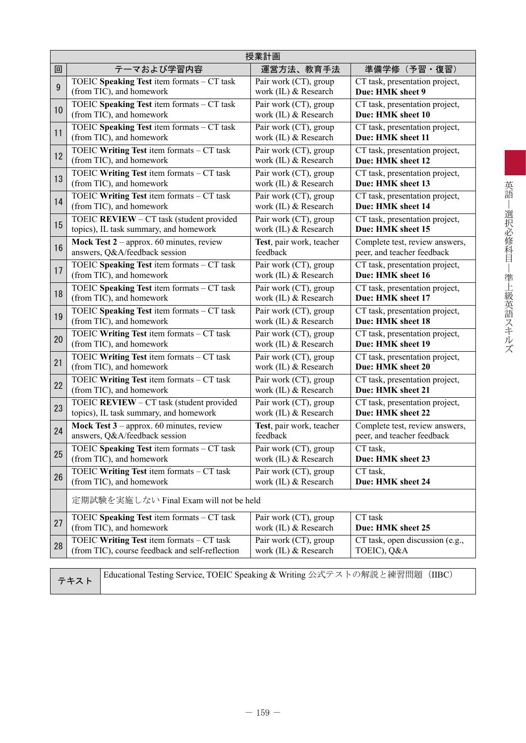|    | 授業計画                                                                     |                          |                                 |  |  |  |  |  |  |  |
|----|--------------------------------------------------------------------------|--------------------------|---------------------------------|--|--|--|--|--|--|--|
| 回  | テーマおよび学習内容                                                               | 運営方法、教育手法                | 準備学修(予習・復習)                     |  |  |  |  |  |  |  |
| 9  | TOEIC Speaking Test item formats - CT task                               | Pair work (CT), group    | CT task, presentation project,  |  |  |  |  |  |  |  |
|    | (from TIC), and homework                                                 | work (IL) & Research     | Due: HMK sheet 9                |  |  |  |  |  |  |  |
| 10 | TOEIC Speaking Test item formats - CT task                               | Pair work (CT), group    | CT task, presentation project,  |  |  |  |  |  |  |  |
|    | (from TIC), and homework                                                 | work (IL) & Research     | Due: HMK sheet 10               |  |  |  |  |  |  |  |
| 11 | TOEIC Speaking Test item formats - CT task                               | Pair work (CT), group    | CT task, presentation project,  |  |  |  |  |  |  |  |
|    | (from TIC), and homework                                                 | work (IL) & Research     | Due: HMK sheet 11               |  |  |  |  |  |  |  |
| 12 | TOEIC Writing Test item formats - CT task                                | Pair work (CT), group    | CT task, presentation project,  |  |  |  |  |  |  |  |
|    | (from TIC), and homework                                                 | work (IL) & Research     | Due: HMK sheet 12               |  |  |  |  |  |  |  |
| 13 | TOEIC Writing Test item formats - CT task                                | Pair work (CT), group    | CT task, presentation project,  |  |  |  |  |  |  |  |
|    | (from TIC), and homework                                                 | work (IL) & Research     | Due: HMK sheet 13               |  |  |  |  |  |  |  |
| 14 | TOEIC Writing Test item formats - CT task                                | Pair work (CT), group    | CT task, presentation project,  |  |  |  |  |  |  |  |
|    | (from TIC), and homework                                                 | work (IL) & Research     | Due: HMK sheet 14               |  |  |  |  |  |  |  |
| 15 | TOEIC REVIEW - CT task (student provided                                 | Pair work (CT), group    | CT task, presentation project,  |  |  |  |  |  |  |  |
|    | topics), IL task summary, and homework                                   | work (IL) & Research     | Due: HMK sheet 15               |  |  |  |  |  |  |  |
| 16 | Mock Test $2$ – approx. 60 minutes, review                               | Test, pair work, teacher | Complete test, review answers,  |  |  |  |  |  |  |  |
|    | answers, Q&A/feedback session                                            | feedback                 | peer, and teacher feedback      |  |  |  |  |  |  |  |
| 17 | TOEIC Speaking Test item formats - CT task                               | Pair work (CT), group    | CT task, presentation project,  |  |  |  |  |  |  |  |
|    | (from TIC), and homework                                                 | work (IL) & Research     | Due: HMK sheet 16               |  |  |  |  |  |  |  |
| 18 | TOEIC Speaking Test item formats - CT task                               | Pair work (CT), group    | CT task, presentation project,  |  |  |  |  |  |  |  |
|    | (from TIC), and homework                                                 | work (IL) & Research     | Due: HMK sheet 17               |  |  |  |  |  |  |  |
| 19 | TOEIC Speaking Test item formats - CT task                               | Pair work (CT), group    | CT task, presentation project,  |  |  |  |  |  |  |  |
|    | (from TIC), and homework                                                 | work (IL) & Research     | Due: HMK sheet 18               |  |  |  |  |  |  |  |
| 20 | TOEIC Writing Test item formats - CT task                                | Pair work (CT), group    | CT task, presentation project,  |  |  |  |  |  |  |  |
|    | (from TIC), and homework                                                 | work (IL) & Research     | Due: HMK sheet 19               |  |  |  |  |  |  |  |
| 21 | TOEIC Writing Test item formats - CT task                                | Pair work (CT), group    | CT task, presentation project,  |  |  |  |  |  |  |  |
|    | (from TIC), and homework                                                 | work (IL) & Research     | Due: HMK sheet 20               |  |  |  |  |  |  |  |
| 22 | TOEIC Writing Test item formats - CT task                                | Pair work (CT), group    | CT task, presentation project,  |  |  |  |  |  |  |  |
|    | (from TIC), and homework                                                 | work (IL) & Research     | Due: HMK sheet 21               |  |  |  |  |  |  |  |
| 23 | TOEIC REVIEW - CT task (student provided                                 | Pair work (CT), group    | CT task, presentation project,  |  |  |  |  |  |  |  |
|    | topics), IL task summary, and homework                                   | work (IL) & Research     | Due: HMK sheet 22               |  |  |  |  |  |  |  |
| 24 | Mock Test $3$ – approx. 60 minutes, review                               | Test, pair work, teacher | Complete test, review answers,  |  |  |  |  |  |  |  |
|    | answers, Q&A/feedback session                                            | feedback                 | peer, and teacher feedback      |  |  |  |  |  |  |  |
| 25 | TOEIC Speaking Test item formats - CT task                               | Pair work (CT), group    | CT task,                        |  |  |  |  |  |  |  |
|    | (from TIC), and homework                                                 | work $(IL)$ & Research   | Due: HMK sheet 23               |  |  |  |  |  |  |  |
| 26 | TOEIC Writing Test item formats - CT task                                | Pair work (CT), group    | CT task,                        |  |  |  |  |  |  |  |
|    | (from TIC), and homework                                                 | work (IL) & Research     | Due: HMK sheet 24               |  |  |  |  |  |  |  |
|    | 定期試験を実施しない Final Exam will not be held                                   |                          |                                 |  |  |  |  |  |  |  |
| 27 | TOEIC Speaking Test item formats - CT task                               | Pair work (CT), group    | CT task                         |  |  |  |  |  |  |  |
|    | (from TIC), and homework                                                 | work (IL) & Research     | Due: HMK sheet 25               |  |  |  |  |  |  |  |
| 28 | TOEIC Writing Test item formats - CT task                                | Pair work (CT), group    | CT task, open discussion (e.g., |  |  |  |  |  |  |  |
|    | (from TIC), course feedback and self-reflection                          | work (IL) & Research     | TOEIC), Q&A                     |  |  |  |  |  |  |  |
|    | Educational Testing Service TOEIC Speaking & Writing 公式テストの解説と練習問題 (HRC) |                          |                                 |  |  |  |  |  |  |  |

英語 – 選択必修科目 – 準上級英語スキルズ

テキスト Educational Testing Service, TOEIC Speaking & Writing 公式テストの解説と練習問題(IIBC)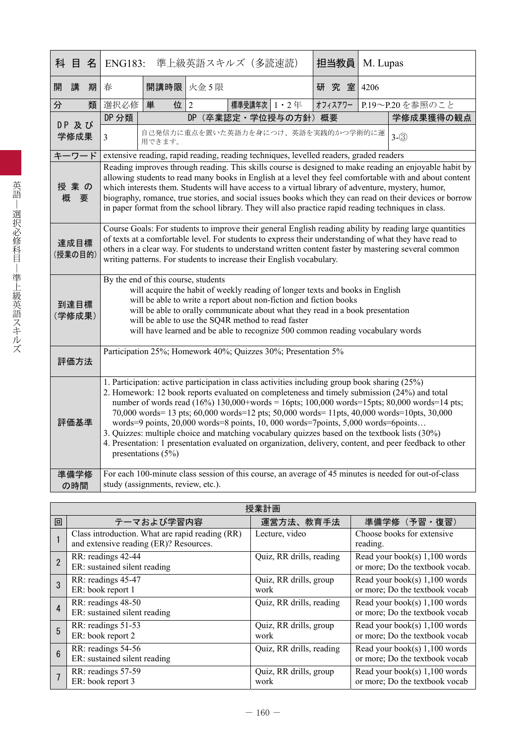| 科 目<br>名        | <b>ENG183:</b>                                                                                                                                                                                                                                                                                                                                                                                                                                                                                                                                                                                                                                                                                                     |                                                                      | 準上級英語スキルズ(多読速読) |               |                  | 担当教員                                                                                   | M. Lupas |                                                                                                                                                                                                                                                                                                                           |  |  |
|-----------------|--------------------------------------------------------------------------------------------------------------------------------------------------------------------------------------------------------------------------------------------------------------------------------------------------------------------------------------------------------------------------------------------------------------------------------------------------------------------------------------------------------------------------------------------------------------------------------------------------------------------------------------------------------------------------------------------------------------------|----------------------------------------------------------------------|-----------------|---------------|------------------|----------------------------------------------------------------------------------------|----------|---------------------------------------------------------------------------------------------------------------------------------------------------------------------------------------------------------------------------------------------------------------------------------------------------------------------------|--|--|
| 開<br>講<br>期     | 春                                                                                                                                                                                                                                                                                                                                                                                                                                                                                                                                                                                                                                                                                                                  | 開講時限 火金5限                                                            |                 |               |                  | 研究室 4206                                                                               |          |                                                                                                                                                                                                                                                                                                                           |  |  |
| 分<br>類          | 選択必修                                                                                                                                                                                                                                                                                                                                                                                                                                                                                                                                                                                                                                                                                                               | 位<br>単                                                               | $\overline{2}$  | 標準受講年次 1 · 2年 |                  | オフィスアワー                                                                                |          | P.19~P.20を参照のこと                                                                                                                                                                                                                                                                                                           |  |  |
| DP 及び           | DP 分類                                                                                                                                                                                                                                                                                                                                                                                                                                                                                                                                                                                                                                                                                                              |                                                                      | <b>DP</b>       |               | (卒業認定·学位授与の方針)概要 |                                                                                        |          | 学修成果獲得の観点                                                                                                                                                                                                                                                                                                                 |  |  |
| 学修成果            | $\overline{3}$                                                                                                                                                                                                                                                                                                                                                                                                                                                                                                                                                                                                                                                                                                     | 用できます。                                                               |                 |               |                  | 自己発信力に重点を置いた英語力を身につけ、英語を実践的かつ学術的に運                                                     |          | $3-(3)$                                                                                                                                                                                                                                                                                                                   |  |  |
| キーワード           |                                                                                                                                                                                                                                                                                                                                                                                                                                                                                                                                                                                                                                                                                                                    |                                                                      |                 |               |                  | extensive reading, rapid reading, reading techniques, levelled readers, graded readers |          |                                                                                                                                                                                                                                                                                                                           |  |  |
| 授業の<br>概<br>要   | Reading improves through reading. This skills course is designed to make reading an enjoyable habit by<br>allowing students to read many books in English at a level they feel comfortable with and about content<br>which interests them. Students will have access to a virtual library of adventure, mystery, humor,<br>biography, romance, true stories, and social issues books which they can read on their devices or borrow<br>in paper format from the school library. They will also practice rapid reading techniques in class.                                                                                                                                                                         |                                                                      |                 |               |                  |                                                                                        |          |                                                                                                                                                                                                                                                                                                                           |  |  |
| 達成目標<br>(授業の目的) |                                                                                                                                                                                                                                                                                                                                                                                                                                                                                                                                                                                                                                                                                                                    | writing patterns. For students to increase their English vocabulary. |                 |               |                  |                                                                                        |          | Course Goals: For students to improve their general English reading ability by reading large quantities<br>of texts at a comfortable level. For students to express their understanding of what they have read to<br>others in a clear way. For students to understand written content faster by mastering several common |  |  |
| 到達目標<br>(学修成果)  | By the end of this course, students<br>will acquire the habit of weekly reading of longer texts and books in English<br>will be able to write a report about non-fiction and fiction books<br>will be able to orally communicate about what they read in a book presentation<br>will be able to use the SQ4R method to read faster<br>will have learned and be able to recognize 500 common reading vocabulary words                                                                                                                                                                                                                                                                                               |                                                                      |                 |               |                  |                                                                                        |          |                                                                                                                                                                                                                                                                                                                           |  |  |
| 評価方法            |                                                                                                                                                                                                                                                                                                                                                                                                                                                                                                                                                                                                                                                                                                                    | Participation 25%; Homework 40%; Quizzes 30%; Presentation 5%        |                 |               |                  |                                                                                        |          |                                                                                                                                                                                                                                                                                                                           |  |  |
| 評価基準            | 1. Participation: active participation in class activities including group book sharing (25%)<br>2. Homework: 12 book reports evaluated on completeness and timely submission (24%) and total<br>number of words read (16%) 130,000+words = 16pts; 100,000 words=15pts; 80,000 words=14 pts;<br>70,000 words=13 pts; 60,000 words=12 pts; 50,000 words=11pts, 40,000 words=10pts, 30,000<br>words=9 points, 20,000 words=8 points, 10, 000 words=7points, 5,000 words=6points<br>3. Quizzes: multiple choice and matching vocabulary quizzes based on the textbook lists (30%)<br>4. Presentation: 1 presentation evaluated on organization, delivery, content, and peer feedback to other<br>presentations $(5%)$ |                                                                      |                 |               |                  |                                                                                        |          |                                                                                                                                                                                                                                                                                                                           |  |  |
| 準備学修<br>の時間     |                                                                                                                                                                                                                                                                                                                                                                                                                                                                                                                                                                                                                                                                                                                    | study (assignments, review, etc.).                                   |                 |               |                  |                                                                                        |          | For each 100-minute class session of this course, an average of 45 minutes is needed for out-of-class                                                                                                                                                                                                                     |  |  |

|                | 授業計画                                                                                      |                                |                                                                    |  |  |  |  |  |  |  |
|----------------|-------------------------------------------------------------------------------------------|--------------------------------|--------------------------------------------------------------------|--|--|--|--|--|--|--|
| 回              | テーマおよび学習内容                                                                                | 運営方法、教育手法                      | 準備学修 (予習·復習)                                                       |  |  |  |  |  |  |  |
|                | Class introduction. What are rapid reading (RR)<br>and extensive reading (ER)? Resources. | Lecture, video                 | Choose books for extensive<br>reading.                             |  |  |  |  |  |  |  |
| $\overline{2}$ | RR: readings 42-44<br>ER: sustained silent reading                                        | Quiz, RR drills, reading       | Read your book(s) $1,100$ words<br>or more; Do the textbook vocab. |  |  |  |  |  |  |  |
| 3              | RR: readings 45-47<br>ER: book report 1                                                   | Quiz, RR drills, group<br>work | Read your book(s) $1,100$ words<br>or more; Do the textbook vocab  |  |  |  |  |  |  |  |
| 4              | RR: readings 48-50<br>ER: sustained silent reading                                        | Quiz, RR drills, reading       | Read your book(s) $1,100$ words<br>or more; Do the textbook vocab  |  |  |  |  |  |  |  |
| 5              | RR: readings 51-53<br>ER: book report 2                                                   | Quiz, RR drills, group<br>work | Read your book(s) $1,100$ words<br>or more; Do the textbook vocab  |  |  |  |  |  |  |  |
| $6\phantom{a}$ | RR: readings 54-56<br>ER: sustained silent reading                                        | Quiz, RR drills, reading       | Read your book(s) $1,100$ words<br>or more; Do the textbook vocab  |  |  |  |  |  |  |  |
|                | RR: readings 57-59<br>ER: book report 3                                                   | Quiz, RR drills, group<br>work | Read your book(s) $1,100$ words<br>or more; Do the textbook vocab  |  |  |  |  |  |  |  |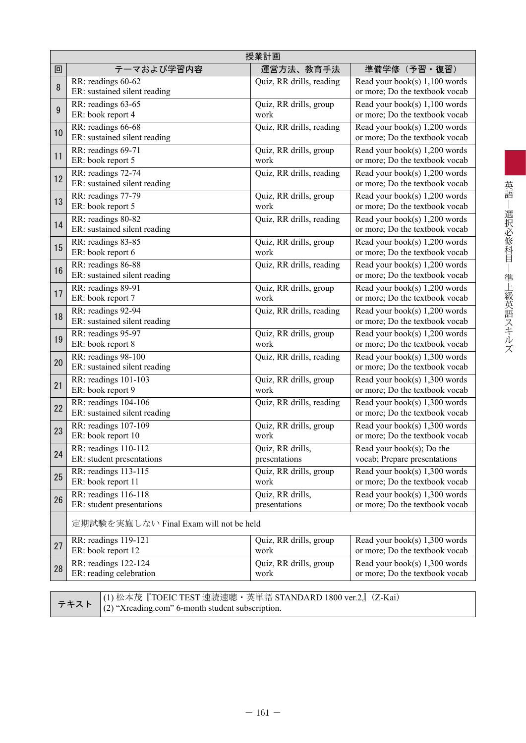| 授業計画                                                 |                                   |                                                                   |  |  |  |  |  |  |  |
|------------------------------------------------------|-----------------------------------|-------------------------------------------------------------------|--|--|--|--|--|--|--|
| テーマおよび学習内容                                           | 運営方法、教育手法                         | 準備学修(予習・復習)                                                       |  |  |  |  |  |  |  |
| RR: readings 60-62<br>ER: sustained silent reading   | Quiz, RR drills, reading          | Read your book(s) 1,100 words<br>or more; Do the textbook vocab   |  |  |  |  |  |  |  |
| RR: readings 63-65<br>ER: book report 4              | Quiz, RR drills, group<br>work    | Read your book(s) 1,100 words<br>or more; Do the textbook vocab   |  |  |  |  |  |  |  |
| RR: readings 66-68<br>ER: sustained silent reading   | Quiz, RR drills, reading          | Read your book(s) 1,200 words<br>or more; Do the textbook vocab   |  |  |  |  |  |  |  |
| RR: readings 69-71<br>ER: book report 5              | Quiz, RR drills, group<br>work    | Read your book(s) 1,200 words<br>or more; Do the textbook vocab   |  |  |  |  |  |  |  |
| RR: readings 72-74<br>ER: sustained silent reading   | Quiz, RR drills, reading          | Read your book(s) 1,200 words<br>or more; Do the textbook vocab   |  |  |  |  |  |  |  |
| RR: readings 77-79<br>ER: book report 5              | Quiz, RR drills, group<br>work    | Read your book(s) 1,200 words<br>or more; Do the textbook vocab   |  |  |  |  |  |  |  |
| RR: readings 80-82<br>ER: sustained silent reading   | Quiz, RR drills, reading          | Read your book(s) 1,200 words<br>or more; Do the textbook vocab   |  |  |  |  |  |  |  |
| RR: readings 83-85<br>ER: book report 6              | Quiz, RR drills, group<br>work    | Read your book(s) 1,200 words<br>or more; Do the textbook vocab   |  |  |  |  |  |  |  |
| RR: readings 86-88<br>ER: sustained silent reading   | Quiz, RR drills, reading          | Read your book(s) 1,200 words<br>or more; Do the textbook vocab   |  |  |  |  |  |  |  |
| RR: readings 89-91<br>ER: book report 7              | Quiz, RR drills, group<br>work    | Read your book(s) 1,200 words<br>or more; Do the textbook vocab   |  |  |  |  |  |  |  |
| RR: readings 92-94<br>ER: sustained silent reading   | Quiz, RR drills, reading          | Read your book(s) 1,200 words<br>or more; Do the textbook vocab   |  |  |  |  |  |  |  |
| RR: readings 95-97<br>ER: book report 8              | Quiz, RR drills, group<br>work    | Read your book(s) 1,200 words<br>or more; Do the textbook vocab   |  |  |  |  |  |  |  |
| RR: readings 98-100<br>ER: sustained silent reading  | Quiz, RR drills, reading          | Read your book(s) 1,300 words<br>or more; Do the textbook vocab   |  |  |  |  |  |  |  |
| RR: readings 101-103<br>ER: book report 9            | Quiz, RR drills, group<br>work    | Read your book(s) 1,300 words<br>or more; Do the textbook vocab   |  |  |  |  |  |  |  |
| RR: readings 104-106<br>ER: sustained silent reading | Quiz, RR drills, reading          | Read your book(s) 1,300 words<br>or more; Do the textbook vocab   |  |  |  |  |  |  |  |
| RR: readings 107-109<br>ER: book report 10           | Quiz, RR drills, group<br>work    | Read your book(s) 1,300 words<br>or more; Do the textbook vocab   |  |  |  |  |  |  |  |
| RR: readings 110-112<br>ER: student presentations    | Quiz, RR drills,<br>presentations | Read your book(s); Do the<br>vocab; Prepare presentations         |  |  |  |  |  |  |  |
| RR: readings 113-115<br>ER: book report 11           | Quiz, RR drills, group<br>work    | Read your book(s) 1,300 words<br>or more; Do the textbook vocab   |  |  |  |  |  |  |  |
| RR: readings 116-118<br>ER: student presentations    | Quiz, RR drills,<br>presentations | Read your book(s) $1,300$ words<br>or more; Do the textbook vocab |  |  |  |  |  |  |  |
|                                                      |                                   |                                                                   |  |  |  |  |  |  |  |
| RR: readings 119-121                                 | Quiz, RR drills, group<br>work    | Read your book(s) $1,300$ words<br>or more; Do the textbook vocab |  |  |  |  |  |  |  |
| RR: readings 122-124<br>ER: reading celebration      | Quiz, RR drills, group<br>work    | Read your book(s) $1,300$ words<br>or more; Do the textbook vocab |  |  |  |  |  |  |  |
|                                                      | ER: book report 12                | 定期試験を実施しない Final Exam will not be held                            |  |  |  |  |  |  |  |

テキスト (1) 松本茂『TOEIC TEST 速読速聴・英単語 STANDARD 1800 ver.2』(Z-Kai) (2) "Xreading.com" 6-month student subscription.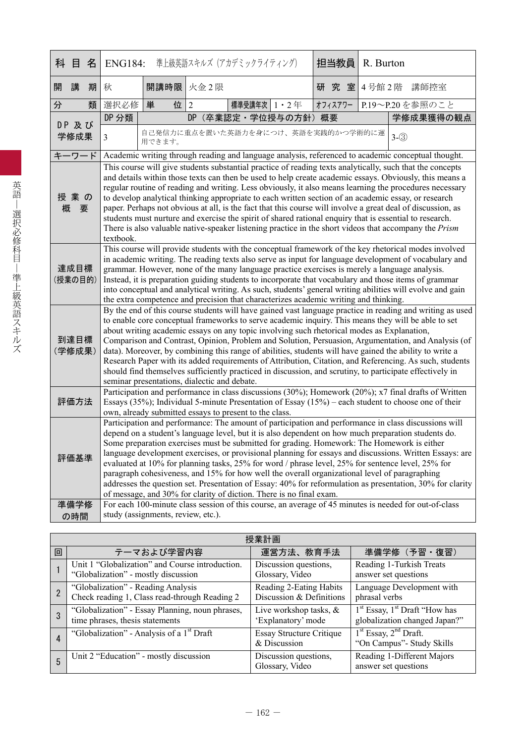| 科    | 目                                                                                                                                                                                                                                                                                                                                                                                                                                                                                                                                                                                                                                                                                                                                                                                                                                                                                                                                                                                                                                                                                                | 名 | 準上級英語スキルズ(アカデミックライティング)<br><b>ENG184:</b>                                                                                                                                                                                                                                                                                                                                                                                                                                                                                                                                                                                                                                                                                                                                                               |                                    | 担当教員           | R. Burton                                                                                            |         |  |                 |  |
|------|--------------------------------------------------------------------------------------------------------------------------------------------------------------------------------------------------------------------------------------------------------------------------------------------------------------------------------------------------------------------------------------------------------------------------------------------------------------------------------------------------------------------------------------------------------------------------------------------------------------------------------------------------------------------------------------------------------------------------------------------------------------------------------------------------------------------------------------------------------------------------------------------------------------------------------------------------------------------------------------------------------------------------------------------------------------------------------------------------|---|---------------------------------------------------------------------------------------------------------------------------------------------------------------------------------------------------------------------------------------------------------------------------------------------------------------------------------------------------------------------------------------------------------------------------------------------------------------------------------------------------------------------------------------------------------------------------------------------------------------------------------------------------------------------------------------------------------------------------------------------------------------------------------------------------------|------------------------------------|----------------|------------------------------------------------------------------------------------------------------|---------|--|-----------------|--|
| 開    | 講                                                                                                                                                                                                                                                                                                                                                                                                                                                                                                                                                                                                                                                                                                                                                                                                                                                                                                                                                                                                                                                                                                | 期 | 秋                                                                                                                                                                                                                                                                                                                                                                                                                                                                                                                                                                                                                                                                                                                                                                                                       | 開講時限 火金2限                          |                |                                                                                                      | 研究室     |  | 4号館2階 講師控室      |  |
| 分    |                                                                                                                                                                                                                                                                                                                                                                                                                                                                                                                                                                                                                                                                                                                                                                                                                                                                                                                                                                                                                                                                                                  | 類 | 選択必修                                                                                                                                                                                                                                                                                                                                                                                                                                                                                                                                                                                                                                                                                                                                                                                                    | 単<br>位                             | $\overline{2}$ | 標準受講年次<br>$1 \cdot 2$ 年                                                                              | オフィスアワー |  | P.19~P.20を参照のこと |  |
|      | DP 及び                                                                                                                                                                                                                                                                                                                                                                                                                                                                                                                                                                                                                                                                                                                                                                                                                                                                                                                                                                                                                                                                                            |   | DP 分類                                                                                                                                                                                                                                                                                                                                                                                                                                                                                                                                                                                                                                                                                                                                                                                                   |                                    | <b>DP</b>      | (卒業認定·学位授与の方針)概要                                                                                     |         |  | 学修成果獲得の観点       |  |
|      | 学修成果                                                                                                                                                                                                                                                                                                                                                                                                                                                                                                                                                                                                                                                                                                                                                                                                                                                                                                                                                                                                                                                                                             |   | $\overline{3}$                                                                                                                                                                                                                                                                                                                                                                                                                                                                                                                                                                                                                                                                                                                                                                                          | 用できます。                             |                | 自己発信力に重点を置いた英語力を身につけ、英語を実践的かつ学術的に運                                                                   |         |  | $3-(3)$         |  |
|      | キーワード                                                                                                                                                                                                                                                                                                                                                                                                                                                                                                                                                                                                                                                                                                                                                                                                                                                                                                                                                                                                                                                                                            |   |                                                                                                                                                                                                                                                                                                                                                                                                                                                                                                                                                                                                                                                                                                                                                                                                         |                                    |                | Academic writing through reading and language analysis, referenced to academic conceptual thought.   |         |  |                 |  |
| 概    | 授業の<br>要                                                                                                                                                                                                                                                                                                                                                                                                                                                                                                                                                                                                                                                                                                                                                                                                                                                                                                                                                                                                                                                                                         |   | This course will give students substantial practice of reading texts analytically, such that the concepts<br>and details within those texts can then be used to help create academic essays. Obviously, this means a<br>regular routine of reading and writing. Less obviously, it also means learning the procedures necessary<br>to develop analytical thinking appropriate to each written section of an academic essay, or research<br>paper. Perhaps not obvious at all, is the fact that this course will involve a great deal of discussion, as<br>students must nurture and exercise the spirit of shared rational enquiry that is essential to research.<br>There is also valuable native-speaker listening practice in the short videos that accompany the Prism<br>textbook.                 |                                    |                |                                                                                                      |         |  |                 |  |
|      | 達成目標<br>(授業の目的)                                                                                                                                                                                                                                                                                                                                                                                                                                                                                                                                                                                                                                                                                                                                                                                                                                                                                                                                                                                                                                                                                  |   | This course will provide students with the conceptual framework of the key rhetorical modes involved<br>in academic writing. The reading texts also serve as input for language development of vocabulary and<br>grammar. However, none of the many language practice exercises is merely a language analysis.<br>Instead, it is preparation guiding students to incorporate that vocabulary and those items of grammar<br>into conceptual and analytical writing. As such, students' general writing abilities will evolve and gain<br>the extra competence and precision that characterizes academic writing and thinking.                                                                                                                                                                            |                                    |                |                                                                                                      |         |  |                 |  |
|      | 到達目標<br>(学修成果)                                                                                                                                                                                                                                                                                                                                                                                                                                                                                                                                                                                                                                                                                                                                                                                                                                                                                                                                                                                                                                                                                   |   | By the end of this course students will have gained vast language practice in reading and writing as used<br>to enable core conceptual frameworks to serve academic inquiry. This means they will be able to set<br>about writing academic essays on any topic involving such rhetorical modes as Explanation,<br>Comparison and Contrast, Opinion, Problem and Solution, Persuasion, Argumentation, and Analysis (of<br>data). Moreover, by combining this range of abilities, students will have gained the ability to write a<br>Research Paper with its added requirements of Attribution, Citation, and Referencing. As such, students<br>should find themselves sufficiently practiced in discussion, and scrutiny, to participate effectively in<br>seminar presentations, dialectic and debate. |                                    |                |                                                                                                      |         |  |                 |  |
|      | 評価方法                                                                                                                                                                                                                                                                                                                                                                                                                                                                                                                                                                                                                                                                                                                                                                                                                                                                                                                                                                                                                                                                                             |   |                                                                                                                                                                                                                                                                                                                                                                                                                                                                                                                                                                                                                                                                                                                                                                                                         |                                    |                | Participation and performance in class discussions (30%); Homework (20%); x7 final drafts of Written |         |  |                 |  |
| 準備学修 | Essays (35%); Individual 5-minute Presentation of Essay (15%) – each student to choose one of their<br>own, already submitted essays to present to the class.<br>Participation and performance: The amount of participation and performance in class discussions will<br>depend on a student's language level, but it is also dependent on how much preparation students do.<br>Some preparation exercises must be submitted for grading. Homework: The Homework is either<br>language development exercises, or provisional planning for essays and discussions. Written Essays: are<br>評価基準<br>evaluated at 10% for planning tasks, 25% for word / phrase level, 25% for sentence level, 25% for<br>paragraph cohesiveness, and 15% for how well the overall organizational level of paragraphing<br>addresses the question set. Presentation of Essay: 40% for reformulation as presentation, 30% for clarity<br>of message, and 30% for clarity of diction. There is no final exam.<br>For each 100-minute class session of this course, an average of 45 minutes is needed for out-of-class |   |                                                                                                                                                                                                                                                                                                                                                                                                                                                                                                                                                                                                                                                                                                                                                                                                         |                                    |                |                                                                                                      |         |  |                 |  |
|      | の時間                                                                                                                                                                                                                                                                                                                                                                                                                                                                                                                                                                                                                                                                                                                                                                                                                                                                                                                                                                                                                                                                                              |   |                                                                                                                                                                                                                                                                                                                                                                                                                                                                                                                                                                                                                                                                                                                                                                                                         | study (assignments, review, etc.). |                |                                                                                                      |         |  |                 |  |

|   | 授業計画                                                                                   |                                                     |                                                                    |  |  |  |  |  |  |  |  |
|---|----------------------------------------------------------------------------------------|-----------------------------------------------------|--------------------------------------------------------------------|--|--|--|--|--|--|--|--|
| 回 | テーマおよび学習内容                                                                             | 運営方法、教育手法                                           | 準備学修 (予習·復習)                                                       |  |  |  |  |  |  |  |  |
|   | Unit 1 "Globalization" and Course introduction.<br>"Globalization" - mostly discussion | Discussion questions,<br>Glossary, Video            | Reading 1-Turkish Treats<br>answer set questions                   |  |  |  |  |  |  |  |  |
|   | "Globalization" - Reading Analysis<br>Check reading 1, Class read-through Reading 2    | Reading 2-Eating Habits<br>Discussion & Definitions | Language Development with<br>phrasal verbs                         |  |  |  |  |  |  |  |  |
| 3 | "Globalization" - Essay Planning, noun phrases,<br>time phrases, thesis statements     | Live workshop tasks, $\&$<br>'Explanatory' mode     | $1st$ Essay, $1st$ Draft "How has<br>globalization changed Japan?" |  |  |  |  |  |  |  |  |
| 4 | "Globalization" - Analysis of a 1 <sup>st</sup> Draft                                  | <b>Essay Structure Critique</b><br>& Discussion     | $1st$ Essay, $2nd$ Draft.<br>"On Campus" - Study Skills            |  |  |  |  |  |  |  |  |
| 5 | Unit 2 "Education" - mostly discussion                                                 | Discussion questions,<br>Glossary, Video            | Reading 1-Different Majors<br>answer set questions                 |  |  |  |  |  |  |  |  |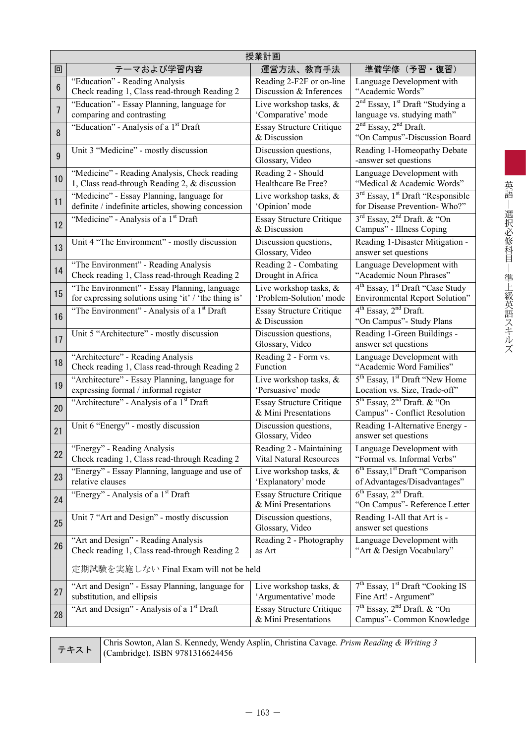|                 | 授業計画                                                                                                                                |                                                           |                                                                                                   |  |  |  |  |  |  |  |
|-----------------|-------------------------------------------------------------------------------------------------------------------------------------|-----------------------------------------------------------|---------------------------------------------------------------------------------------------------|--|--|--|--|--|--|--|
| 回               | テーマおよび学習内容                                                                                                                          | 運営方法、教育手法                                                 | 準備学修(予習・復習)                                                                                       |  |  |  |  |  |  |  |
| $6\phantom{.}6$ | "Education" - Reading Analysis<br>Check reading 1, Class read-through Reading 2                                                     | Reading 2-F2F or on-line<br>Discussion & Inferences       | Language Development with<br>"Academic Words"                                                     |  |  |  |  |  |  |  |
| 7               | "Education" - Essay Planning, language for<br>comparing and contrasting                                                             | Live workshop tasks, &<br>'Comparative' mode              | 2 <sup>nd</sup> Essay, 1 <sup>st</sup> Draft "Studying a<br>language vs. studying math"           |  |  |  |  |  |  |  |
| 8               | "Education" - Analysis of a 1 <sup>st</sup> Draft                                                                                   | <b>Essay Structure Critique</b><br>& Discussion           | 2 <sup>nd</sup> Essay, 2 <sup>nd</sup> Draft.<br>"On Campus"-Discussion Board                     |  |  |  |  |  |  |  |
| 9               | Unit 3 "Medicine" - mostly discussion                                                                                               | Discussion questions,<br>Glossary, Video                  | Reading 1-Homeopathy Debate<br>-answer set questions                                              |  |  |  |  |  |  |  |
| 10              | "Medicine" - Reading Analysis, Check reading<br>1, Class read-through Reading 2, & discussion                                       | Reading 2 - Should<br>Healthcare Be Free?                 | Language Development with<br>"Medical & Academic Words"                                           |  |  |  |  |  |  |  |
| 11              | "Medicine" - Essay Planning, language for<br>definite / indefinite articles, showing concession                                     | Live workshop tasks, &<br>'Opinion' mode                  | 3 <sup>rd</sup> Essay, 1 <sup>st</sup> Draft "Responsible<br>for Disease Prevention-Who?"         |  |  |  |  |  |  |  |
| 12              | "Medicine" - Analysis of a 1 <sup>st</sup> Draft                                                                                    | <b>Essay Structure Critique</b><br>& Discussion           | 3 <sup>rd</sup> Essay, 2 <sup>nd</sup> Draft. & "On<br>Campus" - Illness Coping                   |  |  |  |  |  |  |  |
| 13              | Unit 4 "The Environment" - mostly discussion                                                                                        | Discussion questions,<br>Glossary, Video                  | Reading 1-Disaster Mitigation -<br>answer set questions                                           |  |  |  |  |  |  |  |
| 14              | "The Environment" - Reading Analysis<br>Check reading 1, Class read-through Reading 2                                               | Reading 2 - Combating<br>Drought in Africa                | Language Development with<br>"Academic Noun Phrases"                                              |  |  |  |  |  |  |  |
| 15              | "The Environment" - Essay Planning, language<br>for expressing solutions using 'it' / 'the thing is'                                | Live workshop tasks, &<br>'Problem-Solution' mode         | 4 <sup>th</sup> Essay, 1 <sup>st</sup> Draft "Case Study<br><b>Environmental Report Solution"</b> |  |  |  |  |  |  |  |
| 16              | "The Environment" - Analysis of a 1 <sup>st</sup> Draft                                                                             | Essay Structure Critique<br>& Discussion                  | 4 <sup>th</sup> Essay, 2 <sup>nd</sup> Draft.<br>"On Campus"- Study Plans                         |  |  |  |  |  |  |  |
| 17              | Unit 5 "Architecture" - mostly discussion                                                                                           | Discussion questions,<br>Glossary, Video                  | Reading 1-Green Buildings -<br>answer set questions                                               |  |  |  |  |  |  |  |
| 18              | "Architecture" - Reading Analysis<br>Check reading 1, Class read-through Reading 2                                                  | Reading 2 - Form vs.<br>Function                          | Language Development with<br>"Academic Word Families"                                             |  |  |  |  |  |  |  |
| 19              | "Architecture" - Essay Planning, language for<br>expressing formal / informal register                                              | Live workshop tasks, &<br>'Persuasive' mode               | 5 <sup>th</sup> Essay, 1 <sup>st</sup> Draft "New Home"<br>Location vs. Size, Trade-off"          |  |  |  |  |  |  |  |
| 20              | "Architecture" - Analysis of a 1 <sup>st</sup> Draft                                                                                | <b>Essay Structure Critique</b><br>& Mini Presentations   | $5th$ Essay, 2 <sup>nd</sup> Draft. & "On<br>Campus" - Conflict Resolution                        |  |  |  |  |  |  |  |
| 21              | Unit 6 "Energy" - mostly discussion                                                                                                 | Discussion questions,<br>Glossary, Video                  | Reading 1-Alternative Energy -<br>answer set questions                                            |  |  |  |  |  |  |  |
| 22              | "Energy" - Reading Analysis<br>Check reading 1, Class read-through Reading 2                                                        | Reading 2 - Maintaining<br><b>Vital Natural Resources</b> | Language Development with<br>"Formal vs. Informal Verbs"                                          |  |  |  |  |  |  |  |
| 23              | "Energy" - Essay Planning, language and use of<br>relative clauses                                                                  | Live workshop tasks, &<br>'Explanatory' mode              | $6th$ Essay, 1 <sup>st</sup> Draft "Comparison"<br>of Advantages/Disadvantages"                   |  |  |  |  |  |  |  |
| 24              | "Energy" - Analysis of a 1 <sup>st</sup> Draft                                                                                      | <b>Essay Structure Critique</b><br>& Mini Presentations   | $6th$ Essay, $2nd$ Draft.<br>"On Campus"- Reference Letter                                        |  |  |  |  |  |  |  |
| 25              | Unit 7 "Art and Design" - mostly discussion                                                                                         | Discussion questions,<br>Glossary, Video                  | Reading 1-All that Art is -<br>answer set questions                                               |  |  |  |  |  |  |  |
| 26              | "Art and Design" - Reading Analysis<br>Check reading 1, Class read-through Reading 2                                                | Reading 2 - Photography<br>as Art                         | Language Development with<br>"Art & Design Vocabulary"                                            |  |  |  |  |  |  |  |
|                 | 定期試験を実施しない Final Exam will not be held                                                                                              |                                                           |                                                                                                   |  |  |  |  |  |  |  |
| 27              | "Art and Design" - Essay Planning, language for<br>substitution, and ellipsis                                                       | Live workshop tasks, &<br>'Argumentative' mode            | $7th$ Essay, $1st$ Draft "Cooking IS<br>Fine Art! - Argument"                                     |  |  |  |  |  |  |  |
| 28              | "Art and Design" - Analysis of a 1 <sup>st</sup> Draft                                                                              | <b>Essay Structure Critique</b><br>& Mini Presentations   | $7th$ Essay, $2nd$ Draft. & "On<br>Campus"- Common Knowledge                                      |  |  |  |  |  |  |  |
|                 |                                                                                                                                     |                                                           |                                                                                                   |  |  |  |  |  |  |  |
|                 | Chris Sowton, Alan S. Kennedy, Wendy Asplin, Christina Cavage. Prism Reading & Writing 3<br>テキスト<br>(Cambridge). ISBN 9781316624456 |                                                           |                                                                                                   |  |  |  |  |  |  |  |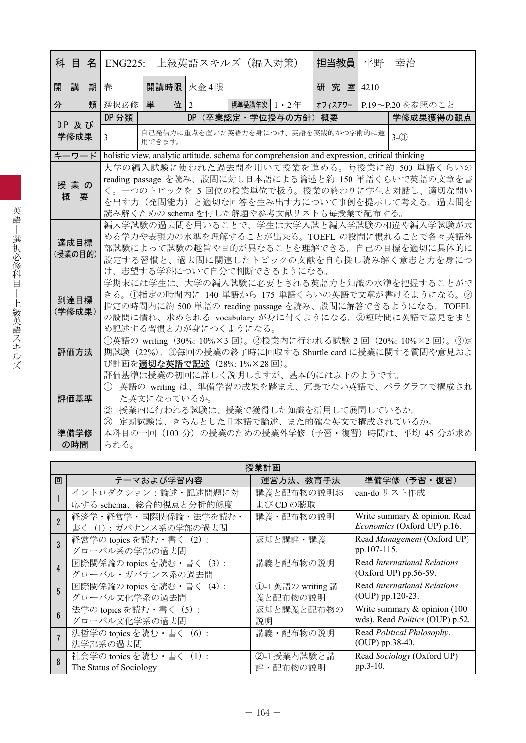|    |                |   |                                                 | 科 目 名  ENG225: 上級英語スキルズ (編入対策)               |         |              |                      | 担当教員                                                                                         | 平野 | 幸治                                                                                        |
|----|----------------|---|-------------------------------------------------|----------------------------------------------|---------|--------------|----------------------|----------------------------------------------------------------------------------------------|----|-------------------------------------------------------------------------------------------|
| 開講 |                | 期 | 春                                               | 開講時限 火金4限                                    |         |              |                      | 研究室 4210                                                                                     |    |                                                                                           |
| 分  |                | 類 | 選択必修                                            | 単<br>位 $ 2 $                                 |         | 標準受講年次 1・2 年 |                      |                                                                                              |    | オフィスアワー P.19~P.20を参照のこと                                                                   |
|    |                |   | DP 分類                                           |                                              |         |              | DP (卒業認定·学位授与の方針) 概要 |                                                                                              |    | 学修成果獲得の観点                                                                                 |
|    | DP及び<br>学修成果   |   | 3                                               | 自己発信力に重点を置いた英語力を身につけ、英語を実践的かつ学術的に運<br>用できます。 | $3-(3)$ |              |                      |                                                                                              |    |                                                                                           |
|    | キーワード          |   |                                                 |                                              |         |              |                      | holistic view, analytic attitude, schema for comprehension and expression, critical thinking |    |                                                                                           |
|    |                |   |                                                 |                                              |         |              |                      |                                                                                              |    | 大学の編入試験に使われた過去問を用いて授業を進める。毎授業に約 500 単語くらいの                                                |
|    | 授業の            |   |                                                 |                                              |         |              |                      |                                                                                              |    | reading passage を読み、設問に対し日本語による論述と約 150 単語くらいで英語の文章を書                                     |
|    | 概要             |   |                                                 |                                              |         |              |                      |                                                                                              |    | く。一つのトピックを 5回位の授業単位で扱う。授業の終わりに学生と対話し、適切な問い                                                |
|    |                |   |                                                 |                                              |         |              |                      |                                                                                              |    | を出す力(発問能力)と適切な回答を生み出す力について事例を提示して考える。過去問を                                                 |
|    |                |   |                                                 |                                              |         |              |                      | 読み解くための schema を付した解題や参考文献リストも毎授業で配布する。                                                      |    |                                                                                           |
|    |                |   |                                                 |                                              |         |              |                      |                                                                                              |    | 編入学試験の過去問を用いることで、学生は大学入試と編入学試験の相違や編入学試験が求                                                 |
|    | 達成目標           |   |                                                 |                                              |         |              |                      |                                                                                              |    | める学力や表現力の水準を理解することが出来る。TOEFL の設問に慣れることで各々英語外<br>部試験によって試験の趣旨や目的が異なることを理解できる。自己の目標を適切に具体的に |
|    | (授業の目的)        |   |                                                 |                                              |         |              |                      |                                                                                              |    | 設定する習慣と、過去問に関連したトピックの文献を自ら探し読み解く意志と力を身につ                                                  |
|    |                |   |                                                 | け、志望する学科について自分で判断できるようになる。                   |         |              |                      |                                                                                              |    |                                                                                           |
|    |                |   |                                                 |                                              |         |              |                      |                                                                                              |    | 学期末には学生は、大学の編入試験に必要とされる英語力と知識の水準を把握することがで                                                 |
|    |                |   | きる。①指定の時間内に 140 単語から 175 単語くらいの英語で文章が書けるようになる。② |                                              |         |              |                      |                                                                                              |    |                                                                                           |
|    | 到達目標<br>(学修成果) |   |                                                 |                                              |         |              |                      |                                                                                              |    | 指定の時間内に約 500 単語の reading passage を読み、設問に解答できるようになる。TOEFL                                  |
|    |                |   |                                                 |                                              |         |              |                      |                                                                                              |    | の設問に慣れ、求められる vocabulary が身に付くようになる。③短時間に英語で意見をまと                                          |
|    |                |   |                                                 | め記述する習慣と力が身につくようになる。                         |         |              |                      |                                                                                              |    |                                                                                           |
|    |                |   |                                                 |                                              |         |              |                      |                                                                                              |    | ①英語の writing (30%: 10%×3回)。②授業内に行われる試験 2回 (20%: 10%×2回)。③定                                |
|    | 評価方法           |   |                                                 |                                              |         |              |                      |                                                                                              |    | 期試験 (22%)。4毎回の授業の終了時に回収する Shuttle card に授業に関する質問や意見およ                                     |
|    |                |   |                                                 | び計画を適切な英語で記述 (28%: 1%×28回)。                  |         |              |                      |                                                                                              |    |                                                                                           |
|    |                |   |                                                 |                                              |         |              |                      | 評価基準は授業の初回に詳しく説明しますが、基本的には以下のようです。                                                           |    | 英語の writing は、準備学習の成果を踏まえ、冗長でない英語で、パラグラフで構成され                                             |
|    | 評価基準           |   |                                                 | た英文になっているか。                                  |         |              |                      |                                                                                              |    |                                                                                           |
|    |                |   | (2)                                             |                                              |         |              |                      | 授業内に行われる試験は、授業で獲得した知識を活用して展開しているか。                                                           |    |                                                                                           |
|    |                |   |                                                 |                                              |         |              |                      | 3 定期試験は、きちんとした日本語で論述、また的確な英文で構成されているか。                                                       |    |                                                                                           |
|    | 準備学修           |   |                                                 |                                              |         |              |                      |                                                                                              |    | 本科目の一回 (100 分) の授業のための授業外学修 (予習・復習) 時間は、平均 45 分が求め                                        |
|    | の時間            |   | られる。                                            |                                              |         |              |                      |                                                                                              |    |                                                                                           |

|                 | 授業計画                      |                   |                                  |  |  |  |  |  |  |  |  |
|-----------------|---------------------------|-------------------|----------------------------------|--|--|--|--|--|--|--|--|
| 回               | テーマおよび学習内容                | 運営方法、教育手法         | 準備学修 (予習·復習)                     |  |  |  |  |  |  |  |  |
|                 | イントロダクション:論述・記述問題に対       | 講義と配布物の説明お        | can-do リスト作成                     |  |  |  |  |  |  |  |  |
|                 | 応する schema、総合的視点と分析的態度    | よび CD の聴取         |                                  |  |  |  |  |  |  |  |  |
| $\overline{2}$  | 経済学・経営学・国際関係論・法学を読む・      | 講義・配布物の説明         | Write summary & opinion. Read    |  |  |  |  |  |  |  |  |
|                 | 書く (1): ガバナンス系の学部の過去問     |                   | Economics (Oxford UP) p.16.      |  |  |  |  |  |  |  |  |
| 3               | 経営学の topics を読む・書く (2):   | 返却と講評・講義          | Read Management (Oxford UP)      |  |  |  |  |  |  |  |  |
|                 | グローバル系の学部の過去問             |                   | pp.107-115.                      |  |  |  |  |  |  |  |  |
| $\overline{4}$  | 国際関係論の topics を読む・書く (3): | 講義と配布物の説明         | Read International Relations     |  |  |  |  |  |  |  |  |
|                 | グローバル・ガバナンス系の過去問          |                   | (Oxford UP) $pp.56-59$ .         |  |  |  |  |  |  |  |  |
| 5               | 国際関係論の topics を読む・書く (4): | ①-1 英語の writing 講 | Read International Relations     |  |  |  |  |  |  |  |  |
|                 | グローバル文化学系の過去問             | 義と配布物の説明          | $(OUP)$ pp.120-23.               |  |  |  |  |  |  |  |  |
| $6\overline{6}$ | 法学の topics を読む · 書く (5):  | 返却と講義と配布物の        | Write summary $\&$ opinion (100) |  |  |  |  |  |  |  |  |
|                 | グローバル文化学系の過去問             | 説明                | wds). Read Politics (OUP) p.52.  |  |  |  |  |  |  |  |  |
|                 | 法哲学の topics を読む · 書く (6): | 講義・配布物の説明         | Read Political Philosophy.       |  |  |  |  |  |  |  |  |
|                 | 法学部系の過去問                  |                   | (OUP) pp.38-40.                  |  |  |  |  |  |  |  |  |
| 8               | 社会学の topics を読む・書く (1):   | ②-1授業内試験と講        | Read Sociology (Oxford UP)       |  |  |  |  |  |  |  |  |
|                 | The Status of Sociology   | 評・配布物の説明          | pp.3-10.                         |  |  |  |  |  |  |  |  |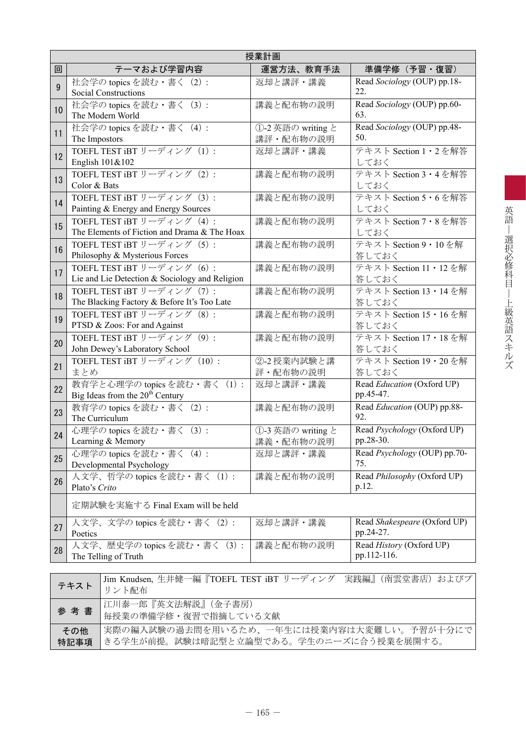|    | 授業計画                                                                          |                                |                                           |  |  |  |  |  |  |  |  |
|----|-------------------------------------------------------------------------------|--------------------------------|-------------------------------------------|--|--|--|--|--|--|--|--|
| 回  | テーマおよび学習内容                                                                    | 運営方法、教育手法                      | 準備学修(予習・復習)                               |  |  |  |  |  |  |  |  |
| 9  | 社会学の topics を読む · 書く (2) :<br><b>Social Constructions</b>                     | 返却と講評・講義                       | Read Sociology (OUP) pp.18-<br>22.        |  |  |  |  |  |  |  |  |
| 10 | 社会学の topics を読む · 書く (3) :<br>The Modern World                                | 講義と配布物の説明                      | Read Sociology (OUP) pp.60-<br>63.        |  |  |  |  |  |  |  |  |
| 11 | 社会学の topics を読む · 書く (4) :<br>The Impostors                                   | ①-2 英語の writing と<br>講評・配布物の説明 | Read Sociology (OUP) pp.48-<br>50.        |  |  |  |  |  |  |  |  |
| 12 | TOEFL TEST iBT リーディング (1) :<br>English 101&102                                | 返却と講評・講義                       | テキスト Section 1・2を解答<br>しておく               |  |  |  |  |  |  |  |  |
| 13 | TOEFL TEST iBT リーディング (2):<br>Color & Bats                                    | 講義と配布物の説明                      | テキスト Section 3・4を解答<br>しておく               |  |  |  |  |  |  |  |  |
| 14 | TOEFL TEST iBT リーディング (3):<br>Painting & Energy and Energy Sources            | 講義と配布物の説明                      | テキスト Section 5・6を解答<br>しておく               |  |  |  |  |  |  |  |  |
| 15 | TOEFL TEST iBT リーディング (4):<br>The Elements of Fiction and Drama & The Hoax    | 講義と配布物の説明                      | テキスト Section 7・8を解答<br>しておく               |  |  |  |  |  |  |  |  |
| 16 | TOEFL TEST iBT リーディング (5):<br>Philosophy & Mysterious Forces                  | 講義と配布物の説明                      | テキスト Section 9 · 10 を解<br>答しておく           |  |  |  |  |  |  |  |  |
| 17 | TOEFL TEST iBT リーディング (6) :<br>Lie and Lie Detection & Sociology and Religion | 講義と配布物の説明                      | テキスト Section 11 · 12 を解<br>答しておく          |  |  |  |  |  |  |  |  |
| 18 | TOEFL TEST iBT リーディング (7):<br>The Blacking Factory & Before It's Too Late     | 講義と配布物の説明                      | テキスト Section 13 · 14 を解<br>答しておく          |  |  |  |  |  |  |  |  |
| 19 | TOEFL TEST iBT リーディング (8):<br>PTSD & Zoos: For and Against                    | 講義と配布物の説明                      | テキスト Section 15 · 16 を解<br>答しておく          |  |  |  |  |  |  |  |  |
| 20 | TOEFL TEST iBT リーディング (9):<br>John Dewey's Laboratory School                  | 講義と配布物の説明                      | テキスト Section 17 · 18 を解<br>答しておく          |  |  |  |  |  |  |  |  |
| 21 | TOEFL TEST iBT リーディング (10):<br>まとめ                                            | ②-2授業内試験と講<br>評・配布物の説明         | テキスト Section 19・20を解<br>答しておく             |  |  |  |  |  |  |  |  |
| 22 | 教育学と心理学の topics を読む・書く (1):<br>Big Ideas from the $20th$ Century              | 返却と講評・講義                       | Read Education (Oxford UP)<br>pp.45-47.   |  |  |  |  |  |  |  |  |
| 23 | 教育学の topics を読む · 書く (2):<br>The Curriculum                                   | 講義と配布物の説明                      | Read Education (OUP) pp.88-<br>92.        |  |  |  |  |  |  |  |  |
| 24 | 心理学の topics を読む · 書く (3):<br>Learning & Memory                                | ①-3 英語の writing と<br>講義・配布物の説明 | Read Psychology (Oxford UP)<br>pp.28-30.  |  |  |  |  |  |  |  |  |
| 25 | 心理学の topics を読む · 書く (4):<br>Developmental Psychology                         | 返却と講評・講義                       | Read Psychology (OUP) pp.70-<br>75.       |  |  |  |  |  |  |  |  |
| 26 | 人文学、哲学の topics を読む・書く (1):<br>Plato's Crito                                   | 講義と配布物の説明                      | Read Philosophy (Oxford UP)<br>p.12.      |  |  |  |  |  |  |  |  |
|    | 定期試験を実施する Final Exam will be held                                             |                                |                                           |  |  |  |  |  |  |  |  |
| 27 | 人文学、文学の topics を読む・書く (2):<br>Poetics                                         | 返却と講評・講義                       | Read Shakespeare (Oxford UP)<br>pp.24-27. |  |  |  |  |  |  |  |  |
| 28 | 人文学、歴史学の topics を読む・書く (3):<br>The Telling of Truth                           | 講義と配布物の説明                      | Read History (Oxford UP)<br>pp.112-116.   |  |  |  |  |  |  |  |  |

|      | Jim Knudsen, 生井健一編『TOEFL TEST iBT リーディング 実践編』(南雲堂書店) およびプ<br>/テキスト ┃ リント配布 |
|------|----------------------------------------------------------------------------|
| 参考書  | 「江川泰一郎『英文法解説』(金子書房)<br><b>「毎授業の準備学修・復習で指摘している文献</b>                        |
| その他  | 実際の編入試験の過去問を用いるため、一年生には授業内容は大変難しい。予習が十分にで                                  |
| 特記事項 | きる学生が前提。試験は暗記型と立論型である。学生のニーズに合う授業を展開する。                                    |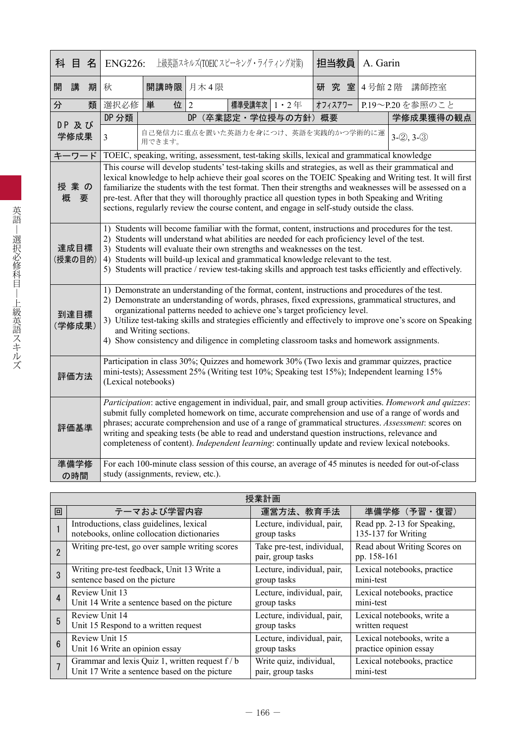|   | 科 目             | 名 | <b>ENG226:</b>      |                                    |                | 上級英語スキルズ(TOEIC スピーキング・ライティング対策) |                   | 担当教員                                                                                                                                                                                                                                                            | A. Garin |                                                                                                                                                                                                                                                                                                                                                                                                                                                                                                                          |  |
|---|-----------------|---|---------------------|------------------------------------|----------------|---------------------------------|-------------------|-----------------------------------------------------------------------------------------------------------------------------------------------------------------------------------------------------------------------------------------------------------------|----------|--------------------------------------------------------------------------------------------------------------------------------------------------------------------------------------------------------------------------------------------------------------------------------------------------------------------------------------------------------------------------------------------------------------------------------------------------------------------------------------------------------------------------|--|
| 開 | 講               | 期 | 秋                   | 開講時限                               | 月木4限           |                                 |                   | 研究室                                                                                                                                                                                                                                                             |          | 4号館2階 講師控室                                                                                                                                                                                                                                                                                                                                                                                                                                                                                                               |  |
| 分 |                 | 類 | 選択必修                | 単<br>位                             | $\overline{2}$ | 標準受講年次 1 · 2年                   |                   | オフィスアワー                                                                                                                                                                                                                                                         |          | P.19~P.20を参照のこと                                                                                                                                                                                                                                                                                                                                                                                                                                                                                                          |  |
|   | DP及び            |   | DP 分類               |                                    | DP.            |                                 | (卒業認定·学位授与の方針) 概要 |                                                                                                                                                                                                                                                                 |          | 学修成果獲得の観点                                                                                                                                                                                                                                                                                                                                                                                                                                                                                                                |  |
|   | 学修成果            |   | 3                   | 用できます。                             |                |                                 |                   | 自己発信力に重点を置いた英語力を身につけ、英語を実践的かつ学術的に運                                                                                                                                                                                                                              |          | $3-(2), 3-(3)$                                                                                                                                                                                                                                                                                                                                                                                                                                                                                                           |  |
|   | キーワード           |   |                     |                                    |                |                                 |                   | TOEIC, speaking, writing, assessment, test-taking skills, lexical and grammatical knowledge                                                                                                                                                                     |          |                                                                                                                                                                                                                                                                                                                                                                                                                                                                                                                          |  |
|   | 授業の<br>概<br>要   |   |                     |                                    |                |                                 |                   | sections, regularly review the course content, and engage in self-study outside the class.                                                                                                                                                                      |          | This course will develop students' test-taking skills and strategies, as well as their grammatical and<br>lexical knowledge to help achieve their goal scores on the TOEIC Speaking and Writing test. It will first<br>familiarize the students with the test format. Then their strengths and weaknesses will be assessed on a<br>pre-test. After that they will thoroughly practice all question types in both Speaking and Writing                                                                                    |  |
|   | 達成目標<br>(授業の目的) |   |                     |                                    |                |                                 |                   | 2) Students will understand what abilities are needed for each proficiency level of the test.<br>3) Students will evaluate their own strengths and weaknesses on the test.<br>4) Students will build-up lexical and grammatical knowledge relevant to the test. |          | 1) Students will become familiar with the format, content, instructions and procedures for the test.<br>5) Students will practice / review test-taking skills and approach test tasks efficiently and effectively.                                                                                                                                                                                                                                                                                                       |  |
|   | 到達目標<br>(学修成果)  |   |                     | and Writing sections.              |                |                                 |                   | organizational patterns needed to achieve one's target proficiency level.                                                                                                                                                                                       |          | 1) Demonstrate an understanding of the format, content, instructions and procedures of the test.<br>2) Demonstrate an understanding of words, phrases, fixed expressions, grammatical structures, and<br>3) Utilize test-taking skills and strategies efficiently and effectively to improve one's score on Speaking<br>4) Show consistency and diligence in completing classroom tasks and homework assignments.                                                                                                        |  |
|   | 評価方法            |   | (Lexical notebooks) |                                    |                |                                 |                   |                                                                                                                                                                                                                                                                 |          | Participation in class 30%; Quizzes and homework 30% (Two lexis and grammar quizzes, practice<br>mini-tests); Assessment 25% (Writing test 10%; Speaking test 15%); Independent learning 15%                                                                                                                                                                                                                                                                                                                             |  |
|   | 評価基準            |   |                     |                                    |                |                                 |                   |                                                                                                                                                                                                                                                                 |          | Participation: active engagement in individual, pair, and small group activities. Homework and quizzes:<br>submit fully completed homework on time, accurate comprehension and use of a range of words and<br>phrases; accurate comprehension and use of a range of grammatical structures. Assessment: scores on<br>writing and speaking tests (be able to read and understand question instructions, relevance and<br>completeness of content). Independent learning: continually update and review lexical notebooks. |  |
|   | 準備学修<br>の時間     |   |                     | study (assignments, review, etc.). |                |                                 |                   |                                                                                                                                                                                                                                                                 |          | For each 100-minute class session of this course, an average of 45 minutes is needed for out-of-class                                                                                                                                                                                                                                                                                                                                                                                                                    |  |

|                 | 授業計画                                            |                                                 |                                             |  |  |  |  |  |  |  |
|-----------------|-------------------------------------------------|-------------------------------------------------|---------------------------------------------|--|--|--|--|--|--|--|
| 回               | テーマおよび学習内容                                      | 運営方法、教育手法                                       | 準備学修(予習・復習)                                 |  |  |  |  |  |  |  |
|                 | Introductions, class guidelines, lexical        | Lecture, individual, pair,                      | Read pp. 2-13 for Speaking,                 |  |  |  |  |  |  |  |
|                 | notebooks, online collocation dictionaries      | group tasks                                     | 135-137 for Writing                         |  |  |  |  |  |  |  |
|                 | Writing pre-test, go over sample writing scores | Take pre-test, individual,<br>pair, group tasks | Read about Writing Scores on<br>pp. 158-161 |  |  |  |  |  |  |  |
| 3               | Writing pre-test feedback, Unit 13 Write a      | Lecture, individual, pair,                      | Lexical notebooks, practice                 |  |  |  |  |  |  |  |
|                 | sentence based on the picture                   | group tasks                                     | mini-test                                   |  |  |  |  |  |  |  |
| 4               | Review Unit 13                                  | Lecture, individual, pair,                      | Lexical notebooks, practice                 |  |  |  |  |  |  |  |
|                 | Unit 14 Write a sentence based on the picture   | group tasks                                     | mini-test                                   |  |  |  |  |  |  |  |
| 5               | Review Unit 14                                  | Lecture, individual, pair,                      | Lexical notebooks, write a                  |  |  |  |  |  |  |  |
|                 | Unit 15 Respond to a written request            | group tasks                                     | written request                             |  |  |  |  |  |  |  |
| $6\phantom{1}6$ | Review Unit 15                                  | Lecture, individual, pair,                      | Lexical notebooks, write a                  |  |  |  |  |  |  |  |
|                 | Unit 16 Write an opinion essay                  | group tasks                                     | practice opinion essay                      |  |  |  |  |  |  |  |
| $\overline{1}$  | Grammar and lexis Quiz 1, written request f / b | Write quiz, individual,                         | Lexical notebooks, practice                 |  |  |  |  |  |  |  |
|                 | Unit 17 Write a sentence based on the picture   | pair, group tasks                               | mini-test                                   |  |  |  |  |  |  |  |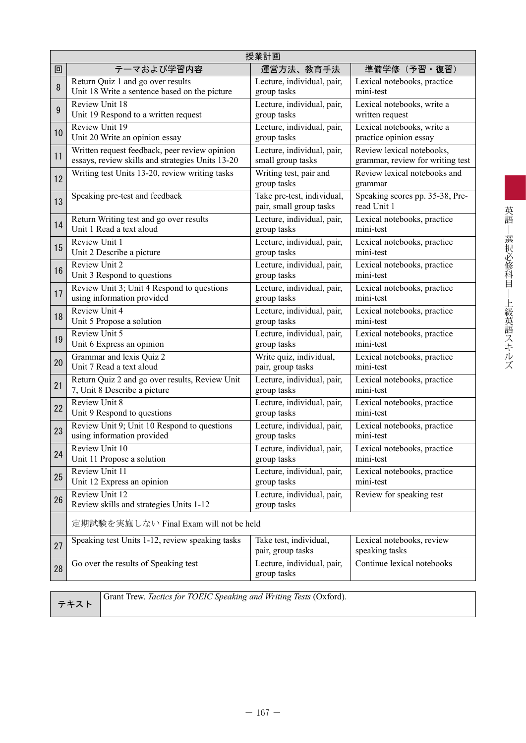|    | 授業計画                                                      |                                                       |                                                |  |  |  |  |  |  |  |
|----|-----------------------------------------------------------|-------------------------------------------------------|------------------------------------------------|--|--|--|--|--|--|--|
| 回  | テーマおよび学習内容                                                | 運営方法、教育手法                                             | 準備学修 (予習·復習)                                   |  |  |  |  |  |  |  |
| 8  | Return Quiz 1 and go over results                         | Lecture, individual, pair,                            | Lexical notebooks, practice                    |  |  |  |  |  |  |  |
|    | Unit 18 Write a sentence based on the picture             | group tasks                                           | mini-test                                      |  |  |  |  |  |  |  |
| 9  | Review Unit 18                                            | Lecture, individual, pair,                            | Lexical notebooks, write a                     |  |  |  |  |  |  |  |
|    | Unit 19 Respond to a written request                      | group tasks                                           | written request                                |  |  |  |  |  |  |  |
| 10 | Review Unit 19                                            | Lecture, individual, pair,                            | Lexical notebooks, write a                     |  |  |  |  |  |  |  |
|    | Unit 20 Write an opinion essay                            | group tasks                                           | practice opinion essay                         |  |  |  |  |  |  |  |
| 11 | Written request feedback, peer review opinion             | Lecture, individual, pair,                            | Review lexical notebooks,                      |  |  |  |  |  |  |  |
|    | essays, review skills and strategies Units 13-20          | small group tasks                                     | grammar, review for writing test               |  |  |  |  |  |  |  |
| 12 | Writing test Units 13-20, review writing tasks            | Writing test, pair and<br>group tasks                 | Review lexical notebooks and<br>grammar        |  |  |  |  |  |  |  |
| 13 | Speaking pre-test and feedback                            | Take pre-test, individual,<br>pair, small group tasks | Speaking scores pp. 35-38, Pre-<br>read Unit 1 |  |  |  |  |  |  |  |
| 14 | Return Writing test and go over results                   | Lecture, individual, pair,                            | Lexical notebooks, practice                    |  |  |  |  |  |  |  |
|    | Unit 1 Read a text aloud                                  | group tasks                                           | mini-test                                      |  |  |  |  |  |  |  |
| 15 | Review Unit 1                                             | Lecture, individual, pair,                            | Lexical notebooks, practice                    |  |  |  |  |  |  |  |
|    | Unit 2 Describe a picture                                 | group tasks                                           | mini-test                                      |  |  |  |  |  |  |  |
| 16 | Review Unit 2                                             | Lecture, individual, pair,                            | Lexical notebooks, practice                    |  |  |  |  |  |  |  |
|    | Unit 3 Respond to questions                               | group tasks                                           | mini-test                                      |  |  |  |  |  |  |  |
| 17 | Review Unit 3; Unit 4 Respond to questions                | Lecture, individual, pair,                            | Lexical notebooks, practice                    |  |  |  |  |  |  |  |
|    | using information provided                                | group tasks                                           | mini-test                                      |  |  |  |  |  |  |  |
| 18 | Review Unit 4                                             | Lecture, individual, pair,                            | Lexical notebooks, practice                    |  |  |  |  |  |  |  |
|    | Unit 5 Propose a solution                                 | group tasks                                           | mini-test                                      |  |  |  |  |  |  |  |
| 19 | Review Unit 5                                             | Lecture, individual, pair,                            | Lexical notebooks, practice                    |  |  |  |  |  |  |  |
|    | Unit 6 Express an opinion                                 | group tasks                                           | mini-test                                      |  |  |  |  |  |  |  |
| 20 | Grammar and lexis Quiz 2                                  | Write quiz, individual,                               | Lexical notebooks, practice                    |  |  |  |  |  |  |  |
|    | Unit 7 Read a text aloud                                  | pair, group tasks                                     | mini-test                                      |  |  |  |  |  |  |  |
| 21 | Return Quiz 2 and go over results, Review Unit            | Lecture, individual, pair,                            | Lexical notebooks, practice                    |  |  |  |  |  |  |  |
|    | 7, Unit 8 Describe a picture                              | group tasks                                           | mini-test                                      |  |  |  |  |  |  |  |
| 22 | <b>Review Unit 8</b>                                      | Lecture, individual, pair,                            | Lexical notebooks, practice                    |  |  |  |  |  |  |  |
|    | Unit 9 Respond to questions                               | group tasks                                           | mini-test                                      |  |  |  |  |  |  |  |
| 23 | Review Unit 9; Unit 10 Respond to questions               | Lecture, individual, pair,                            | Lexical notebooks, practice                    |  |  |  |  |  |  |  |
|    | using information provided                                | group tasks                                           | mini-test                                      |  |  |  |  |  |  |  |
| 24 | Review Unit 10                                            | Lecture, individual, pair,                            | Lexical notebooks, practice                    |  |  |  |  |  |  |  |
|    | Unit 11 Propose a solution                                | group tasks                                           | mini-test                                      |  |  |  |  |  |  |  |
| 25 | Review Unit 11                                            | Lecture, individual, pair,                            | Lexical notebooks, practice                    |  |  |  |  |  |  |  |
|    | Unit 12 Express an opinion                                | group tasks                                           | mini-test                                      |  |  |  |  |  |  |  |
| 26 | Review Unit 12<br>Review skills and strategies Units 1-12 | Lecture, individual, pair,<br>group tasks             | Review for speaking test                       |  |  |  |  |  |  |  |
|    | 定期試験を実施しない Final Exam will not be held                    |                                                       |                                                |  |  |  |  |  |  |  |
| 27 | Speaking test Units 1-12, review speaking tasks           | Take test, individual,<br>pair, group tasks           | Lexical notebooks, review<br>speaking tasks    |  |  |  |  |  |  |  |
| 28 | Go over the results of Speaking test                      | Lecture, individual, pair,<br>group tasks             | Continue lexical notebooks                     |  |  |  |  |  |  |  |

テキスト

Grant Trew. *Tactics for TOEIC Speaking and Writing Tests* (Oxford).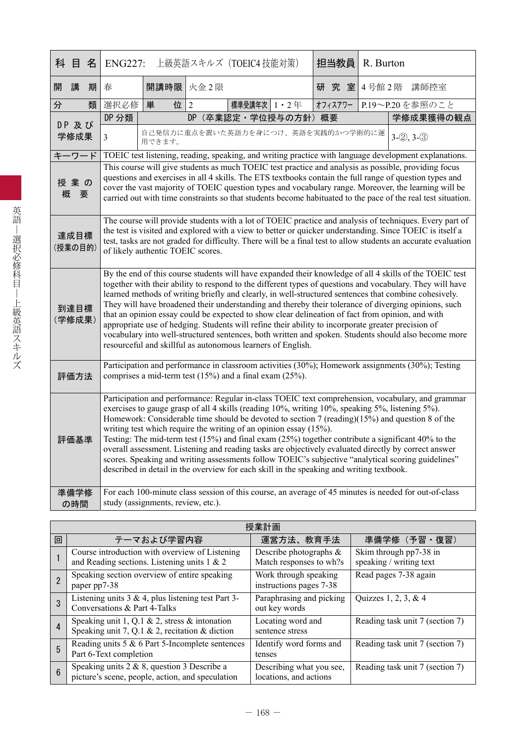|   | 科 目                                                                                                                                                                                                                                                                                                                                                                                                                                                                                                                                                                                                                                                                                                                                                                                                                                      | 名                                                                                                                                                                                                                                                                                                                                                                                             | 上級英語スキルズ (TOEIC4 技能対策)<br><b>ENG227:</b>                                                                                                                                                                                                                                                                                                                                                                                                                                                                                                                                                                                                                                                                                                                                                            |                                                         |                                                      | 担当教員              |  | R. Burton |         |  |  |            |                                                                                                                                                                                                                                                                                                                                                                                                                                         |
|---|------------------------------------------------------------------------------------------------------------------------------------------------------------------------------------------------------------------------------------------------------------------------------------------------------------------------------------------------------------------------------------------------------------------------------------------------------------------------------------------------------------------------------------------------------------------------------------------------------------------------------------------------------------------------------------------------------------------------------------------------------------------------------------------------------------------------------------------|-----------------------------------------------------------------------------------------------------------------------------------------------------------------------------------------------------------------------------------------------------------------------------------------------------------------------------------------------------------------------------------------------|-----------------------------------------------------------------------------------------------------------------------------------------------------------------------------------------------------------------------------------------------------------------------------------------------------------------------------------------------------------------------------------------------------------------------------------------------------------------------------------------------------------------------------------------------------------------------------------------------------------------------------------------------------------------------------------------------------------------------------------------------------------------------------------------------------|---------------------------------------------------------|------------------------------------------------------|-------------------|--|-----------|---------|--|--|------------|-----------------------------------------------------------------------------------------------------------------------------------------------------------------------------------------------------------------------------------------------------------------------------------------------------------------------------------------------------------------------------------------------------------------------------------------|
| 開 | 講                                                                                                                                                                                                                                                                                                                                                                                                                                                                                                                                                                                                                                                                                                                                                                                                                                        | 期                                                                                                                                                                                                                                                                                                                                                                                             | 春                                                                                                                                                                                                                                                                                                                                                                                                                                                                                                                                                                                                                                                                                                                                                                                                   | 開講時限 火金2限                                               |                                                      | 研究室               |  |           |         |  |  | 4号館2階 講師控室 |                                                                                                                                                                                                                                                                                                                                                                                                                                         |
| 分 |                                                                                                                                                                                                                                                                                                                                                                                                                                                                                                                                                                                                                                                                                                                                                                                                                                          | 類                                                                                                                                                                                                                                                                                                                                                                                             | 選択必修                                                                                                                                                                                                                                                                                                                                                                                                                                                                                                                                                                                                                                                                                                                                                                                                | 単<br>位                                                  | $\overline{2}$                                       | 標準受講年次   1 · 2 年  |  |           | オフィスアワー |  |  |            | P.19~P.20を参照のこと                                                                                                                                                                                                                                                                                                                                                                                                                         |
|   | DP 及び                                                                                                                                                                                                                                                                                                                                                                                                                                                                                                                                                                                                                                                                                                                                                                                                                                    |                                                                                                                                                                                                                                                                                                                                                                                               | DP 分類                                                                                                                                                                                                                                                                                                                                                                                                                                                                                                                                                                                                                                                                                                                                                                                               |                                                         | DP                                                   | (卒業認定・学位授与の方針) 概要 |  |           |         |  |  |            | 学修成果獲得の観点                                                                                                                                                                                                                                                                                                                                                                                                                               |
|   | 学修成果                                                                                                                                                                                                                                                                                                                                                                                                                                                                                                                                                                                                                                                                                                                                                                                                                                     |                                                                                                                                                                                                                                                                                                                                                                                               | $\overline{3}$                                                                                                                                                                                                                                                                                                                                                                                                                                                                                                                                                                                                                                                                                                                                                                                      | 用できます。                                                  | 自己発信力に重点を置いた英語力を身につけ、英語を実践的かつ学術的に運<br>$3-(2), 3-(3)$ |                   |  |           |         |  |  |            |                                                                                                                                                                                                                                                                                                                                                                                                                                         |
|   | キーワード                                                                                                                                                                                                                                                                                                                                                                                                                                                                                                                                                                                                                                                                                                                                                                                                                                    |                                                                                                                                                                                                                                                                                                                                                                                               |                                                                                                                                                                                                                                                                                                                                                                                                                                                                                                                                                                                                                                                                                                                                                                                                     |                                                         |                                                      |                   |  |           |         |  |  |            | TOEIC test listening, reading, speaking, and writing practice with language development explanations.                                                                                                                                                                                                                                                                                                                                   |
| 概 | 授業の<br>要                                                                                                                                                                                                                                                                                                                                                                                                                                                                                                                                                                                                                                                                                                                                                                                                                                 |                                                                                                                                                                                                                                                                                                                                                                                               |                                                                                                                                                                                                                                                                                                                                                                                                                                                                                                                                                                                                                                                                                                                                                                                                     |                                                         |                                                      |                   |  |           |         |  |  |            | This course will give students as much TOEIC test practice and analysis as possible, providing focus<br>questions and exercises in all 4 skills. The ETS textbooks contain the full range of question types and<br>cover the vast majority of TOEIC question types and vocabulary range. Moreover, the learning will be<br>carried out with time constraints so that students become habituated to the pace of the real test situation. |
|   |                                                                                                                                                                                                                                                                                                                                                                                                                                                                                                                                                                                                                                                                                                                                                                                                                                          | The course will provide students with a lot of TOEIC practice and analysis of techniques. Every part of<br>the test is visited and explored with a view to better or quicker understanding. Since TOEIC is itself a<br>達成目標<br>test, tasks are not graded for difficulty. There will be a final test to allow students an accurate evaluation<br>(授業の目的)<br>of likely authentic TOEIC scores. |                                                                                                                                                                                                                                                                                                                                                                                                                                                                                                                                                                                                                                                                                                                                                                                                     |                                                         |                                                      |                   |  |           |         |  |  |            |                                                                                                                                                                                                                                                                                                                                                                                                                                         |
|   | By the end of this course students will have expanded their knowledge of all 4 skills of the TOEIC test<br>together with their ability to respond to the different types of questions and vocabulary. They will have<br>learned methods of writing briefly and clearly, in well-structured sentences that combine cohesively.<br>They will have broadened their understanding and thereby their tolerance of diverging opinions, such<br>到達目標<br>that an opinion essay could be expected to show clear delineation of fact from opinion, and with<br>(学修成果)<br>appropriate use of hedging. Students will refine their ability to incorporate greater precision of<br>vocabulary into well-structured sentences, both written and spoken. Students should also become more<br>resourceful and skillful as autonomous learners of English. |                                                                                                                                                                                                                                                                                                                                                                                               |                                                                                                                                                                                                                                                                                                                                                                                                                                                                                                                                                                                                                                                                                                                                                                                                     |                                                         |                                                      |                   |  |           |         |  |  |            |                                                                                                                                                                                                                                                                                                                                                                                                                                         |
|   | 評価方法                                                                                                                                                                                                                                                                                                                                                                                                                                                                                                                                                                                                                                                                                                                                                                                                                                     |                                                                                                                                                                                                                                                                                                                                                                                               |                                                                                                                                                                                                                                                                                                                                                                                                                                                                                                                                                                                                                                                                                                                                                                                                     | comprises a mid-term test (15%) and a final exam (25%). |                                                      |                   |  |           |         |  |  |            | Participation and performance in classroom activities (30%); Homework assignments (30%); Testing                                                                                                                                                                                                                                                                                                                                        |
|   | 評価基準                                                                                                                                                                                                                                                                                                                                                                                                                                                                                                                                                                                                                                                                                                                                                                                                                                     |                                                                                                                                                                                                                                                                                                                                                                                               | Participation and performance: Regular in-class TOEIC text comprehension, vocabulary, and grammar<br>exercises to gauge grasp of all 4 skills (reading 10%, writing 10%, speaking 5%, listening 5%).<br>Homework: Considerable time should be devoted to section 7 (reading) $(15%)$ and question 8 of the<br>writing test which require the writing of an opinion essay (15%).<br>Testing: The mid-term test $(15%)$ and final exam $(25%)$ together contribute a significant 40% to the<br>overall assessment. Listening and reading tasks are objectively evaluated directly by correct answer<br>scores. Speaking and writing assessments follow TOEIC's subjective "analytical scoring guidelines"<br>described in detail in the overview for each skill in the speaking and writing textbook. |                                                         |                                                      |                   |  |           |         |  |  |            |                                                                                                                                                                                                                                                                                                                                                                                                                                         |
|   | 準備学修<br>の時間                                                                                                                                                                                                                                                                                                                                                                                                                                                                                                                                                                                                                                                                                                                                                                                                                              |                                                                                                                                                                                                                                                                                                                                                                                               |                                                                                                                                                                                                                                                                                                                                                                                                                                                                                                                                                                                                                                                                                                                                                                                                     | study (assignments, review, etc.).                      |                                                      |                   |  |           |         |  |  |            | For each 100-minute class session of this course, an average of 45 minutes is needed for out-of-class                                                                                                                                                                                                                                                                                                                                   |

|                 | 授業計画                                                                                                |                                                      |                                                   |  |  |  |  |  |  |  |  |
|-----------------|-----------------------------------------------------------------------------------------------------|------------------------------------------------------|---------------------------------------------------|--|--|--|--|--|--|--|--|
| 回               | テーマおよび学習内容                                                                                          | 運営方法、教育手法                                            | 準備学修(予習・復習)                                       |  |  |  |  |  |  |  |  |
|                 | Course introduction with overview of Listening<br>and Reading sections. Listening units $1 \& 2$    | Describe photographs $\&$<br>Match responses to wh?s | Skim through pp7-38 in<br>speaking / writing text |  |  |  |  |  |  |  |  |
|                 | Speaking section overview of entire speaking<br>paper pp7-38                                        | Work through speaking<br>instructions pages 7-38     | Read pages 7-38 again                             |  |  |  |  |  |  |  |  |
| 3               | Listening units $3 \& 4$ , plus listening test Part 3-<br>Conversations & Part 4-Talks              | Paraphrasing and picking<br>out key words            | Quizzes 1, 2, 3, & 4                              |  |  |  |  |  |  |  |  |
| 4               | Speaking unit 1, Q.1 & 2, stress & intonation<br>Speaking unit 7, Q.1 & 2, recitation & diction     | Locating word and<br>sentence stress                 | Reading task unit 7 (section 7)                   |  |  |  |  |  |  |  |  |
| 5               | Reading units $5 & 6$ Part $5$ -Incomplete sentences<br>Part 6-Text completion                      | Identify word forms and<br>tenses                    | Reading task unit 7 (section 7)                   |  |  |  |  |  |  |  |  |
| $6\overline{6}$ | Speaking units $2 \& 8$ , question 3 Describe a<br>picture's scene, people, action, and speculation | Describing what you see,<br>locations, and actions   | Reading task unit 7 (section 7)                   |  |  |  |  |  |  |  |  |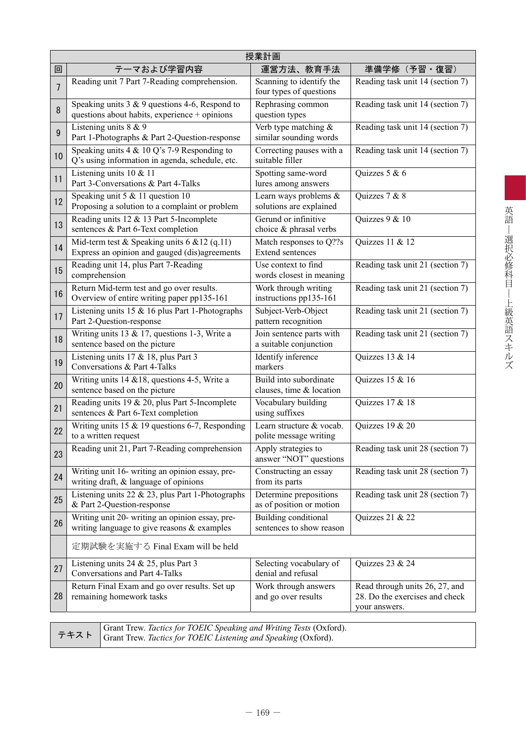|    | 授業計画                                                                                                                                         |                                                     |                                                                                   |  |  |  |  |  |  |  |
|----|----------------------------------------------------------------------------------------------------------------------------------------------|-----------------------------------------------------|-----------------------------------------------------------------------------------|--|--|--|--|--|--|--|
| 回  | テーマおよび学習内容                                                                                                                                   | 運営方法、教育手法                                           | 準備学修(予習・復習)                                                                       |  |  |  |  |  |  |  |
| 7  | Reading unit 7 Part 7-Reading comprehension.                                                                                                 | Scanning to identify the<br>four types of questions | Reading task unit 14 (section 7)                                                  |  |  |  |  |  |  |  |
| 8  | Speaking units $3 \& 9$ questions 4-6, Respond to<br>questions about habits, experience + opinions                                           | Rephrasing common<br>question types                 | Reading task unit 14 (section 7)                                                  |  |  |  |  |  |  |  |
| 9  | Listening units $8 & 9$<br>Part 1-Photographs & Part 2-Question-response                                                                     | Verb type matching $\&$<br>similar sounding words   | Reading task unit 14 (section 7)                                                  |  |  |  |  |  |  |  |
| 10 | Speaking units $4 \& 10 Q$ 's 7-9 Responding to<br>Q's using information in agenda, schedule, etc.                                           | Correcting pauses with a<br>suitable filler         | Reading task unit 14 (section 7)                                                  |  |  |  |  |  |  |  |
| 11 | Listening units $10 \& 11$<br>Part 3-Conversations & Part 4-Talks                                                                            | Spotting same-word<br>lures among answers           | Quizzes 5 & 6                                                                     |  |  |  |  |  |  |  |
| 12 | Speaking unit 5 & 11 question 10<br>Proposing a solution to a complaint or problem                                                           | Learn ways problems &<br>solutions are explained    | Quizzes 7 & 8                                                                     |  |  |  |  |  |  |  |
| 13 | Reading units 12 & 13 Part 5-Incomplete<br>sentences & Part 6-Text completion                                                                | Gerund or infinitive<br>choice & phrasal verbs      | Quizzes $9 & 10$                                                                  |  |  |  |  |  |  |  |
| 14 | Mid-term test & Speaking units $6 \& 12$ (q.11)<br>Express an opinion and gauged (dis)agreements                                             | Match responses to Q??s<br><b>Extend sentences</b>  | Quizzes 11 & 12                                                                   |  |  |  |  |  |  |  |
| 15 | Reading unit 14, plus Part 7-Reading<br>comprehension                                                                                        | Use context to find<br>words closest in meaning     | Reading task unit 21 (section 7)                                                  |  |  |  |  |  |  |  |
| 16 | Return Mid-term test and go over results.<br>Overview of entire writing paper pp135-161                                                      | Work through writing<br>instructions pp135-161      | Reading task unit 21 (section 7)                                                  |  |  |  |  |  |  |  |
| 17 | Listening units $15 \& 16$ plus Part 1-Photographs<br>Part 2-Question-response                                                               | Subject-Verb-Object<br>pattern recognition          | Reading task unit 21 (section 7)                                                  |  |  |  |  |  |  |  |
| 18 | Writing units 13 & 17, questions 1-3, Write a<br>sentence based on the picture                                                               | Join sentence parts with<br>a suitable conjunction  | Reading task unit 21 (section 7)                                                  |  |  |  |  |  |  |  |
| 19 | Listening units $17 & 18$ , plus Part 3<br>Conversations & Part 4-Talks                                                                      | Identify inference<br>markers                       | Quizzes 13 & 14                                                                   |  |  |  |  |  |  |  |
| 20 | Writing units $14 \& 18$ , questions 4-5, Write a<br>sentence based on the picture                                                           | Build into subordinate<br>clauses, time & location  | Quizzes 15 & 16                                                                   |  |  |  |  |  |  |  |
| 21 | Reading units 19 & 20, plus Part 5-Incomplete<br>sentences & Part 6-Text completion                                                          | Vocabulary building<br>using suffixes               | Quizzes 17 & 18                                                                   |  |  |  |  |  |  |  |
| 22 | Writing units 15 $&$ 19 questions 6-7, Responding<br>to a written request                                                                    | Learn structure & vocab.<br>polite message writing  | Quizzes 19 & 20                                                                   |  |  |  |  |  |  |  |
| 23 | Reading unit 21, Part 7-Reading comprehension                                                                                                | Apply strategies to<br>answer "NOT" questions       | Reading task unit 28 (section 7)                                                  |  |  |  |  |  |  |  |
| 24 | Writing unit 16- writing an opinion essay, pre-<br>writing draft, & language of opinions                                                     | Constructing an essay<br>from its parts             | Reading task unit 28 (section 7)                                                  |  |  |  |  |  |  |  |
| 25 | Listening units $22 \& 23$ , plus Part 1-Photographs<br>& Part 2-Question-response                                                           | Determine prepositions<br>as of position or motion  | Reading task unit 28 (section 7)                                                  |  |  |  |  |  |  |  |
| 26 | Writing unit 20- writing an opinion essay, pre-<br>writing language to give reasons $\&$ examples                                            | Building conditional<br>sentences to show reason    | Quizzes 21 & 22                                                                   |  |  |  |  |  |  |  |
|    | 定期試験を実施する Final Exam will be held                                                                                                            |                                                     |                                                                                   |  |  |  |  |  |  |  |
| 27 | Listening units 24 & 25, plus Part 3<br>Conversations and Part 4-Talks                                                                       | Selecting vocabulary of<br>denial and refusal       | Quizzes 23 & 24                                                                   |  |  |  |  |  |  |  |
| 28 | Return Final Exam and go over results. Set up<br>remaining homework tasks                                                                    | Work through answers<br>and go over results         | Read through units 26, 27, and<br>28. Do the exercises and check<br>your answers. |  |  |  |  |  |  |  |
|    | Grant Trew. Tactics for TOEIC Speaking and Writing Tests (Oxford).<br>テキスト<br>Grant Trew. Tactics for TOEIC Listening and Speaking (Oxford). |                                                     |                                                                                   |  |  |  |  |  |  |  |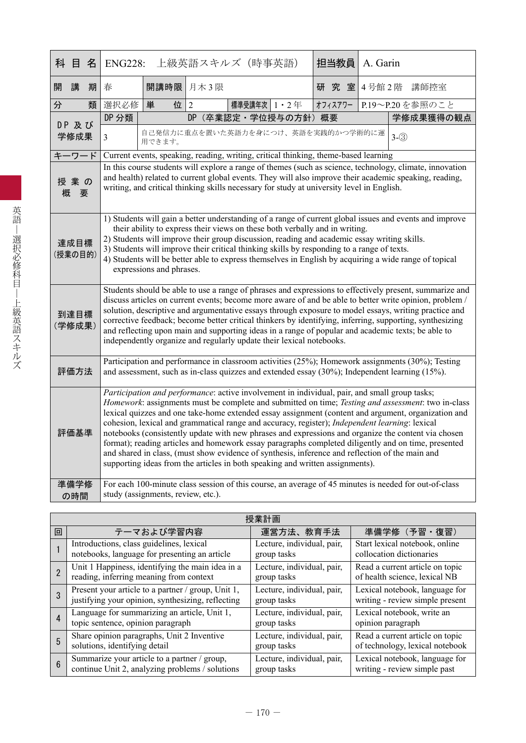| 科 目            |                                                                                                                                                                                                                                                                                                                                                                                                                                                                                                                                             | 名                                                                                                                                                                                                                                                                                                                                                                                                                                                                                                                                                                                                                                                                                                                                                                                                                              | <b>ENG228:</b><br> 上級英語スキルズ(時事英語) |                                                                                           |      |                 |                      |  | 担当教員    |     | A. Garin   |                                                                                                                                                                                                                                                                                                                                                                                                                                                                                                                                               |  |
|----------------|---------------------------------------------------------------------------------------------------------------------------------------------------------------------------------------------------------------------------------------------------------------------------------------------------------------------------------------------------------------------------------------------------------------------------------------------------------------------------------------------------------------------------------------------|--------------------------------------------------------------------------------------------------------------------------------------------------------------------------------------------------------------------------------------------------------------------------------------------------------------------------------------------------------------------------------------------------------------------------------------------------------------------------------------------------------------------------------------------------------------------------------------------------------------------------------------------------------------------------------------------------------------------------------------------------------------------------------------------------------------------------------|-----------------------------------|-------------------------------------------------------------------------------------------|------|-----------------|----------------------|--|---------|-----|------------|-----------------------------------------------------------------------------------------------------------------------------------------------------------------------------------------------------------------------------------------------------------------------------------------------------------------------------------------------------------------------------------------------------------------------------------------------------------------------------------------------------------------------------------------------|--|
| 開              | 講                                                                                                                                                                                                                                                                                                                                                                                                                                                                                                                                           | 期                                                                                                                                                                                                                                                                                                                                                                                                                                                                                                                                                                                                                                                                                                                                                                                                                              | 春                                 | 開講時限                                                                                      | 月木3限 |                 |                      |  |         | 研究室 | 4号館2階 講師控室 |                                                                                                                                                                                                                                                                                                                                                                                                                                                                                                                                               |  |
| 分              |                                                                                                                                                                                                                                                                                                                                                                                                                                                                                                                                             | 類                                                                                                                                                                                                                                                                                                                                                                                                                                                                                                                                                                                                                                                                                                                                                                                                                              | 選択必修                              | 位<br>単                                                                                    | 2    | 標準受講年次   1 · 2年 |                      |  | オフィスアワー |     |            | P.19~P.20を参照のこと                                                                                                                                                                                                                                                                                                                                                                                                                                                                                                                               |  |
|                |                                                                                                                                                                                                                                                                                                                                                                                                                                                                                                                                             |                                                                                                                                                                                                                                                                                                                                                                                                                                                                                                                                                                                                                                                                                                                                                                                                                                | DP 分類                             |                                                                                           |      |                 | DP (卒業認定·学位授与の方針) 概要 |  |         |     |            | 学修成果獲得の観点                                                                                                                                                                                                                                                                                                                                                                                                                                                                                                                                     |  |
| DP 及び<br>学修成果  |                                                                                                                                                                                                                                                                                                                                                                                                                                                                                                                                             |                                                                                                                                                                                                                                                                                                                                                                                                                                                                                                                                                                                                                                                                                                                                                                                                                                | $\overline{3}$                    | 自己発信力に重点を置いた英語力を身につけ、英語を実践的かつ学術的に運<br>用できます。                                              |      |                 |                      |  |         |     |            | $3-(3)$                                                                                                                                                                                                                                                                                                                                                                                                                                                                                                                                       |  |
| キーワード          |                                                                                                                                                                                                                                                                                                                                                                                                                                                                                                                                             |                                                                                                                                                                                                                                                                                                                                                                                                                                                                                                                                                                                                                                                                                                                                                                                                                                |                                   | Current events, speaking, reading, writing, critical thinking, theme-based learning       |      |                 |                      |  |         |     |            |                                                                                                                                                                                                                                                                                                                                                                                                                                                                                                                                               |  |
| 授業の<br>概       | 要                                                                                                                                                                                                                                                                                                                                                                                                                                                                                                                                           |                                                                                                                                                                                                                                                                                                                                                                                                                                                                                                                                                                                                                                                                                                                                                                                                                                |                                   | writing, and critical thinking skills necessary for study at university level in English. |      |                 |                      |  |         |     |            | In this course students will explore a range of themes (such as science, technology, climate, innovation<br>and health) related to current global events. They will also improve their academic speaking, reading,                                                                                                                                                                                                                                                                                                                            |  |
|                | 1) Students will gain a better understanding of a range of current global issues and events and improve<br>their ability to express their views on these both verbally and in writing.<br>2) Students will improve their group discussion, reading and academic essay writing skills.<br>達成目標<br>3) Students will improve their critical thinking skills by responding to a range of texts.<br>(授業の目的)<br>4) Students will be better able to express themselves in English by acquiring a wide range of topical<br>expressions and phrases. |                                                                                                                                                                                                                                                                                                                                                                                                                                                                                                                                                                                                                                                                                                                                                                                                                                |                                   |                                                                                           |      |                 |                      |  |         |     |            |                                                                                                                                                                                                                                                                                                                                                                                                                                                                                                                                               |  |
| 到達目標<br>(学修成果) |                                                                                                                                                                                                                                                                                                                                                                                                                                                                                                                                             |                                                                                                                                                                                                                                                                                                                                                                                                                                                                                                                                                                                                                                                                                                                                                                                                                                |                                   | independently organize and regularly update their lexical notebooks.                      |      |                 |                      |  |         |     |            | Students should be able to use a range of phrases and expressions to effectively present, summarize and<br>discuss articles on current events; become more aware of and be able to better write opinion, problem /<br>solution, descriptive and argumentative essays through exposure to model essays, writing practice and<br>corrective feedback; become better critical thinkers by identifying, inferring, supporting, synthesizing<br>and reflecting upon main and supporting ideas in a range of popular and academic texts; be able to |  |
| 評価方法           |                                                                                                                                                                                                                                                                                                                                                                                                                                                                                                                                             |                                                                                                                                                                                                                                                                                                                                                                                                                                                                                                                                                                                                                                                                                                                                                                                                                                |                                   |                                                                                           |      |                 |                      |  |         |     |            | Participation and performance in classroom activities (25%); Homework assignments (30%); Testing<br>and assessment, such as in-class quizzes and extended essay $(30\%)$ ; Independent learning $(15\%)$ .                                                                                                                                                                                                                                                                                                                                    |  |
|                |                                                                                                                                                                                                                                                                                                                                                                                                                                                                                                                                             | Participation and performance: active involvement in individual, pair, and small group tasks;<br>Homework: assignments must be complete and submitted on time; Testing and assessment: two in-class<br>lexical quizzes and one take-home extended essay assignment (content and argument, organization and<br>cohesion, lexical and grammatical range and accuracy, register); <i>Independent learning</i> : lexical<br>評価基準<br>notebooks (consistently update with new phrases and expressions and organize the content via chosen<br>format); reading articles and homework essay paragraphs completed diligently and on time, presented<br>and shared in class, (must show evidence of synthesis, inference and reflection of the main and<br>supporting ideas from the articles in both speaking and written assignments). |                                   |                                                                                           |      |                 |                      |  |         |     |            |                                                                                                                                                                                                                                                                                                                                                                                                                                                                                                                                               |  |
| 準備学修           | の時間                                                                                                                                                                                                                                                                                                                                                                                                                                                                                                                                         |                                                                                                                                                                                                                                                                                                                                                                                                                                                                                                                                                                                                                                                                                                                                                                                                                                |                                   | study (assignments, review, etc.).                                                        |      |                 |                      |  |         |     |            | For each 100-minute class session of this course, an average of 45 minutes is needed for out-of-class                                                                                                                                                                                                                                                                                                                                                                                                                                         |  |

|   | 授業計画                                               |                            |                                 |  |  |  |  |  |  |  |  |
|---|----------------------------------------------------|----------------------------|---------------------------------|--|--|--|--|--|--|--|--|
| 回 | テーマおよび学習内容                                         | 運営方法、教育手法                  | 準備学修(予習・復習)                     |  |  |  |  |  |  |  |  |
|   | Introductions, class guidelines, lexical           | Lecture, individual, pair, | Start lexical notebook, online  |  |  |  |  |  |  |  |  |
|   | notebooks, language for presenting an article      | group tasks                | collocation dictionaries        |  |  |  |  |  |  |  |  |
|   | Unit 1 Happiness, identifying the main idea in a   | Lecture, individual, pair, | Read a current article on topic |  |  |  |  |  |  |  |  |
|   | reading, inferring meaning from context            | group tasks                | of health science, lexical NB   |  |  |  |  |  |  |  |  |
|   | Present your article to a partner / group, Unit 1, | Lecture, individual, pair, | Lexical notebook, language for  |  |  |  |  |  |  |  |  |
|   | justifying your opinion, synthesizing, reflecting  | group tasks                | writing - review simple present |  |  |  |  |  |  |  |  |
| 4 | Language for summarizing an article, Unit 1,       | Lecture, individual, pair, | Lexical notebook, write an      |  |  |  |  |  |  |  |  |
|   | topic sentence, opinion paragraph                  | group tasks                | opinion paragraph               |  |  |  |  |  |  |  |  |
| 5 | Share opinion paragraphs, Unit 2 Inventive         | Lecture, individual, pair, | Read a current article on topic |  |  |  |  |  |  |  |  |
|   | solutions, identifying detail                      | group tasks                | of technology, lexical notebook |  |  |  |  |  |  |  |  |
| 6 | Summarize your article to a partner / group,       | Lecture, individual, pair, | Lexical notebook, language for  |  |  |  |  |  |  |  |  |
|   | continue Unit 2, analyzing problems / solutions    | group tasks                | writing - review simple past    |  |  |  |  |  |  |  |  |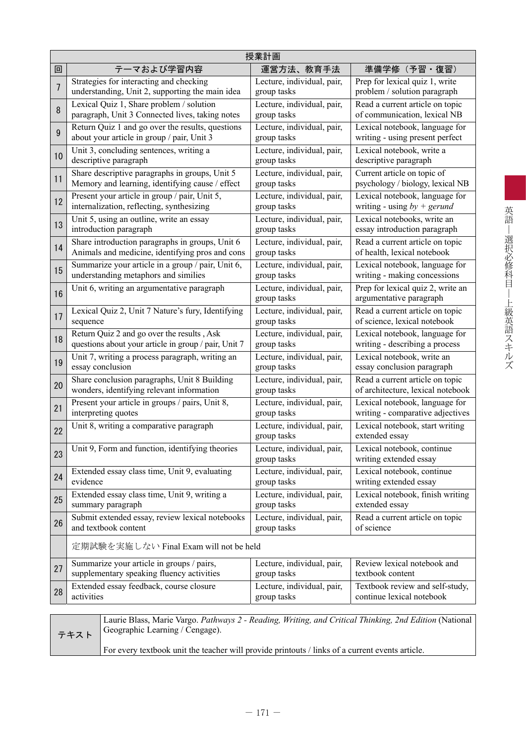|    | 授業計画                                                                                                   |                                           |                                                              |  |  |  |  |  |  |  |
|----|--------------------------------------------------------------------------------------------------------|-------------------------------------------|--------------------------------------------------------------|--|--|--|--|--|--|--|
| 回  | テーマおよび学習内容                                                                                             | 運営方法、教育手法                                 | 準備学修 (予習·復習)                                                 |  |  |  |  |  |  |  |
| 7  | Strategies for interacting and checking                                                                | Lecture, individual, pair,                | Prep for lexical quiz 1, write                               |  |  |  |  |  |  |  |
|    | understanding, Unit 2, supporting the main idea                                                        | group tasks                               | problem / solution paragraph                                 |  |  |  |  |  |  |  |
| 8  | Lexical Quiz 1, Share problem / solution                                                               | Lecture, individual, pair,                | Read a current article on topic                              |  |  |  |  |  |  |  |
|    | paragraph, Unit 3 Connected lives, taking notes                                                        | group tasks                               | of communication, lexical NB                                 |  |  |  |  |  |  |  |
| 9  | Return Quiz 1 and go over the results, questions                                                       | Lecture, individual, pair,                | Lexical notebook, language for                               |  |  |  |  |  |  |  |
|    | about your article in group / pair, Unit 3                                                             | group tasks                               | writing - using present perfect                              |  |  |  |  |  |  |  |
| 10 | Unit 3, concluding sentences, writing a                                                                | Lecture, individual, pair,                | Lexical notebook, write a                                    |  |  |  |  |  |  |  |
|    | descriptive paragraph                                                                                  | group tasks                               | descriptive paragraph                                        |  |  |  |  |  |  |  |
| 11 | Share descriptive paragraphs in groups, Unit 5                                                         | Lecture, individual, pair,                | Current article on topic of                                  |  |  |  |  |  |  |  |
|    | Memory and learning, identifying cause / effect                                                        | group tasks                               | psychology / biology, lexical NB                             |  |  |  |  |  |  |  |
| 12 | Present your article in group / pair, Unit 5,                                                          | Lecture, individual, pair,                | Lexical notebook, language for                               |  |  |  |  |  |  |  |
|    | internalization, reflecting, synthesizing                                                              | group tasks                               | writing - using $by + gerund$                                |  |  |  |  |  |  |  |
| 13 | Unit 5, using an outline, write an essay                                                               | Lecture, individual, pair,                | Lexical notebooks, write an                                  |  |  |  |  |  |  |  |
|    | introduction paragraph                                                                                 | group tasks                               | essay introduction paragraph                                 |  |  |  |  |  |  |  |
| 14 | Share introduction paragraphs in groups, Unit 6                                                        | Lecture, individual, pair,                | Read a current article on topic                              |  |  |  |  |  |  |  |
|    | Animals and medicine, identifying pros and cons                                                        | group tasks                               | of health, lexical notebook                                  |  |  |  |  |  |  |  |
| 15 | Summarize your article in a group / pair, Unit 6,                                                      | Lecture, individual, pair,                | Lexical notebook, language for                               |  |  |  |  |  |  |  |
|    | understanding metaphors and similies                                                                   | group tasks                               | writing - making concessions                                 |  |  |  |  |  |  |  |
| 16 | Unit 6, writing an argumentative paragraph                                                             | Lecture, individual, pair,<br>group tasks | Prep for lexical quiz 2, write an<br>argumentative paragraph |  |  |  |  |  |  |  |
| 17 | Lexical Quiz 2, Unit 7 Nature's fury, Identifying                                                      | Lecture, individual, pair,                | Read a current article on topic                              |  |  |  |  |  |  |  |
|    | sequence                                                                                               | group tasks                               | of science, lexical notebook                                 |  |  |  |  |  |  |  |
| 18 | Return Quiz 2 and go over the results, Ask                                                             | Lecture, individual, pair,                | Lexical notebook, language for                               |  |  |  |  |  |  |  |
|    | questions about your article in group / pair, Unit 7                                                   | group tasks                               | writing - describing a process                               |  |  |  |  |  |  |  |
| 19 | Unit 7, writing a process paragraph, writing an                                                        | Lecture, individual, pair,                | Lexical notebook, write an                                   |  |  |  |  |  |  |  |
|    | essay conclusion                                                                                       | group tasks                               | essay conclusion paragraph                                   |  |  |  |  |  |  |  |
| 20 | Share conclusion paragraphs, Unit 8 Building                                                           | Lecture, individual, pair,                | Read a current article on topic                              |  |  |  |  |  |  |  |
|    | wonders, identifying relevant information                                                              | group tasks                               | of architecture, lexical notebook                            |  |  |  |  |  |  |  |
| 21 | Present your article in groups / pairs, Unit 8,                                                        | Lecture, individual, pair,                | Lexical notebook, language for                               |  |  |  |  |  |  |  |
|    | interpreting quotes                                                                                    | group tasks                               | writing - comparative adjectives                             |  |  |  |  |  |  |  |
| 22 | Unit 8, writing a comparative paragraph                                                                | Lecture, individual, pair,<br>group tasks | Lexical notebook, start writing<br>extended essay            |  |  |  |  |  |  |  |
| 23 | Unit 9, Form and function, identifying theories                                                        | Lecture, individual, pair,<br>group tasks | Lexical notebook, continue<br>writing extended essay         |  |  |  |  |  |  |  |
| 24 | Extended essay class time, Unit 9, evaluating                                                          | Lecture, individual, pair,                | Lexical notebook, continue                                   |  |  |  |  |  |  |  |
|    | evidence                                                                                               | group tasks                               | writing extended essay                                       |  |  |  |  |  |  |  |
| 25 | Extended essay class time, Unit 9, writing a                                                           | Lecture, individual, pair,                | Lexical notebook, finish writing                             |  |  |  |  |  |  |  |
|    | summary paragraph                                                                                      | group tasks                               | extended essay                                               |  |  |  |  |  |  |  |
| 26 | Submit extended essay, review lexical notebooks                                                        | Lecture, individual, pair,                | Read a current article on topic                              |  |  |  |  |  |  |  |
|    | and textbook content                                                                                   | group tasks                               | of science                                                   |  |  |  |  |  |  |  |
|    | 定期試験を実施しない Final Exam will not be held                                                                 |                                           |                                                              |  |  |  |  |  |  |  |
| 27 | Summarize your article in groups / pairs,                                                              | Lecture, individual, pair,                | Review lexical notebook and                                  |  |  |  |  |  |  |  |
|    | supplementary speaking fluency activities                                                              | group tasks                               | textbook content                                             |  |  |  |  |  |  |  |
| 28 | Extended essay feedback, course closure                                                                | Lecture, individual, pair,                | Textbook review and self-study,                              |  |  |  |  |  |  |  |
|    | activities                                                                                             | group tasks                               | continue lexical notebook                                    |  |  |  |  |  |  |  |
|    | Laurie Blass, Marie Vargo. Pathways 2 - Reading, Writing, and Critical Thinking, 2nd Edition (National |                                           |                                                              |  |  |  |  |  |  |  |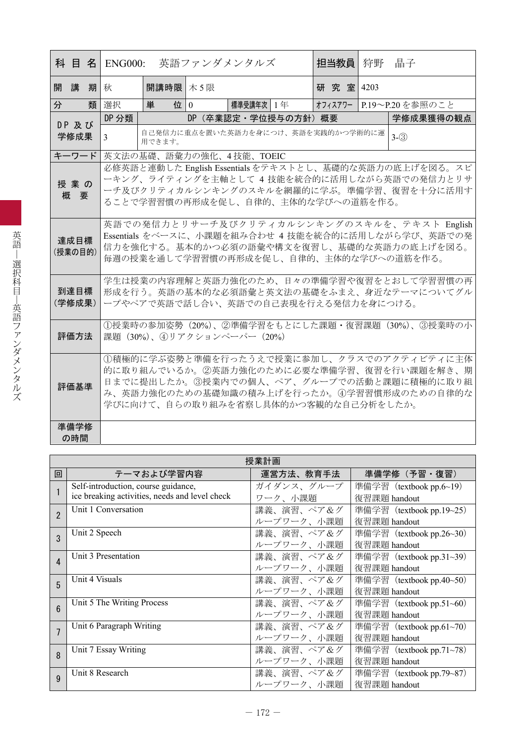|   |                                                                                                                                                                                                                                  |                                                                                                                                                                                                              | 科 目 名 ENG000:  |                                                         | 英語ファンダメンタルズ |                            | 担当教員 | 狩野                                   | 晶子                      |                                                                                                                                                    |  |  |
|---|----------------------------------------------------------------------------------------------------------------------------------------------------------------------------------------------------------------------------------|--------------------------------------------------------------------------------------------------------------------------------------------------------------------------------------------------------------|----------------|---------------------------------------------------------|-------------|----------------------------|------|--------------------------------------|-------------------------|----------------------------------------------------------------------------------------------------------------------------------------------------|--|--|
|   | 開講期                                                                                                                                                                                                                              |                                                                                                                                                                                                              | 秋              | 開講時限 木 5限                                               |             |                            |      | 研究室 4203                             |                         |                                                                                                                                                    |  |  |
| 分 |                                                                                                                                                                                                                                  | 類                                                                                                                                                                                                            | 選択             | 単                                                       | 位   0       | 標準受講年次 1 年                 |      |                                      | オフィスアワー P.19~P.20を参照のこと |                                                                                                                                                    |  |  |
|   | DP 及び                                                                                                                                                                                                                            |                                                                                                                                                                                                              | DP 分類          |                                                         |             | DP (卒業認定・学位授与の方針) 概要       |      |                                      |                         | 学修成果獲得の観点                                                                                                                                          |  |  |
|   | 学修成果                                                                                                                                                                                                                             |                                                                                                                                                                                                              | $\mathfrak{Z}$ | 自己発信力に重点を置いた英語力を身につけ、英語を実践的かつ学術的に運<br>$3-(3)$<br>用できます。 |             |                            |      |                                      |                         |                                                                                                                                                    |  |  |
|   | キーワード                                                                                                                                                                                                                            |                                                                                                                                                                                                              |                |                                                         |             | 英文法の基礎、語彙力の強化、4技能、TOEIC    |      |                                      |                         |                                                                                                                                                    |  |  |
|   | 授業の<br>概要                                                                                                                                                                                                                        |                                                                                                                                                                                                              |                |                                                         |             |                            |      | ることで学習習慣の再形成を促し、自律的、主体的な学びへの道筋を作る。   |                         | 必修英語と連動した English Essentials をテキストとし、基礎的な英語力の底上げを図る。スピ<br>ーキング、ライティングを主軸として 4 技能を統合的に活用しながら英語での発信力とリサ<br>ーチ及びクリティカルシンキングのスキルを網羅的に学ぶ。準備学習、復習を十分に活用す |  |  |
|   |                                                                                                                                                                                                                                  | 英語での発信力とリサーチ及びクリティカルシンキングのスキルを、テキスト English<br>Essentials をベースに、小課題を組み合わせ 4 技能を統合的に活用しながら学び、英語での発<br>達成目標<br>信力を強化する。基本的かつ必須の語彙や構文を復習し、基礎的な英語力の底上げを図る。<br>(授業の目的)<br>毎週の授業を通して学習習慣の再形成を促し、自律的、主体的な学びへの道筋を作る。 |                |                                                         |             |                            |      |                                      |                         |                                                                                                                                                    |  |  |
|   | 到達目標<br>(学修成果)                                                                                                                                                                                                                   |                                                                                                                                                                                                              |                |                                                         |             |                            |      | ープやペアで英語で話し合い、英語での自己表現を行える発信力を身につける。 |                         | 学生は授業の内容理解と英語力強化のため、日々の準備学習や復習をとおして学習習慣の再<br>形成を行う。英語の基本的な必須語彙と英文法の基礎をふまえ、身近なテーマについてグル                                                             |  |  |
|   | 評価方法                                                                                                                                                                                                                             |                                                                                                                                                                                                              |                |                                                         |             | 課題 (30%)、4リアクションペーパー (20%) |      |                                      |                         | ①授業時の参加姿勢(20%)、②準備学習をもとにした課題・復習課題(30%)、③授業時の小                                                                                                      |  |  |
|   | ①積極的に学ぶ姿勢と準備を行ったうえで授業に参加し、クラスでのアクティビティに主体<br>的に取り組んでいるか。②英語力強化のために必要な準備学習、復習を行い課題を解き、期<br>日までに提出したか。③授業内での個人、ペア、グループでの活動と課題に積極的に取り組<br>評価基準<br>み、英語力強化のための基礎知識の積み上げを行ったか。④学習習慣形成のための自律的な<br>学びに向けて、自らの取り組みを省察し具体的かつ客観的な自己分析をしたか。 |                                                                                                                                                                                                              |                |                                                         |             |                            |      |                                      |                         |                                                                                                                                                    |  |  |
|   | 準備学修<br>の時間                                                                                                                                                                                                                      |                                                                                                                                                                                                              |                |                                                         |             |                            |      |                                      |                         |                                                                                                                                                    |  |  |

| 授業計画           |                                                |            |                          |  |
|----------------|------------------------------------------------|------------|--------------------------|--|
| 回              | テーマおよび学習内容                                     | 運営方法、教育手法  | 準備学修(予習・復習)              |  |
|                | Self-introduction, course guidance,            | ガイダンス、グループ | 準備学習 (textbook pp.6~19)  |  |
|                | ice breaking activities, needs and level check | ワーク、小課題    | 復習課題 handout             |  |
| $\overline{2}$ | Unit 1 Conversation                            | 講義、演習、ペア&グ | 準備学習 (textbook pp.19~25) |  |
|                |                                                | ループワーク、小課題 | 復習課題 handout             |  |
| 3              | Unit 2 Speech                                  | 講義、演習、ペア&グ | 準備学習 (textbook pp.26~30) |  |
|                |                                                | ループワーク、小課題 | 復習課題 handout             |  |
| 4              | Unit 3 Presentation                            | 講義、演習、ペア&グ | 準備学習 (textbook pp.31~39) |  |
|                |                                                | ループワーク、小課題 | 復習課題 handout             |  |
| 5              | Unit 4 Visuals                                 | 講義、演習、ペア&グ | 準備学習 (textbook pp.40~50) |  |
|                |                                                | ループワーク、小課題 | 復習課題 handout             |  |
| 6              | Unit 5 The Writing Process                     | 講義、演習、ペア&グ | 準備学習 (textbook pp.51~60) |  |
|                |                                                | ループワーク、小課題 | 復習課題 handout             |  |
| $\overline{1}$ | Unit 6 Paragraph Writing                       | 講義、演習、ペア&グ | 準備学習 (textbook pp.61~70) |  |
|                |                                                | ループワーク、小課題 | 復習課題 handout             |  |
| $\mathsf{R}$   | Unit 7 Essay Writing                           | 講義、演習、ペア&グ | 準備学習 (textbook pp.71~78) |  |
|                |                                                | ループワーク、小課題 | 復習課題 handout             |  |
| 9              | Unit 8 Research                                | 講義、演習、ペア&グ | 準備学習 (textbook pp.79~87) |  |
|                |                                                | ループワーク、小課題 | 復習課題 handout             |  |